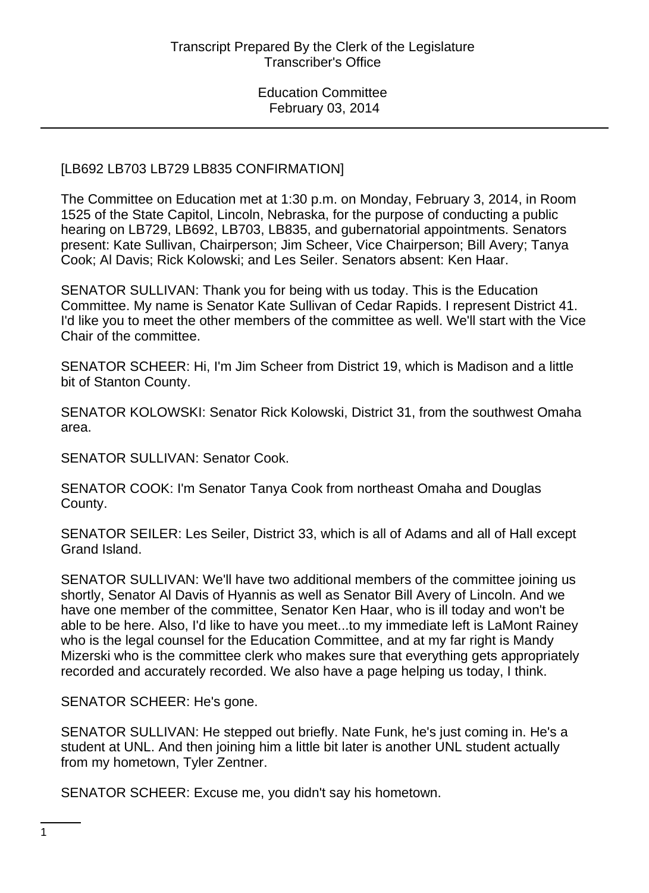# [LB692 LB703 LB729 LB835 CONFIRMATION]

The Committee on Education met at 1:30 p.m. on Monday, February 3, 2014, in Room 1525 of the State Capitol, Lincoln, Nebraska, for the purpose of conducting a public hearing on LB729, LB692, LB703, LB835, and gubernatorial appointments. Senators present: Kate Sullivan, Chairperson; Jim Scheer, Vice Chairperson; Bill Avery; Tanya Cook; Al Davis; Rick Kolowski; and Les Seiler. Senators absent: Ken Haar.

SENATOR SULLIVAN: Thank you for being with us today. This is the Education Committee. My name is Senator Kate Sullivan of Cedar Rapids. I represent District 41. I'd like you to meet the other members of the committee as well. We'll start with the Vice Chair of the committee.

SENATOR SCHEER: Hi, I'm Jim Scheer from District 19, which is Madison and a little bit of Stanton County.

SENATOR KOLOWSKI: Senator Rick Kolowski, District 31, from the southwest Omaha area.

SENATOR SULLIVAN: Senator Cook.

SENATOR COOK: I'm Senator Tanya Cook from northeast Omaha and Douglas County.

SENATOR SEILER: Les Seiler, District 33, which is all of Adams and all of Hall except Grand Island.

SENATOR SULLIVAN: We'll have two additional members of the committee joining us shortly, Senator Al Davis of Hyannis as well as Senator Bill Avery of Lincoln. And we have one member of the committee, Senator Ken Haar, who is ill today and won't be able to be here. Also, I'd like to have you meet...to my immediate left is LaMont Rainey who is the legal counsel for the Education Committee, and at my far right is Mandy Mizerski who is the committee clerk who makes sure that everything gets appropriately recorded and accurately recorded. We also have a page helping us today, I think.

SENATOR SCHEER: He's gone.

SENATOR SULLIVAN: He stepped out briefly. Nate Funk, he's just coming in. He's a student at UNL. And then joining him a little bit later is another UNL student actually from my hometown, Tyler Zentner.

SENATOR SCHEER: Excuse me, you didn't say his hometown.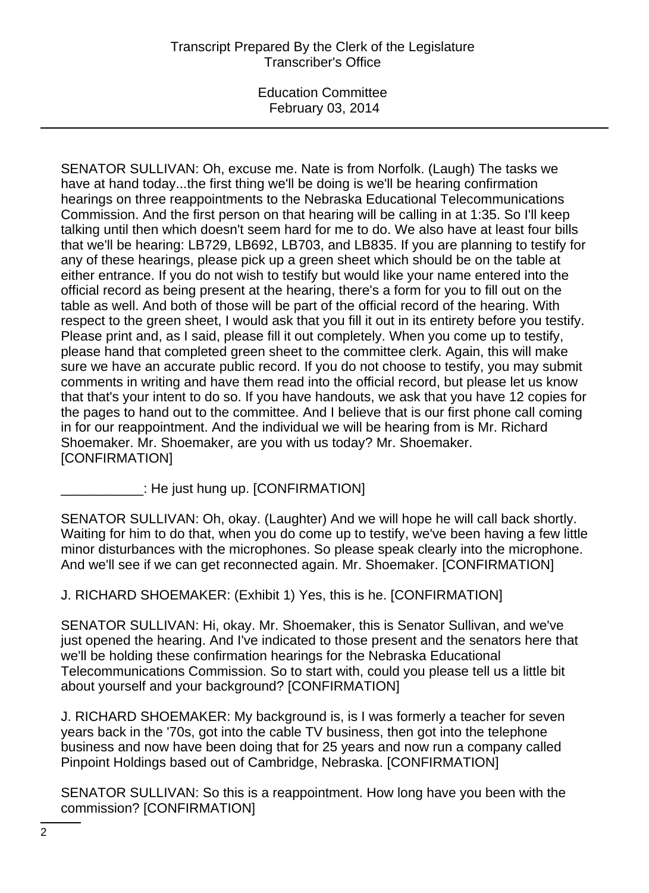SENATOR SULLIVAN: Oh, excuse me. Nate is from Norfolk. (Laugh) The tasks we have at hand today...the first thing we'll be doing is we'll be hearing confirmation hearings on three reappointments to the Nebraska Educational Telecommunications Commission. And the first person on that hearing will be calling in at 1:35. So I'll keep talking until then which doesn't seem hard for me to do. We also have at least four bills that we'll be hearing: LB729, LB692, LB703, and LB835. If you are planning to testify for any of these hearings, please pick up a green sheet which should be on the table at either entrance. If you do not wish to testify but would like your name entered into the official record as being present at the hearing, there's a form for you to fill out on the table as well. And both of those will be part of the official record of the hearing. With respect to the green sheet, I would ask that you fill it out in its entirety before you testify. Please print and, as I said, please fill it out completely. When you come up to testify, please hand that completed green sheet to the committee clerk. Again, this will make sure we have an accurate public record. If you do not choose to testify, you may submit comments in writing and have them read into the official record, but please let us know that that's your intent to do so. If you have handouts, we ask that you have 12 copies for the pages to hand out to the committee. And I believe that is our first phone call coming in for our reappointment. And the individual we will be hearing from is Mr. Richard Shoemaker. Mr. Shoemaker, are you with us today? Mr. Shoemaker. [CONFIRMATION]

 $\_$ : He just hung up. [CONFIRMATION]

SENATOR SULLIVAN: Oh, okay. (Laughter) And we will hope he will call back shortly. Waiting for him to do that, when you do come up to testify, we've been having a few little minor disturbances with the microphones. So please speak clearly into the microphone. And we'll see if we can get reconnected again. Mr. Shoemaker. [CONFIRMATION]

J. RICHARD SHOEMAKER: (Exhibit 1) Yes, this is he. [CONFIRMATION]

SENATOR SULLIVAN: Hi, okay. Mr. Shoemaker, this is Senator Sullivan, and we've just opened the hearing. And I've indicated to those present and the senators here that we'll be holding these confirmation hearings for the Nebraska Educational Telecommunications Commission. So to start with, could you please tell us a little bit about yourself and your background? [CONFIRMATION]

J. RICHARD SHOEMAKER: My background is, is I was formerly a teacher for seven years back in the '70s, got into the cable TV business, then got into the telephone business and now have been doing that for 25 years and now run a company called Pinpoint Holdings based out of Cambridge, Nebraska. [CONFIRMATION]

SENATOR SULLIVAN: So this is a reappointment. How long have you been with the commission? [CONFIRMATION]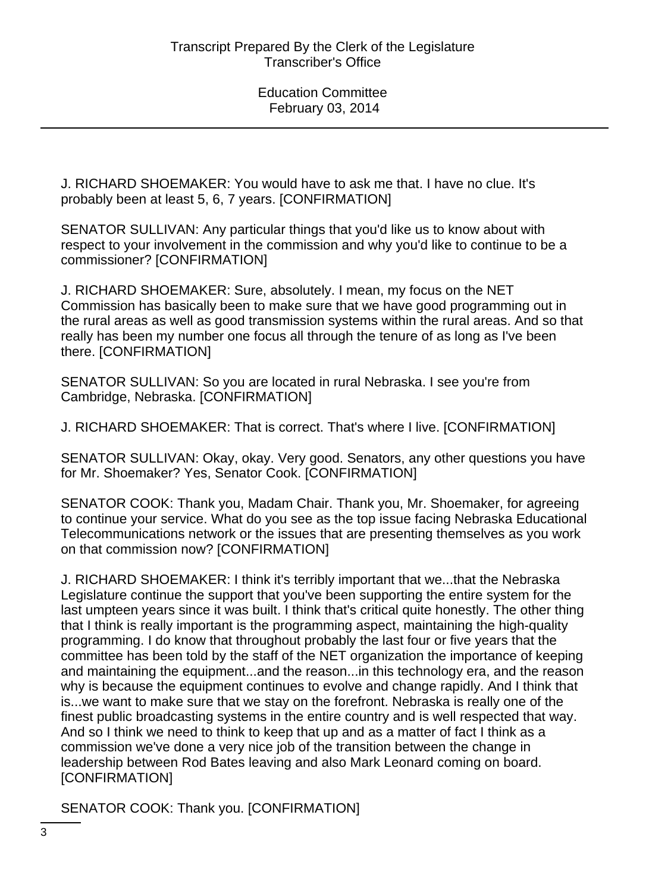J. RICHARD SHOEMAKER: You would have to ask me that. I have no clue. It's probably been at least 5, 6, 7 years. [CONFIRMATION]

SENATOR SULLIVAN: Any particular things that you'd like us to know about with respect to your involvement in the commission and why you'd like to continue to be a commissioner? [CONFIRMATION]

J. RICHARD SHOEMAKER: Sure, absolutely. I mean, my focus on the NET Commission has basically been to make sure that we have good programming out in the rural areas as well as good transmission systems within the rural areas. And so that really has been my number one focus all through the tenure of as long as I've been there. [CONFIRMATION]

SENATOR SULLIVAN: So you are located in rural Nebraska. I see you're from Cambridge, Nebraska. [CONFIRMATION]

J. RICHARD SHOEMAKER: That is correct. That's where I live. [CONFIRMATION]

SENATOR SULLIVAN: Okay, okay. Very good. Senators, any other questions you have for Mr. Shoemaker? Yes, Senator Cook. [CONFIRMATION]

SENATOR COOK: Thank you, Madam Chair. Thank you, Mr. Shoemaker, for agreeing to continue your service. What do you see as the top issue facing Nebraska Educational Telecommunications network or the issues that are presenting themselves as you work on that commission now? [CONFIRMATION]

J. RICHARD SHOEMAKER: I think it's terribly important that we...that the Nebraska Legislature continue the support that you've been supporting the entire system for the last umpteen years since it was built. I think that's critical quite honestly. The other thing that I think is really important is the programming aspect, maintaining the high-quality programming. I do know that throughout probably the last four or five years that the committee has been told by the staff of the NET organization the importance of keeping and maintaining the equipment...and the reason...in this technology era, and the reason why is because the equipment continues to evolve and change rapidly. And I think that is...we want to make sure that we stay on the forefront. Nebraska is really one of the finest public broadcasting systems in the entire country and is well respected that way. And so I think we need to think to keep that up and as a matter of fact I think as a commission we've done a very nice job of the transition between the change in leadership between Rod Bates leaving and also Mark Leonard coming on board. [CONFIRMATION]

SENATOR COOK: Thank you. [CONFIRMATION]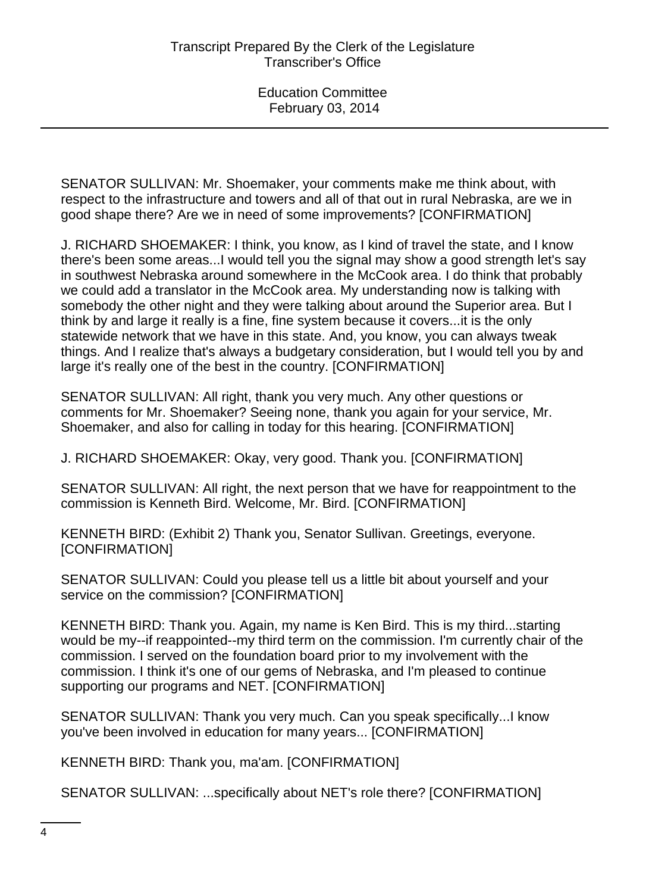SENATOR SULLIVAN: Mr. Shoemaker, your comments make me think about, with respect to the infrastructure and towers and all of that out in rural Nebraska, are we in good shape there? Are we in need of some improvements? [CONFIRMATION]

J. RICHARD SHOEMAKER: I think, you know, as I kind of travel the state, and I know there's been some areas...I would tell you the signal may show a good strength let's say in southwest Nebraska around somewhere in the McCook area. I do think that probably we could add a translator in the McCook area. My understanding now is talking with somebody the other night and they were talking about around the Superior area. But I think by and large it really is a fine, fine system because it covers...it is the only statewide network that we have in this state. And, you know, you can always tweak things. And I realize that's always a budgetary consideration, but I would tell you by and large it's really one of the best in the country. [CONFIRMATION]

SENATOR SULLIVAN: All right, thank you very much. Any other questions or comments for Mr. Shoemaker? Seeing none, thank you again for your service, Mr. Shoemaker, and also for calling in today for this hearing. [CONFIRMATION]

J. RICHARD SHOEMAKER: Okay, very good. Thank you. [CONFIRMATION]

SENATOR SULLIVAN: All right, the next person that we have for reappointment to the commission is Kenneth Bird. Welcome, Mr. Bird. [CONFIRMATION]

KENNETH BIRD: (Exhibit 2) Thank you, Senator Sullivan. Greetings, everyone. [CONFIRMATION]

SENATOR SULLIVAN: Could you please tell us a little bit about yourself and your service on the commission? [CONFIRMATION]

KENNETH BIRD: Thank you. Again, my name is Ken Bird. This is my third...starting would be my--if reappointed--my third term on the commission. I'm currently chair of the commission. I served on the foundation board prior to my involvement with the commission. I think it's one of our gems of Nebraska, and I'm pleased to continue supporting our programs and NET. [CONFIRMATION]

SENATOR SULLIVAN: Thank you very much. Can you speak specifically...I know you've been involved in education for many years... [CONFIRMATION]

KENNETH BIRD: Thank you, ma'am. [CONFIRMATION]

SENATOR SULLIVAN: ...specifically about NET's role there? [CONFIRMATION]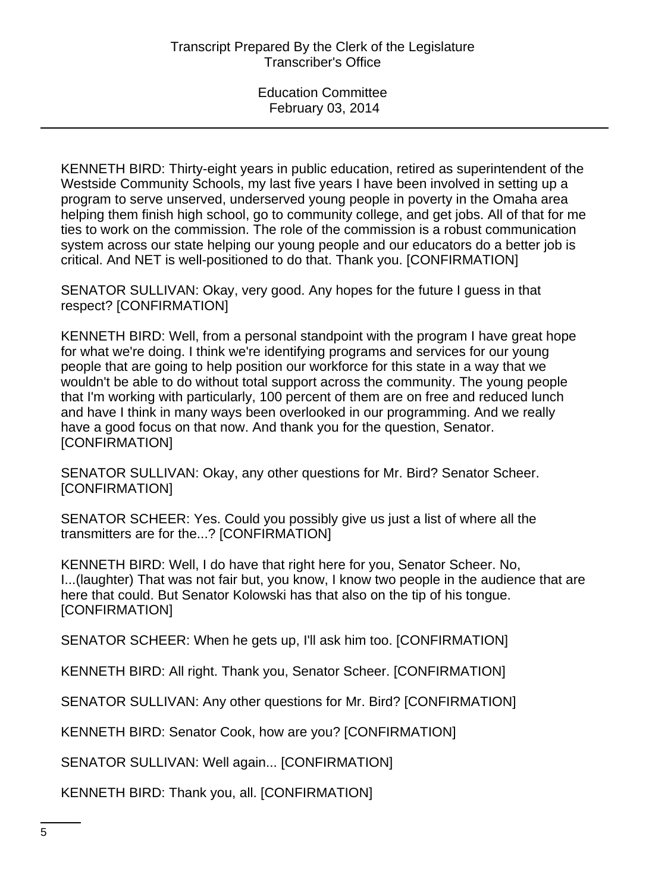KENNETH BIRD: Thirty-eight years in public education, retired as superintendent of the Westside Community Schools, my last five years I have been involved in setting up a program to serve unserved, underserved young people in poverty in the Omaha area helping them finish high school, go to community college, and get jobs. All of that for me ties to work on the commission. The role of the commission is a robust communication system across our state helping our young people and our educators do a better job is critical. And NET is well-positioned to do that. Thank you. [CONFIRMATION]

SENATOR SULLIVAN: Okay, very good. Any hopes for the future I guess in that respect? [CONFIRMATION]

KENNETH BIRD: Well, from a personal standpoint with the program I have great hope for what we're doing. I think we're identifying programs and services for our young people that are going to help position our workforce for this state in a way that we wouldn't be able to do without total support across the community. The young people that I'm working with particularly, 100 percent of them are on free and reduced lunch and have I think in many ways been overlooked in our programming. And we really have a good focus on that now. And thank you for the question, Senator. [CONFIRMATION]

SENATOR SULLIVAN: Okay, any other questions for Mr. Bird? Senator Scheer. [CONFIRMATION]

SENATOR SCHEER: Yes. Could you possibly give us just a list of where all the transmitters are for the...? [CONFIRMATION]

KENNETH BIRD: Well, I do have that right here for you, Senator Scheer. No, I...(laughter) That was not fair but, you know, I know two people in the audience that are here that could. But Senator Kolowski has that also on the tip of his tongue. [CONFIRMATION]

SENATOR SCHEER: When he gets up, I'll ask him too. [CONFIRMATION]

KENNETH BIRD: All right. Thank you, Senator Scheer. [CONFIRMATION]

SENATOR SULLIVAN: Any other questions for Mr. Bird? [CONFIRMATION]

KENNETH BIRD: Senator Cook, how are you? [CONFIRMATION]

SENATOR SULLIVAN: Well again... [CONFIRMATION]

KENNETH BIRD: Thank you, all. [CONFIRMATION]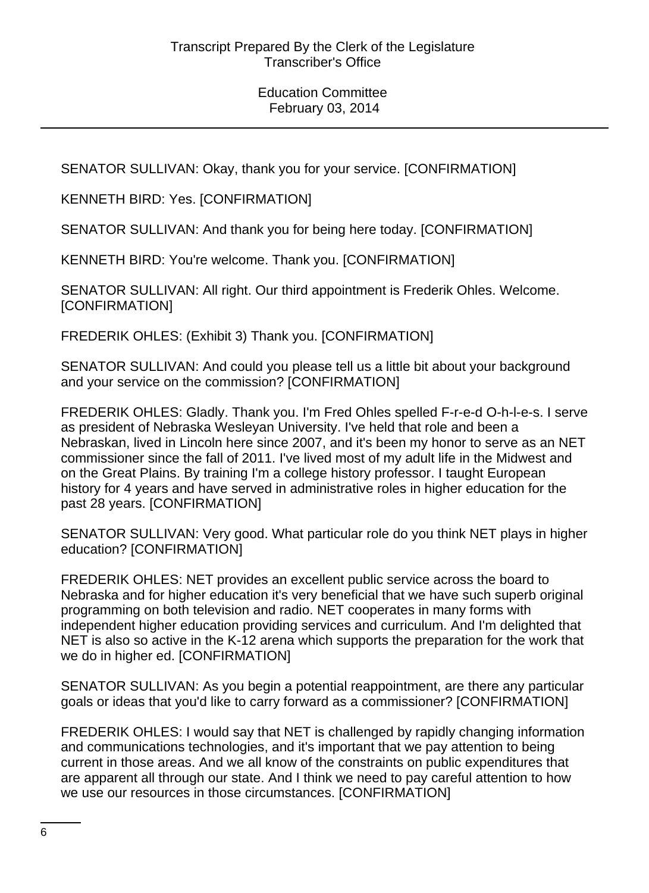SENATOR SULLIVAN: Okay, thank you for your service. [CONFIRMATION]

KENNETH BIRD: Yes. [CONFIRMATION]

SENATOR SULLIVAN: And thank you for being here today. [CONFIRMATION]

KENNETH BIRD: You're welcome. Thank you. [CONFIRMATION]

SENATOR SULLIVAN: All right. Our third appointment is Frederik Ohles. Welcome. [CONFIRMATION]

FREDERIK OHLES: (Exhibit 3) Thank you. [CONFIRMATION]

SENATOR SULLIVAN: And could you please tell us a little bit about your background and your service on the commission? [CONFIRMATION]

FREDERIK OHLES: Gladly. Thank you. I'm Fred Ohles spelled F-r-e-d O-h-l-e-s. I serve as president of Nebraska Wesleyan University. I've held that role and been a Nebraskan, lived in Lincoln here since 2007, and it's been my honor to serve as an NET commissioner since the fall of 2011. I've lived most of my adult life in the Midwest and on the Great Plains. By training I'm a college history professor. I taught European history for 4 years and have served in administrative roles in higher education for the past 28 years. [CONFIRMATION]

SENATOR SULLIVAN: Very good. What particular role do you think NET plays in higher education? [CONFIRMATION]

FREDERIK OHLES: NET provides an excellent public service across the board to Nebraska and for higher education it's very beneficial that we have such superb original programming on both television and radio. NET cooperates in many forms with independent higher education providing services and curriculum. And I'm delighted that NET is also so active in the K-12 arena which supports the preparation for the work that we do in higher ed. [CONFIRMATION]

SENATOR SULLIVAN: As you begin a potential reappointment, are there any particular goals or ideas that you'd like to carry forward as a commissioner? [CONFIRMATION]

FREDERIK OHLES: I would say that NET is challenged by rapidly changing information and communications technologies, and it's important that we pay attention to being current in those areas. And we all know of the constraints on public expenditures that are apparent all through our state. And I think we need to pay careful attention to how we use our resources in those circumstances. [CONFIRMATION]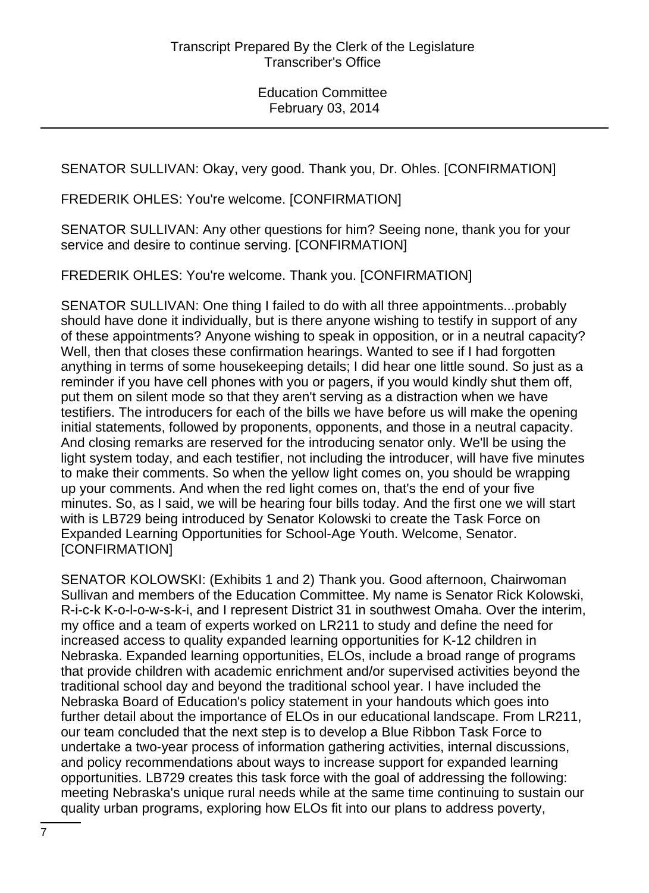SENATOR SULLIVAN: Okay, very good. Thank you, Dr. Ohles. [CONFIRMATION]

FREDERIK OHLES: You're welcome. [CONFIRMATION]

SENATOR SULLIVAN: Any other questions for him? Seeing none, thank you for your service and desire to continue serving. [CONFIRMATION]

FREDERIK OHLES: You're welcome. Thank you. [CONFIRMATION]

SENATOR SULLIVAN: One thing I failed to do with all three appointments...probably should have done it individually, but is there anyone wishing to testify in support of any of these appointments? Anyone wishing to speak in opposition, or in a neutral capacity? Well, then that closes these confirmation hearings. Wanted to see if I had forgotten anything in terms of some housekeeping details; I did hear one little sound. So just as a reminder if you have cell phones with you or pagers, if you would kindly shut them off, put them on silent mode so that they aren't serving as a distraction when we have testifiers. The introducers for each of the bills we have before us will make the opening initial statements, followed by proponents, opponents, and those in a neutral capacity. And closing remarks are reserved for the introducing senator only. We'll be using the light system today, and each testifier, not including the introducer, will have five minutes to make their comments. So when the yellow light comes on, you should be wrapping up your comments. And when the red light comes on, that's the end of your five minutes. So, as I said, we will be hearing four bills today. And the first one we will start with is LB729 being introduced by Senator Kolowski to create the Task Force on Expanded Learning Opportunities for School-Age Youth. Welcome, Senator. [CONFIRMATION]

SENATOR KOLOWSKI: (Exhibits 1 and 2) Thank you. Good afternoon, Chairwoman Sullivan and members of the Education Committee. My name is Senator Rick Kolowski, R-i-c-k K-o-l-o-w-s-k-i, and I represent District 31 in southwest Omaha. Over the interim, my office and a team of experts worked on LR211 to study and define the need for increased access to quality expanded learning opportunities for K-12 children in Nebraska. Expanded learning opportunities, ELOs, include a broad range of programs that provide children with academic enrichment and/or supervised activities beyond the traditional school day and beyond the traditional school year. I have included the Nebraska Board of Education's policy statement in your handouts which goes into further detail about the importance of ELOs in our educational landscape. From LR211, our team concluded that the next step is to develop a Blue Ribbon Task Force to undertake a two-year process of information gathering activities, internal discussions, and policy recommendations about ways to increase support for expanded learning opportunities. LB729 creates this task force with the goal of addressing the following: meeting Nebraska's unique rural needs while at the same time continuing to sustain our quality urban programs, exploring how ELOs fit into our plans to address poverty,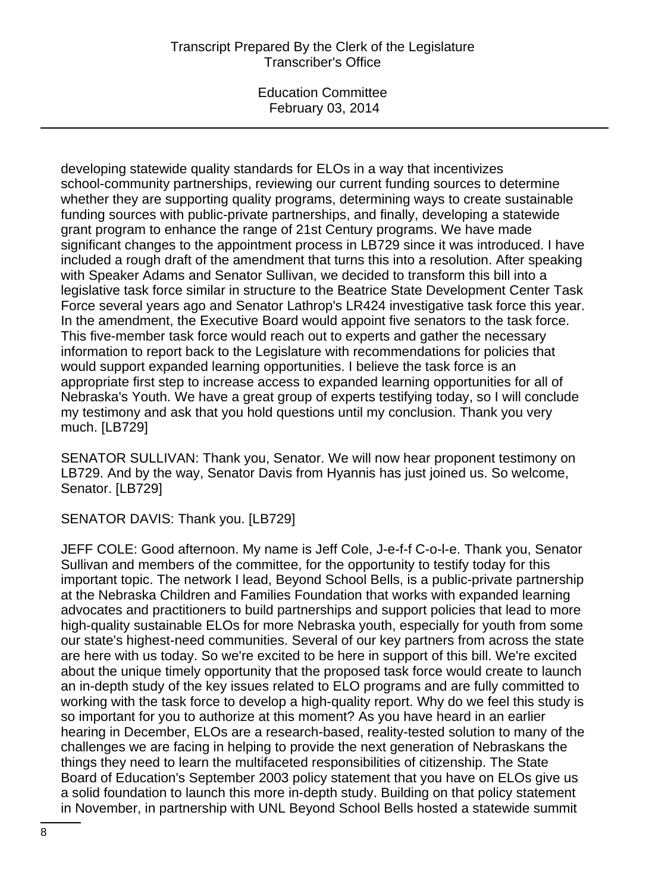Education Committee February 03, 2014

developing statewide quality standards for ELOs in a way that incentivizes school-community partnerships, reviewing our current funding sources to determine whether they are supporting quality programs, determining ways to create sustainable funding sources with public-private partnerships, and finally, developing a statewide grant program to enhance the range of 21st Century programs. We have made significant changes to the appointment process in LB729 since it was introduced. I have included a rough draft of the amendment that turns this into a resolution. After speaking with Speaker Adams and Senator Sullivan, we decided to transform this bill into a legislative task force similar in structure to the Beatrice State Development Center Task Force several years ago and Senator Lathrop's LR424 investigative task force this year. In the amendment, the Executive Board would appoint five senators to the task force. This five-member task force would reach out to experts and gather the necessary information to report back to the Legislature with recommendations for policies that would support expanded learning opportunities. I believe the task force is an appropriate first step to increase access to expanded learning opportunities for all of Nebraska's Youth. We have a great group of experts testifying today, so I will conclude my testimony and ask that you hold questions until my conclusion. Thank you very much. [LB729]

SENATOR SULLIVAN: Thank you, Senator. We will now hear proponent testimony on LB729. And by the way, Senator Davis from Hyannis has just joined us. So welcome, Senator. [LB729]

SENATOR DAVIS: Thank you. [LB729]

JEFF COLE: Good afternoon. My name is Jeff Cole, J-e-f-f C-o-l-e. Thank you, Senator Sullivan and members of the committee, for the opportunity to testify today for this important topic. The network I lead, Beyond School Bells, is a public-private partnership at the Nebraska Children and Families Foundation that works with expanded learning advocates and practitioners to build partnerships and support policies that lead to more high-quality sustainable ELOs for more Nebraska youth, especially for youth from some our state's highest-need communities. Several of our key partners from across the state are here with us today. So we're excited to be here in support of this bill. We're excited about the unique timely opportunity that the proposed task force would create to launch an in-depth study of the key issues related to ELO programs and are fully committed to working with the task force to develop a high-quality report. Why do we feel this study is so important for you to authorize at this moment? As you have heard in an earlier hearing in December, ELOs are a research-based, reality-tested solution to many of the challenges we are facing in helping to provide the next generation of Nebraskans the things they need to learn the multifaceted responsibilities of citizenship. The State Board of Education's September 2003 policy statement that you have on ELOs give us a solid foundation to launch this more in-depth study. Building on that policy statement in November, in partnership with UNL Beyond School Bells hosted a statewide summit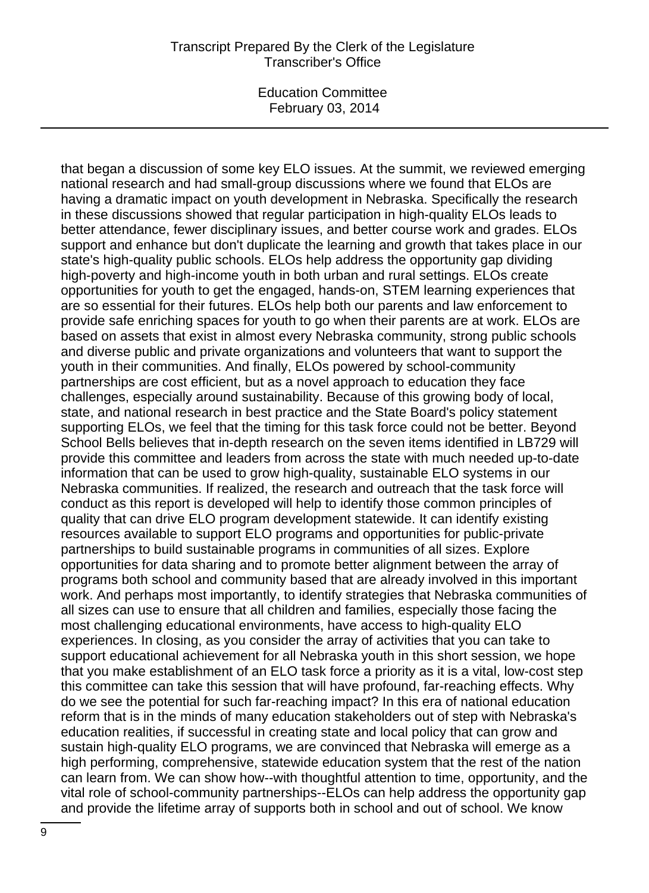Education Committee February 03, 2014

that began a discussion of some key ELO issues. At the summit, we reviewed emerging national research and had small-group discussions where we found that ELOs are having a dramatic impact on youth development in Nebraska. Specifically the research in these discussions showed that regular participation in high-quality ELOs leads to better attendance, fewer disciplinary issues, and better course work and grades. ELOs support and enhance but don't duplicate the learning and growth that takes place in our state's high-quality public schools. ELOs help address the opportunity gap dividing high-poverty and high-income youth in both urban and rural settings. ELOs create opportunities for youth to get the engaged, hands-on, STEM learning experiences that are so essential for their futures. ELOs help both our parents and law enforcement to provide safe enriching spaces for youth to go when their parents are at work. ELOs are based on assets that exist in almost every Nebraska community, strong public schools and diverse public and private organizations and volunteers that want to support the youth in their communities. And finally, ELOs powered by school-community partnerships are cost efficient, but as a novel approach to education they face challenges, especially around sustainability. Because of this growing body of local, state, and national research in best practice and the State Board's policy statement supporting ELOs, we feel that the timing for this task force could not be better. Beyond School Bells believes that in-depth research on the seven items identified in LB729 will provide this committee and leaders from across the state with much needed up-to-date information that can be used to grow high-quality, sustainable ELO systems in our Nebraska communities. If realized, the research and outreach that the task force will conduct as this report is developed will help to identify those common principles of quality that can drive ELO program development statewide. It can identify existing resources available to support ELO programs and opportunities for public-private partnerships to build sustainable programs in communities of all sizes. Explore opportunities for data sharing and to promote better alignment between the array of programs both school and community based that are already involved in this important work. And perhaps most importantly, to identify strategies that Nebraska communities of all sizes can use to ensure that all children and families, especially those facing the most challenging educational environments, have access to high-quality ELO experiences. In closing, as you consider the array of activities that you can take to support educational achievement for all Nebraska youth in this short session, we hope that you make establishment of an ELO task force a priority as it is a vital, low-cost step this committee can take this session that will have profound, far-reaching effects. Why do we see the potential for such far-reaching impact? In this era of national education reform that is in the minds of many education stakeholders out of step with Nebraska's education realities, if successful in creating state and local policy that can grow and sustain high-quality ELO programs, we are convinced that Nebraska will emerge as a high performing, comprehensive, statewide education system that the rest of the nation can learn from. We can show how--with thoughtful attention to time, opportunity, and the vital role of school-community partnerships--ELOs can help address the opportunity gap and provide the lifetime array of supports both in school and out of school. We know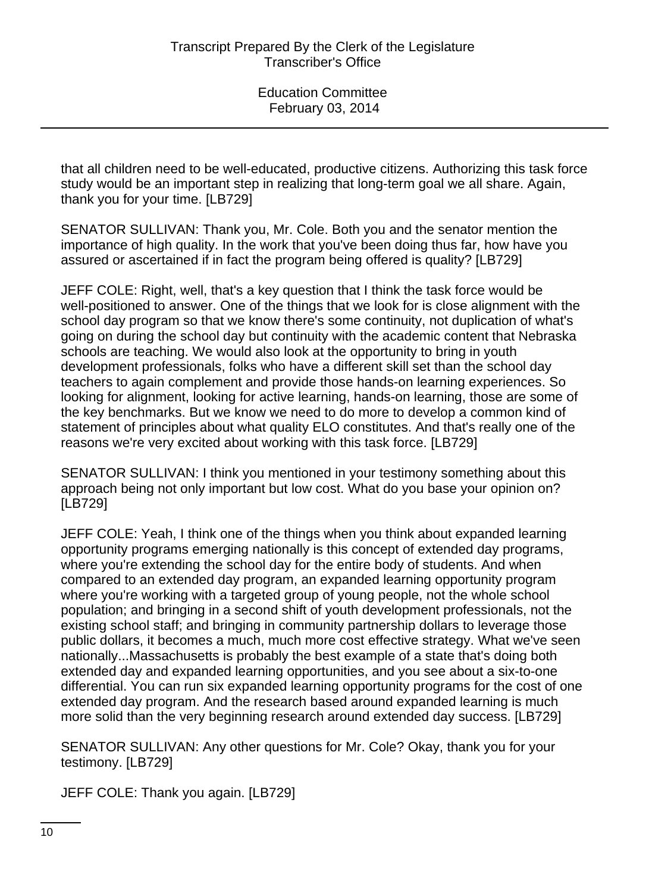that all children need to be well-educated, productive citizens. Authorizing this task force study would be an important step in realizing that long-term goal we all share. Again, thank you for your time. [LB729]

SENATOR SULLIVAN: Thank you, Mr. Cole. Both you and the senator mention the importance of high quality. In the work that you've been doing thus far, how have you assured or ascertained if in fact the program being offered is quality? [LB729]

JEFF COLE: Right, well, that's a key question that I think the task force would be well-positioned to answer. One of the things that we look for is close alignment with the school day program so that we know there's some continuity, not duplication of what's going on during the school day but continuity with the academic content that Nebraska schools are teaching. We would also look at the opportunity to bring in youth development professionals, folks who have a different skill set than the school day teachers to again complement and provide those hands-on learning experiences. So looking for alignment, looking for active learning, hands-on learning, those are some of the key benchmarks. But we know we need to do more to develop a common kind of statement of principles about what quality ELO constitutes. And that's really one of the reasons we're very excited about working with this task force. [LB729]

SENATOR SULLIVAN: I think you mentioned in your testimony something about this approach being not only important but low cost. What do you base your opinion on? [LB729]

JEFF COLE: Yeah, I think one of the things when you think about expanded learning opportunity programs emerging nationally is this concept of extended day programs, where you're extending the school day for the entire body of students. And when compared to an extended day program, an expanded learning opportunity program where you're working with a targeted group of young people, not the whole school population; and bringing in a second shift of youth development professionals, not the existing school staff; and bringing in community partnership dollars to leverage those public dollars, it becomes a much, much more cost effective strategy. What we've seen nationally...Massachusetts is probably the best example of a state that's doing both extended day and expanded learning opportunities, and you see about a six-to-one differential. You can run six expanded learning opportunity programs for the cost of one extended day program. And the research based around expanded learning is much more solid than the very beginning research around extended day success. [LB729]

SENATOR SULLIVAN: Any other questions for Mr. Cole? Okay, thank you for your testimony. [LB729]

JEFF COLE: Thank you again. [LB729]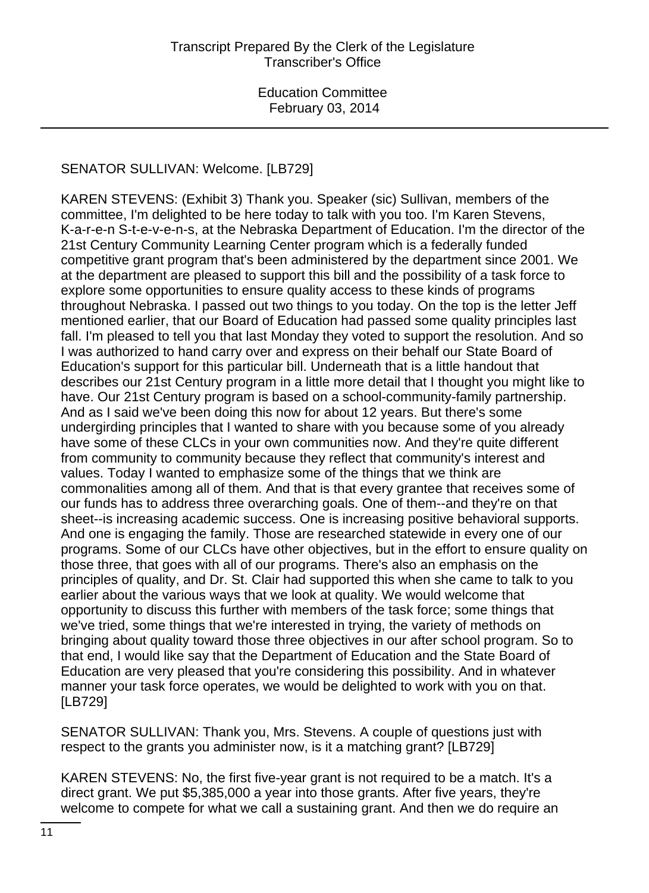# SENATOR SULLIVAN: Welcome. [LB729]

KAREN STEVENS: (Exhibit 3) Thank you. Speaker (sic) Sullivan, members of the committee, I'm delighted to be here today to talk with you too. I'm Karen Stevens, K-a-r-e-n S-t-e-v-e-n-s, at the Nebraska Department of Education. I'm the director of the 21st Century Community Learning Center program which is a federally funded competitive grant program that's been administered by the department since 2001. We at the department are pleased to support this bill and the possibility of a task force to explore some opportunities to ensure quality access to these kinds of programs throughout Nebraska. I passed out two things to you today. On the top is the letter Jeff mentioned earlier, that our Board of Education had passed some quality principles last fall. I'm pleased to tell you that last Monday they voted to support the resolution. And so I was authorized to hand carry over and express on their behalf our State Board of Education's support for this particular bill. Underneath that is a little handout that describes our 21st Century program in a little more detail that I thought you might like to have. Our 21st Century program is based on a school-community-family partnership. And as I said we've been doing this now for about 12 years. But there's some undergirding principles that I wanted to share with you because some of you already have some of these CLCs in your own communities now. And they're quite different from community to community because they reflect that community's interest and values. Today I wanted to emphasize some of the things that we think are commonalities among all of them. And that is that every grantee that receives some of our funds has to address three overarching goals. One of them--and they're on that sheet--is increasing academic success. One is increasing positive behavioral supports. And one is engaging the family. Those are researched statewide in every one of our programs. Some of our CLCs have other objectives, but in the effort to ensure quality on those three, that goes with all of our programs. There's also an emphasis on the principles of quality, and Dr. St. Clair had supported this when she came to talk to you earlier about the various ways that we look at quality. We would welcome that opportunity to discuss this further with members of the task force; some things that we've tried, some things that we're interested in trying, the variety of methods on bringing about quality toward those three objectives in our after school program. So to that end, I would like say that the Department of Education and the State Board of Education are very pleased that you're considering this possibility. And in whatever manner your task force operates, we would be delighted to work with you on that. [LB729]

SENATOR SULLIVAN: Thank you, Mrs. Stevens. A couple of questions just with respect to the grants you administer now, is it a matching grant? [LB729]

KAREN STEVENS: No, the first five-year grant is not required to be a match. It's a direct grant. We put \$5,385,000 a year into those grants. After five years, they're welcome to compete for what we call a sustaining grant. And then we do require an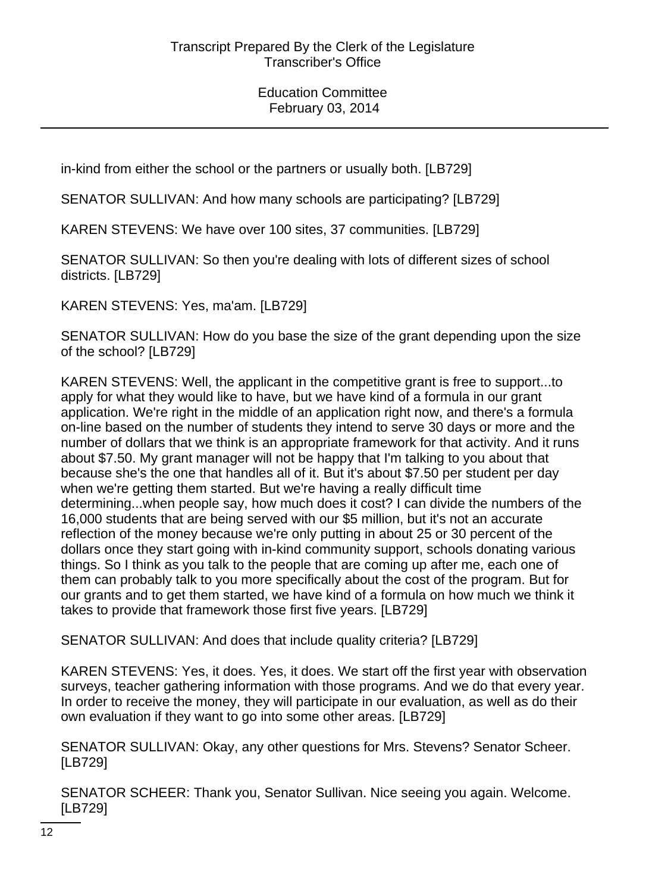in-kind from either the school or the partners or usually both. [LB729]

SENATOR SULLIVAN: And how many schools are participating? [LB729]

KAREN STEVENS: We have over 100 sites, 37 communities. [LB729]

SENATOR SULLIVAN: So then you're dealing with lots of different sizes of school districts. [LB729]

KAREN STEVENS: Yes, ma'am. [LB729]

SENATOR SULLIVAN: How do you base the size of the grant depending upon the size of the school? [LB729]

KAREN STEVENS: Well, the applicant in the competitive grant is free to support...to apply for what they would like to have, but we have kind of a formula in our grant application. We're right in the middle of an application right now, and there's a formula on-line based on the number of students they intend to serve 30 days or more and the number of dollars that we think is an appropriate framework for that activity. And it runs about \$7.50. My grant manager will not be happy that I'm talking to you about that because she's the one that handles all of it. But it's about \$7.50 per student per day when we're getting them started. But we're having a really difficult time determining...when people say, how much does it cost? I can divide the numbers of the 16,000 students that are being served with our \$5 million, but it's not an accurate reflection of the money because we're only putting in about 25 or 30 percent of the dollars once they start going with in-kind community support, schools donating various things. So I think as you talk to the people that are coming up after me, each one of them can probably talk to you more specifically about the cost of the program. But for our grants and to get them started, we have kind of a formula on how much we think it takes to provide that framework those first five years. [LB729]

SENATOR SULLIVAN: And does that include quality criteria? [LB729]

KAREN STEVENS: Yes, it does. Yes, it does. We start off the first year with observation surveys, teacher gathering information with those programs. And we do that every year. In order to receive the money, they will participate in our evaluation, as well as do their own evaluation if they want to go into some other areas. [LB729]

SENATOR SULLIVAN: Okay, any other questions for Mrs. Stevens? Senator Scheer. [LB729]

SENATOR SCHEER: Thank you, Senator Sullivan. Nice seeing you again. Welcome. [LB729]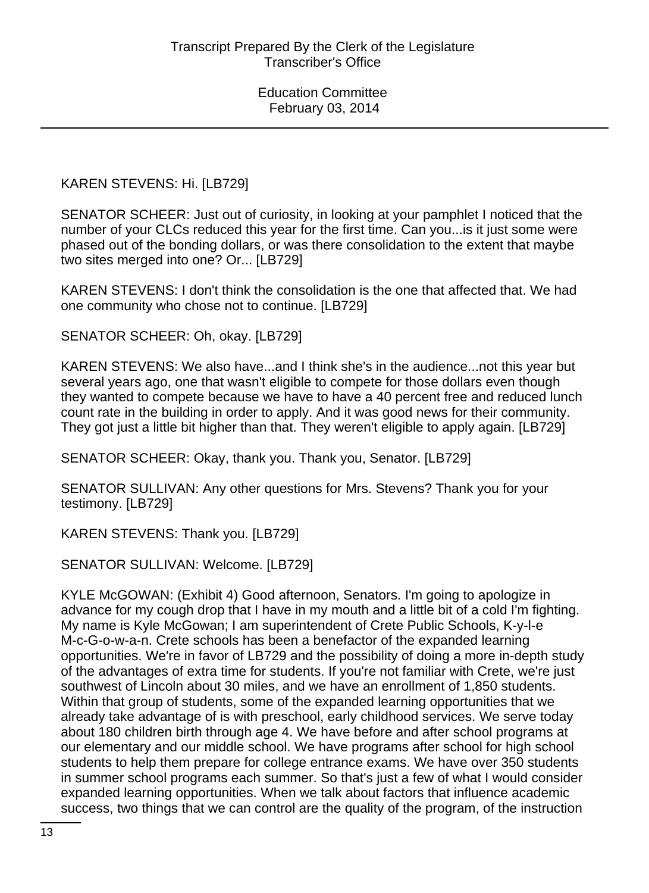### KAREN STEVENS: Hi. [LB729]

SENATOR SCHEER: Just out of curiosity, in looking at your pamphlet I noticed that the number of your CLCs reduced this year for the first time. Can you...is it just some were phased out of the bonding dollars, or was there consolidation to the extent that maybe two sites merged into one? Or... [LB729]

KAREN STEVENS: I don't think the consolidation is the one that affected that. We had one community who chose not to continue. [LB729]

SENATOR SCHEER: Oh, okay. [LB729]

KAREN STEVENS: We also have...and I think she's in the audience...not this year but several years ago, one that wasn't eligible to compete for those dollars even though they wanted to compete because we have to have a 40 percent free and reduced lunch count rate in the building in order to apply. And it was good news for their community. They got just a little bit higher than that. They weren't eligible to apply again. [LB729]

SENATOR SCHEER: Okay, thank you. Thank you, Senator. [LB729]

SENATOR SULLIVAN: Any other questions for Mrs. Stevens? Thank you for your testimony. [LB729]

KAREN STEVENS: Thank you. [LB729]

SENATOR SULLIVAN: Welcome. [LB729]

KYLE McGOWAN: (Exhibit 4) Good afternoon, Senators. I'm going to apologize in advance for my cough drop that I have in my mouth and a little bit of a cold I'm fighting. My name is Kyle McGowan; I am superintendent of Crete Public Schools, K-y-l-e M-c-G-o-w-a-n. Crete schools has been a benefactor of the expanded learning opportunities. We're in favor of LB729 and the possibility of doing a more in-depth study of the advantages of extra time for students. If you're not familiar with Crete, we're just southwest of Lincoln about 30 miles, and we have an enrollment of 1,850 students. Within that group of students, some of the expanded learning opportunities that we already take advantage of is with preschool, early childhood services. We serve today about 180 children birth through age 4. We have before and after school programs at our elementary and our middle school. We have programs after school for high school students to help them prepare for college entrance exams. We have over 350 students in summer school programs each summer. So that's just a few of what I would consider expanded learning opportunities. When we talk about factors that influence academic success, two things that we can control are the quality of the program, of the instruction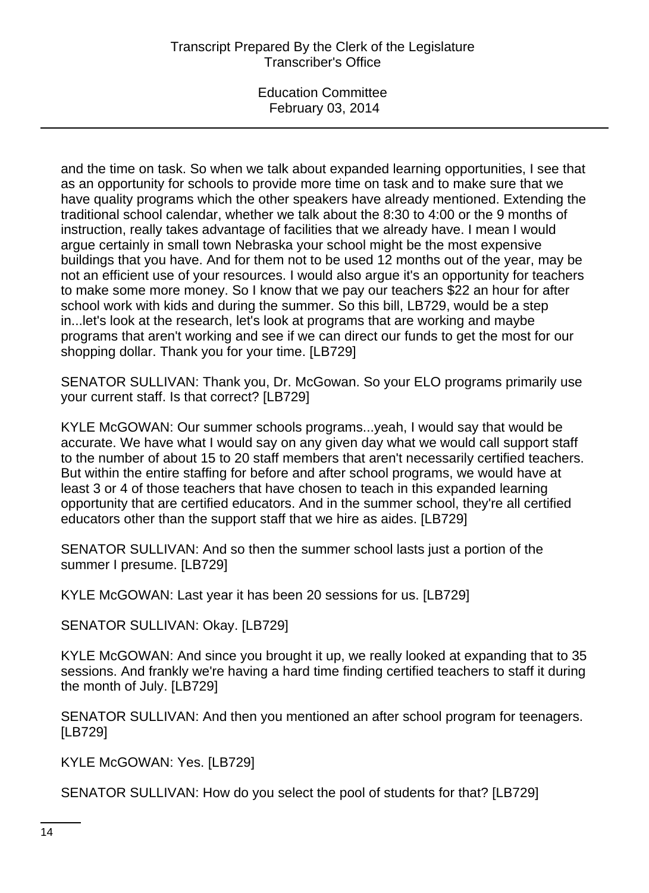and the time on task. So when we talk about expanded learning opportunities, I see that as an opportunity for schools to provide more time on task and to make sure that we have quality programs which the other speakers have already mentioned. Extending the traditional school calendar, whether we talk about the 8:30 to 4:00 or the 9 months of instruction, really takes advantage of facilities that we already have. I mean I would argue certainly in small town Nebraska your school might be the most expensive buildings that you have. And for them not to be used 12 months out of the year, may be not an efficient use of your resources. I would also argue it's an opportunity for teachers to make some more money. So I know that we pay our teachers \$22 an hour for after school work with kids and during the summer. So this bill, LB729, would be a step in...let's look at the research, let's look at programs that are working and maybe programs that aren't working and see if we can direct our funds to get the most for our shopping dollar. Thank you for your time. [LB729]

SENATOR SULLIVAN: Thank you, Dr. McGowan. So your ELO programs primarily use your current staff. Is that correct? [LB729]

KYLE McGOWAN: Our summer schools programs...yeah, I would say that would be accurate. We have what I would say on any given day what we would call support staff to the number of about 15 to 20 staff members that aren't necessarily certified teachers. But within the entire staffing for before and after school programs, we would have at least 3 or 4 of those teachers that have chosen to teach in this expanded learning opportunity that are certified educators. And in the summer school, they're all certified educators other than the support staff that we hire as aides. [LB729]

SENATOR SULLIVAN: And so then the summer school lasts just a portion of the summer I presume. [LB729]

KYLE McGOWAN: Last year it has been 20 sessions for us. [LB729]

SENATOR SULLIVAN: Okay. [LB729]

KYLE McGOWAN: And since you brought it up, we really looked at expanding that to 35 sessions. And frankly we're having a hard time finding certified teachers to staff it during the month of July. [LB729]

SENATOR SULLIVAN: And then you mentioned an after school program for teenagers. [LB729]

KYLE McGOWAN: Yes. [LB729]

SENATOR SULLIVAN: How do you select the pool of students for that? [LB729]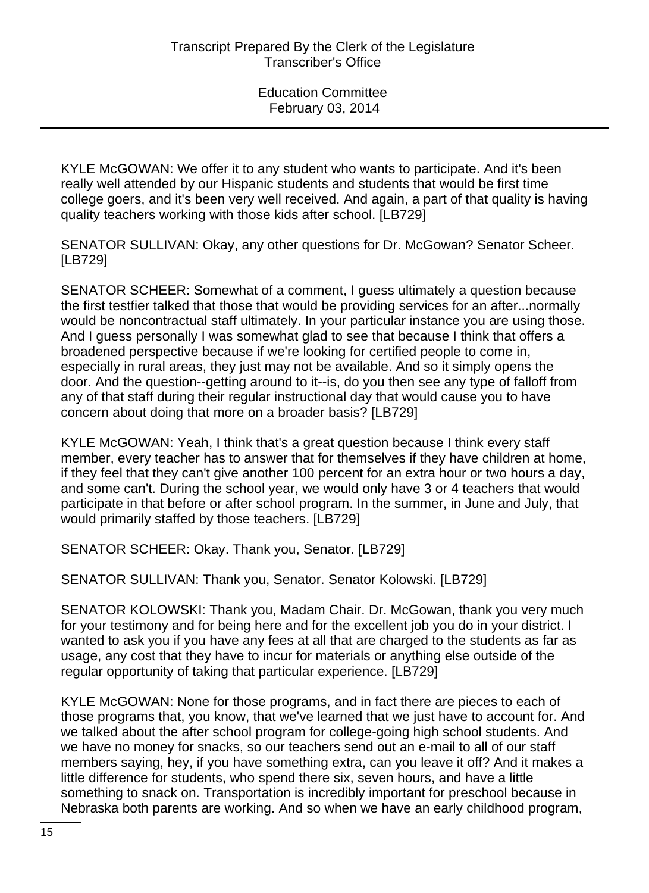KYLE McGOWAN: We offer it to any student who wants to participate. And it's been really well attended by our Hispanic students and students that would be first time college goers, and it's been very well received. And again, a part of that quality is having quality teachers working with those kids after school. [LB729]

SENATOR SULLIVAN: Okay, any other questions for Dr. McGowan? Senator Scheer. [LB729]

SENATOR SCHEER: Somewhat of a comment, I guess ultimately a question because the first testfier talked that those that would be providing services for an after...normally would be noncontractual staff ultimately. In your particular instance you are using those. And I guess personally I was somewhat glad to see that because I think that offers a broadened perspective because if we're looking for certified people to come in, especially in rural areas, they just may not be available. And so it simply opens the door. And the question--getting around to it--is, do you then see any type of falloff from any of that staff during their regular instructional day that would cause you to have concern about doing that more on a broader basis? [LB729]

KYLE McGOWAN: Yeah, I think that's a great question because I think every staff member, every teacher has to answer that for themselves if they have children at home, if they feel that they can't give another 100 percent for an extra hour or two hours a day, and some can't. During the school year, we would only have 3 or 4 teachers that would participate in that before or after school program. In the summer, in June and July, that would primarily staffed by those teachers. [LB729]

SENATOR SCHEER: Okay. Thank you, Senator. [LB729]

SENATOR SULLIVAN: Thank you, Senator. Senator Kolowski. [LB729]

SENATOR KOLOWSKI: Thank you, Madam Chair. Dr. McGowan, thank you very much for your testimony and for being here and for the excellent job you do in your district. I wanted to ask you if you have any fees at all that are charged to the students as far as usage, any cost that they have to incur for materials or anything else outside of the regular opportunity of taking that particular experience. [LB729]

KYLE McGOWAN: None for those programs, and in fact there are pieces to each of those programs that, you know, that we've learned that we just have to account for. And we talked about the after school program for college-going high school students. And we have no money for snacks, so our teachers send out an e-mail to all of our staff members saying, hey, if you have something extra, can you leave it off? And it makes a little difference for students, who spend there six, seven hours, and have a little something to snack on. Transportation is incredibly important for preschool because in Nebraska both parents are working. And so when we have an early childhood program,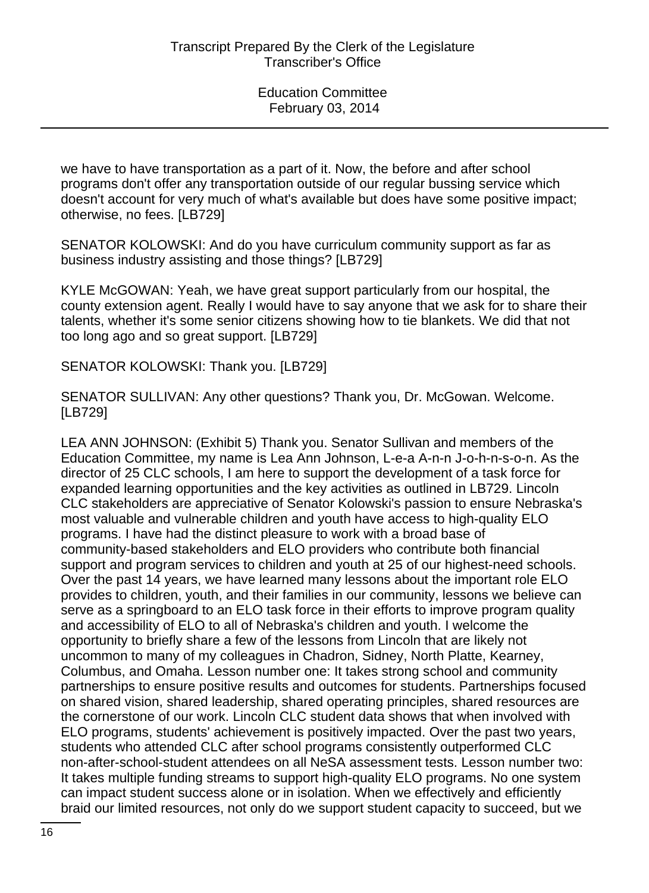we have to have transportation as a part of it. Now, the before and after school programs don't offer any transportation outside of our regular bussing service which doesn't account for very much of what's available but does have some positive impact; otherwise, no fees. [LB729]

SENATOR KOLOWSKI: And do you have curriculum community support as far as business industry assisting and those things? [LB729]

KYLE McGOWAN: Yeah, we have great support particularly from our hospital, the county extension agent. Really I would have to say anyone that we ask for to share their talents, whether it's some senior citizens showing how to tie blankets. We did that not too long ago and so great support. [LB729]

SENATOR KOLOWSKI: Thank you. [LB729]

SENATOR SULLIVAN: Any other questions? Thank you, Dr. McGowan. Welcome. [LB729]

LEA ANN JOHNSON: (Exhibit 5) Thank you. Senator Sullivan and members of the Education Committee, my name is Lea Ann Johnson, L-e-a A-n-n J-o-h-n-s-o-n. As the director of 25 CLC schools, I am here to support the development of a task force for expanded learning opportunities and the key activities as outlined in LB729. Lincoln CLC stakeholders are appreciative of Senator Kolowski's passion to ensure Nebraska's most valuable and vulnerable children and youth have access to high-quality ELO programs. I have had the distinct pleasure to work with a broad base of community-based stakeholders and ELO providers who contribute both financial support and program services to children and youth at 25 of our highest-need schools. Over the past 14 years, we have learned many lessons about the important role ELO provides to children, youth, and their families in our community, lessons we believe can serve as a springboard to an ELO task force in their efforts to improve program quality and accessibility of ELO to all of Nebraska's children and youth. I welcome the opportunity to briefly share a few of the lessons from Lincoln that are likely not uncommon to many of my colleagues in Chadron, Sidney, North Platte, Kearney, Columbus, and Omaha. Lesson number one: It takes strong school and community partnerships to ensure positive results and outcomes for students. Partnerships focused on shared vision, shared leadership, shared operating principles, shared resources are the cornerstone of our work. Lincoln CLC student data shows that when involved with ELO programs, students' achievement is positively impacted. Over the past two years, students who attended CLC after school programs consistently outperformed CLC non-after-school-student attendees on all NeSA assessment tests. Lesson number two: It takes multiple funding streams to support high-quality ELO programs. No one system can impact student success alone or in isolation. When we effectively and efficiently braid our limited resources, not only do we support student capacity to succeed, but we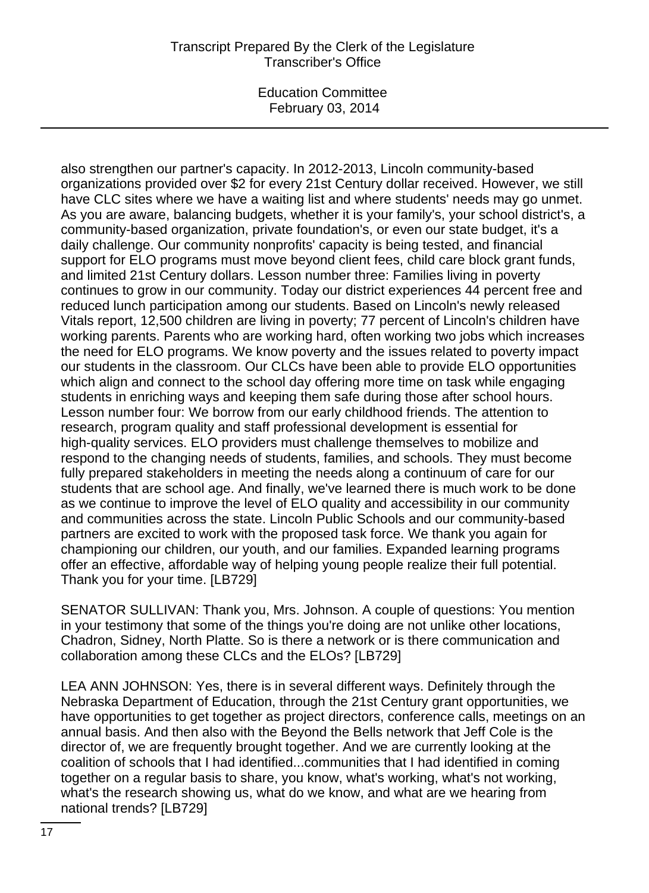Education Committee February 03, 2014

also strengthen our partner's capacity. In 2012-2013, Lincoln community-based organizations provided over \$2 for every 21st Century dollar received. However, we still have CLC sites where we have a waiting list and where students' needs may go unmet. As you are aware, balancing budgets, whether it is your family's, your school district's, a community-based organization, private foundation's, or even our state budget, it's a daily challenge. Our community nonprofits' capacity is being tested, and financial support for ELO programs must move beyond client fees, child care block grant funds, and limited 21st Century dollars. Lesson number three: Families living in poverty continues to grow in our community. Today our district experiences 44 percent free and reduced lunch participation among our students. Based on Lincoln's newly released Vitals report, 12,500 children are living in poverty; 77 percent of Lincoln's children have working parents. Parents who are working hard, often working two jobs which increases the need for ELO programs. We know poverty and the issues related to poverty impact our students in the classroom. Our CLCs have been able to provide ELO opportunities which align and connect to the school day offering more time on task while engaging students in enriching ways and keeping them safe during those after school hours. Lesson number four: We borrow from our early childhood friends. The attention to research, program quality and staff professional development is essential for high-quality services. ELO providers must challenge themselves to mobilize and respond to the changing needs of students, families, and schools. They must become fully prepared stakeholders in meeting the needs along a continuum of care for our students that are school age. And finally, we've learned there is much work to be done as we continue to improve the level of ELO quality and accessibility in our community and communities across the state. Lincoln Public Schools and our community-based partners are excited to work with the proposed task force. We thank you again for championing our children, our youth, and our families. Expanded learning programs offer an effective, affordable way of helping young people realize their full potential. Thank you for your time. [LB729]

SENATOR SULLIVAN: Thank you, Mrs. Johnson. A couple of questions: You mention in your testimony that some of the things you're doing are not unlike other locations, Chadron, Sidney, North Platte. So is there a network or is there communication and collaboration among these CLCs and the ELOs? [LB729]

LEA ANN JOHNSON: Yes, there is in several different ways. Definitely through the Nebraska Department of Education, through the 21st Century grant opportunities, we have opportunities to get together as project directors, conference calls, meetings on an annual basis. And then also with the Beyond the Bells network that Jeff Cole is the director of, we are frequently brought together. And we are currently looking at the coalition of schools that I had identified...communities that I had identified in coming together on a regular basis to share, you know, what's working, what's not working, what's the research showing us, what do we know, and what are we hearing from national trends? [LB729]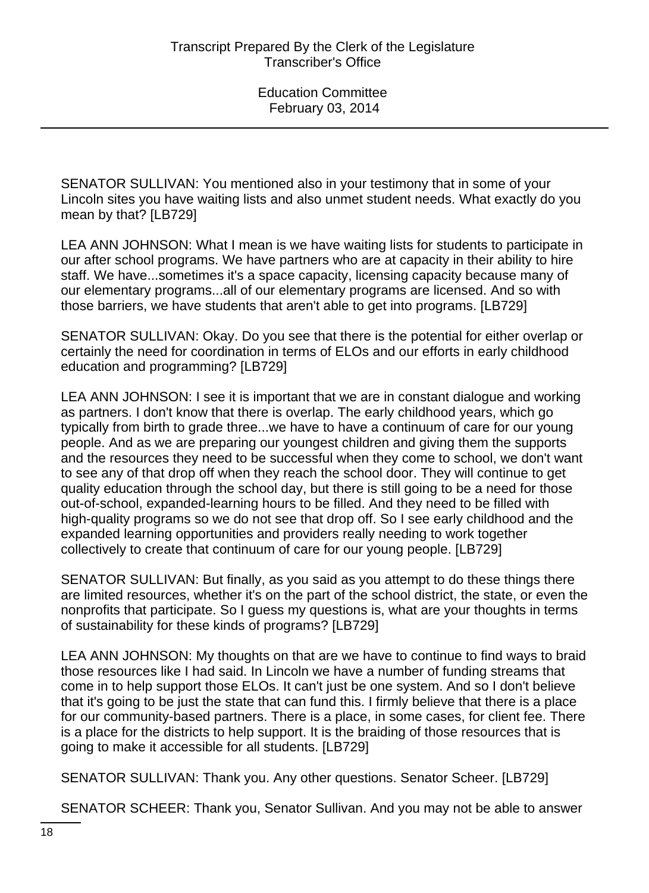SENATOR SULLIVAN: You mentioned also in your testimony that in some of your Lincoln sites you have waiting lists and also unmet student needs. What exactly do you mean by that? [LB729]

LEA ANN JOHNSON: What I mean is we have waiting lists for students to participate in our after school programs. We have partners who are at capacity in their ability to hire staff. We have...sometimes it's a space capacity, licensing capacity because many of our elementary programs...all of our elementary programs are licensed. And so with those barriers, we have students that aren't able to get into programs. [LB729]

SENATOR SULLIVAN: Okay. Do you see that there is the potential for either overlap or certainly the need for coordination in terms of ELOs and our efforts in early childhood education and programming? [LB729]

LEA ANN JOHNSON: I see it is important that we are in constant dialogue and working as partners. I don't know that there is overlap. The early childhood years, which go typically from birth to grade three...we have to have a continuum of care for our young people. And as we are preparing our youngest children and giving them the supports and the resources they need to be successful when they come to school, we don't want to see any of that drop off when they reach the school door. They will continue to get quality education through the school day, but there is still going to be a need for those out-of-school, expanded-learning hours to be filled. And they need to be filled with high-quality programs so we do not see that drop off. So I see early childhood and the expanded learning opportunities and providers really needing to work together collectively to create that continuum of care for our young people. [LB729]

SENATOR SULLIVAN: But finally, as you said as you attempt to do these things there are limited resources, whether it's on the part of the school district, the state, or even the nonprofits that participate. So I guess my questions is, what are your thoughts in terms of sustainability for these kinds of programs? [LB729]

LEA ANN JOHNSON: My thoughts on that are we have to continue to find ways to braid those resources like I had said. In Lincoln we have a number of funding streams that come in to help support those ELOs. It can't just be one system. And so I don't believe that it's going to be just the state that can fund this. I firmly believe that there is a place for our community-based partners. There is a place, in some cases, for client fee. There is a place for the districts to help support. It is the braiding of those resources that is going to make it accessible for all students. [LB729]

SENATOR SULLIVAN: Thank you. Any other questions. Senator Scheer. [LB729]

SENATOR SCHEER: Thank you, Senator Sullivan. And you may not be able to answer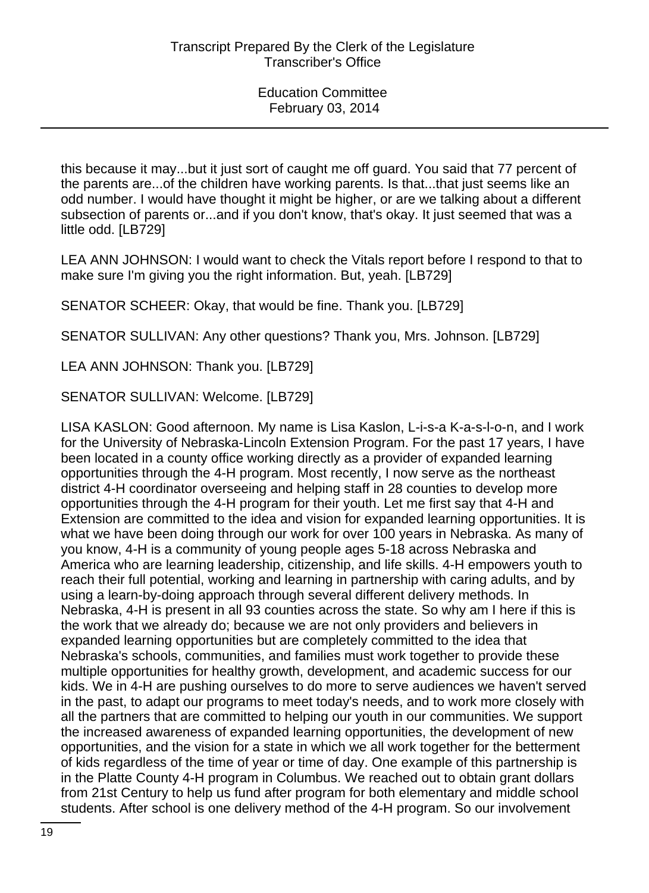this because it may...but it just sort of caught me off guard. You said that 77 percent of the parents are...of the children have working parents. Is that...that just seems like an odd number. I would have thought it might be higher, or are we talking about a different subsection of parents or...and if you don't know, that's okay. It just seemed that was a little odd. [LB729]

LEA ANN JOHNSON: I would want to check the Vitals report before I respond to that to make sure I'm giving you the right information. But, yeah. [LB729]

SENATOR SCHEER: Okay, that would be fine. Thank you. [LB729]

SENATOR SULLIVAN: Any other questions? Thank you, Mrs. Johnson. [LB729]

LEA ANN JOHNSON: Thank you. [LB729]

SENATOR SULLIVAN: Welcome. [LB729]

LISA KASLON: Good afternoon. My name is Lisa Kaslon, L-i-s-a K-a-s-l-o-n, and I work for the University of Nebraska-Lincoln Extension Program. For the past 17 years, I have been located in a county office working directly as a provider of expanded learning opportunities through the 4-H program. Most recently, I now serve as the northeast district 4-H coordinator overseeing and helping staff in 28 counties to develop more opportunities through the 4-H program for their youth. Let me first say that 4-H and Extension are committed to the idea and vision for expanded learning opportunities. It is what we have been doing through our work for over 100 years in Nebraska. As many of you know, 4-H is a community of young people ages 5-18 across Nebraska and America who are learning leadership, citizenship, and life skills. 4-H empowers youth to reach their full potential, working and learning in partnership with caring adults, and by using a learn-by-doing approach through several different delivery methods. In Nebraska, 4-H is present in all 93 counties across the state. So why am I here if this is the work that we already do; because we are not only providers and believers in expanded learning opportunities but are completely committed to the idea that Nebraska's schools, communities, and families must work together to provide these multiple opportunities for healthy growth, development, and academic success for our kids. We in 4-H are pushing ourselves to do more to serve audiences we haven't served in the past, to adapt our programs to meet today's needs, and to work more closely with all the partners that are committed to helping our youth in our communities. We support the increased awareness of expanded learning opportunities, the development of new opportunities, and the vision for a state in which we all work together for the betterment of kids regardless of the time of year or time of day. One example of this partnership is in the Platte County 4-H program in Columbus. We reached out to obtain grant dollars from 21st Century to help us fund after program for both elementary and middle school students. After school is one delivery method of the 4-H program. So our involvement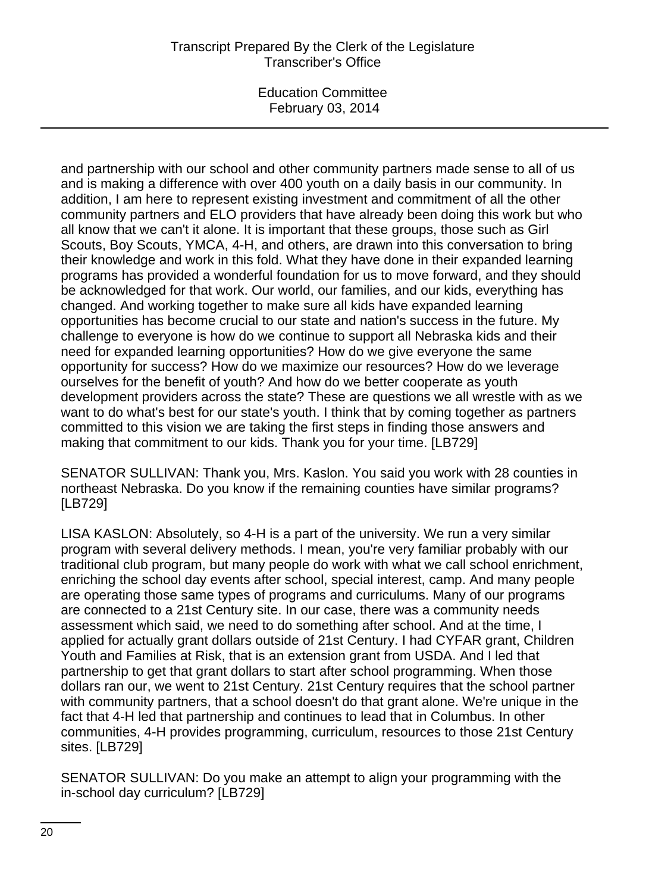Education Committee February 03, 2014

and partnership with our school and other community partners made sense to all of us and is making a difference with over 400 youth on a daily basis in our community. In addition, I am here to represent existing investment and commitment of all the other community partners and ELO providers that have already been doing this work but who all know that we can't it alone. It is important that these groups, those such as Girl Scouts, Boy Scouts, YMCA, 4-H, and others, are drawn into this conversation to bring their knowledge and work in this fold. What they have done in their expanded learning programs has provided a wonderful foundation for us to move forward, and they should be acknowledged for that work. Our world, our families, and our kids, everything has changed. And working together to make sure all kids have expanded learning opportunities has become crucial to our state and nation's success in the future. My challenge to everyone is how do we continue to support all Nebraska kids and their need for expanded learning opportunities? How do we give everyone the same opportunity for success? How do we maximize our resources? How do we leverage ourselves for the benefit of youth? And how do we better cooperate as youth development providers across the state? These are questions we all wrestle with as we want to do what's best for our state's youth. I think that by coming together as partners committed to this vision we are taking the first steps in finding those answers and making that commitment to our kids. Thank you for your time. [LB729]

SENATOR SULLIVAN: Thank you, Mrs. Kaslon. You said you work with 28 counties in northeast Nebraska. Do you know if the remaining counties have similar programs? [LB729]

LISA KASLON: Absolutely, so 4-H is a part of the university. We run a very similar program with several delivery methods. I mean, you're very familiar probably with our traditional club program, but many people do work with what we call school enrichment, enriching the school day events after school, special interest, camp. And many people are operating those same types of programs and curriculums. Many of our programs are connected to a 21st Century site. In our case, there was a community needs assessment which said, we need to do something after school. And at the time, I applied for actually grant dollars outside of 21st Century. I had CYFAR grant, Children Youth and Families at Risk, that is an extension grant from USDA. And I led that partnership to get that grant dollars to start after school programming. When those dollars ran our, we went to 21st Century. 21st Century requires that the school partner with community partners, that a school doesn't do that grant alone. We're unique in the fact that 4-H led that partnership and continues to lead that in Columbus. In other communities, 4-H provides programming, curriculum, resources to those 21st Century sites. [LB729]

SENATOR SULLIVAN: Do you make an attempt to align your programming with the in-school day curriculum? [LB729]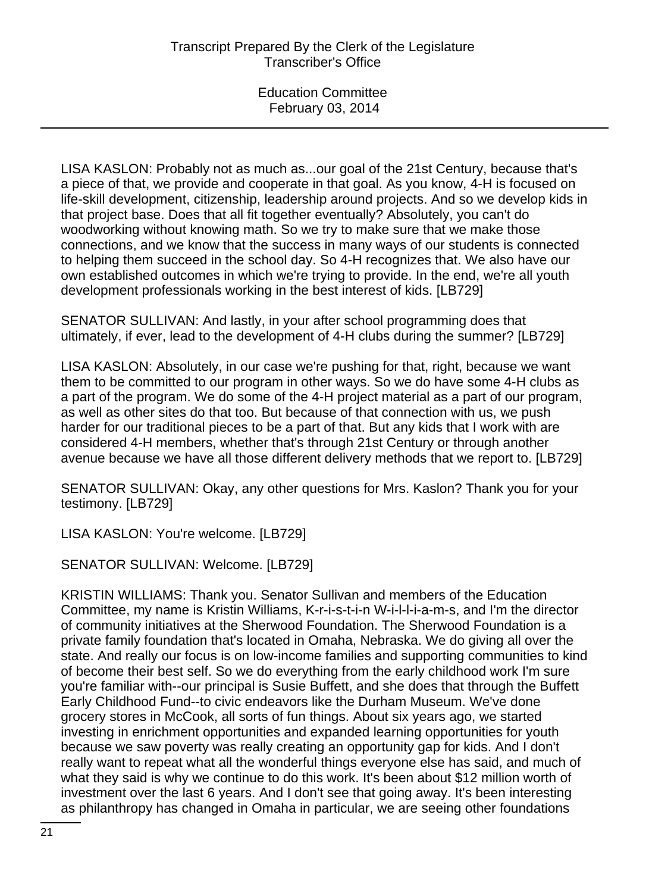LISA KASLON: Probably not as much as...our goal of the 21st Century, because that's a piece of that, we provide and cooperate in that goal. As you know, 4-H is focused on life-skill development, citizenship, leadership around projects. And so we develop kids in that project base. Does that all fit together eventually? Absolutely, you can't do woodworking without knowing math. So we try to make sure that we make those connections, and we know that the success in many ways of our students is connected to helping them succeed in the school day. So 4-H recognizes that. We also have our own established outcomes in which we're trying to provide. In the end, we're all youth development professionals working in the best interest of kids. [LB729]

SENATOR SULLIVAN: And lastly, in your after school programming does that ultimately, if ever, lead to the development of 4-H clubs during the summer? [LB729]

LISA KASLON: Absolutely, in our case we're pushing for that, right, because we want them to be committed to our program in other ways. So we do have some 4-H clubs as a part of the program. We do some of the 4-H project material as a part of our program, as well as other sites do that too. But because of that connection with us, we push harder for our traditional pieces to be a part of that. But any kids that I work with are considered 4-H members, whether that's through 21st Century or through another avenue because we have all those different delivery methods that we report to. [LB729]

SENATOR SULLIVAN: Okay, any other questions for Mrs. Kaslon? Thank you for your testimony. [LB729]

LISA KASLON: You're welcome. [LB729]

SENATOR SULLIVAN: Welcome. [LB729]

KRISTIN WILLIAMS: Thank you. Senator Sullivan and members of the Education Committee, my name is Kristin Williams, K-r-i-s-t-i-n W-i-l-l-i-a-m-s, and I'm the director of community initiatives at the Sherwood Foundation. The Sherwood Foundation is a private family foundation that's located in Omaha, Nebraska. We do giving all over the state. And really our focus is on low-income families and supporting communities to kind of become their best self. So we do everything from the early childhood work I'm sure you're familiar with--our principal is Susie Buffett, and she does that through the Buffett Early Childhood Fund--to civic endeavors like the Durham Museum. We've done grocery stores in McCook, all sorts of fun things. About six years ago, we started investing in enrichment opportunities and expanded learning opportunities for youth because we saw poverty was really creating an opportunity gap for kids. And I don't really want to repeat what all the wonderful things everyone else has said, and much of what they said is why we continue to do this work. It's been about \$12 million worth of investment over the last 6 years. And I don't see that going away. It's been interesting as philanthropy has changed in Omaha in particular, we are seeing other foundations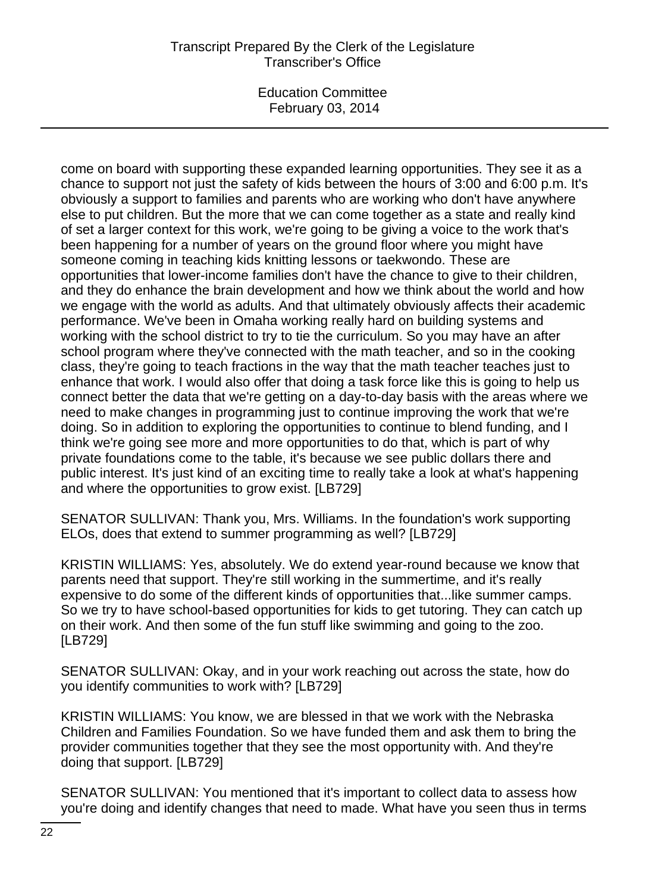Education Committee February 03, 2014

come on board with supporting these expanded learning opportunities. They see it as a chance to support not just the safety of kids between the hours of 3:00 and 6:00 p.m. It's obviously a support to families and parents who are working who don't have anywhere else to put children. But the more that we can come together as a state and really kind of set a larger context for this work, we're going to be giving a voice to the work that's been happening for a number of years on the ground floor where you might have someone coming in teaching kids knitting lessons or taekwondo. These are opportunities that lower-income families don't have the chance to give to their children, and they do enhance the brain development and how we think about the world and how we engage with the world as adults. And that ultimately obviously affects their academic performance. We've been in Omaha working really hard on building systems and working with the school district to try to tie the curriculum. So you may have an after school program where they've connected with the math teacher, and so in the cooking class, they're going to teach fractions in the way that the math teacher teaches just to enhance that work. I would also offer that doing a task force like this is going to help us connect better the data that we're getting on a day-to-day basis with the areas where we need to make changes in programming just to continue improving the work that we're doing. So in addition to exploring the opportunities to continue to blend funding, and I think we're going see more and more opportunities to do that, which is part of why private foundations come to the table, it's because we see public dollars there and public interest. It's just kind of an exciting time to really take a look at what's happening and where the opportunities to grow exist. [LB729]

SENATOR SULLIVAN: Thank you, Mrs. Williams. In the foundation's work supporting ELOs, does that extend to summer programming as well? [LB729]

KRISTIN WILLIAMS: Yes, absolutely. We do extend year-round because we know that parents need that support. They're still working in the summertime, and it's really expensive to do some of the different kinds of opportunities that...like summer camps. So we try to have school-based opportunities for kids to get tutoring. They can catch up on their work. And then some of the fun stuff like swimming and going to the zoo. [LB729]

SENATOR SULLIVAN: Okay, and in your work reaching out across the state, how do you identify communities to work with? [LB729]

KRISTIN WILLIAMS: You know, we are blessed in that we work with the Nebraska Children and Families Foundation. So we have funded them and ask them to bring the provider communities together that they see the most opportunity with. And they're doing that support. [LB729]

SENATOR SULLIVAN: You mentioned that it's important to collect data to assess how you're doing and identify changes that need to made. What have you seen thus in terms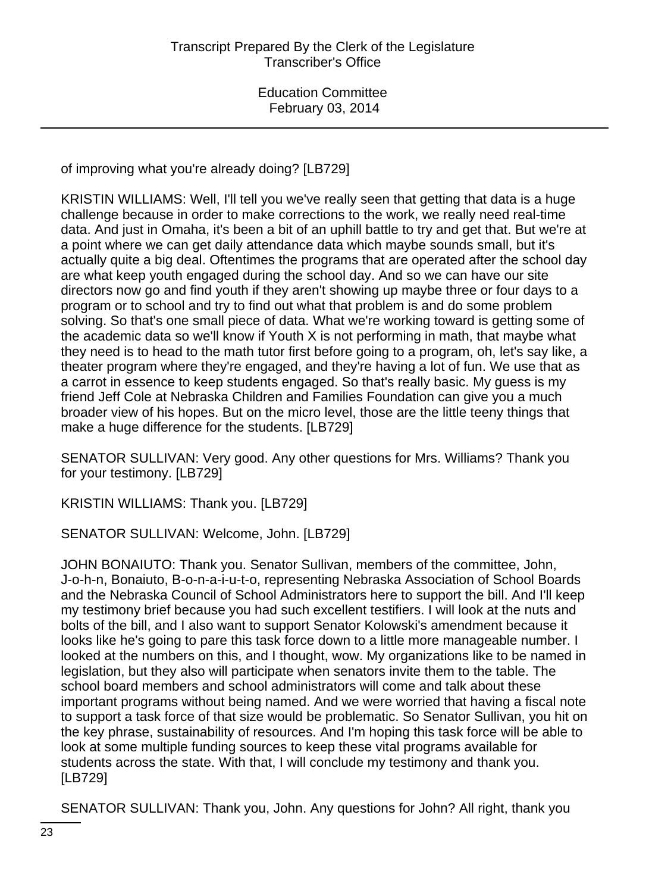of improving what you're already doing? [LB729]

KRISTIN WILLIAMS: Well, I'll tell you we've really seen that getting that data is a huge challenge because in order to make corrections to the work, we really need real-time data. And just in Omaha, it's been a bit of an uphill battle to try and get that. But we're at a point where we can get daily attendance data which maybe sounds small, but it's actually quite a big deal. Oftentimes the programs that are operated after the school day are what keep youth engaged during the school day. And so we can have our site directors now go and find youth if they aren't showing up maybe three or four days to a program or to school and try to find out what that problem is and do some problem solving. So that's one small piece of data. What we're working toward is getting some of the academic data so we'll know if Youth X is not performing in math, that maybe what they need is to head to the math tutor first before going to a program, oh, let's say like, a theater program where they're engaged, and they're having a lot of fun. We use that as a carrot in essence to keep students engaged. So that's really basic. My guess is my friend Jeff Cole at Nebraska Children and Families Foundation can give you a much broader view of his hopes. But on the micro level, those are the little teeny things that make a huge difference for the students. [LB729]

SENATOR SULLIVAN: Very good. Any other questions for Mrs. Williams? Thank you for your testimony. [LB729]

KRISTIN WILLIAMS: Thank you. [LB729]

SENATOR SULLIVAN: Welcome, John. [LB729]

JOHN BONAIUTO: Thank you. Senator Sullivan, members of the committee, John, J-o-h-n, Bonaiuto, B-o-n-a-i-u-t-o, representing Nebraska Association of School Boards and the Nebraska Council of School Administrators here to support the bill. And I'll keep my testimony brief because you had such excellent testifiers. I will look at the nuts and bolts of the bill, and I also want to support Senator Kolowski's amendment because it looks like he's going to pare this task force down to a little more manageable number. I looked at the numbers on this, and I thought, wow. My organizations like to be named in legislation, but they also will participate when senators invite them to the table. The school board members and school administrators will come and talk about these important programs without being named. And we were worried that having a fiscal note to support a task force of that size would be problematic. So Senator Sullivan, you hit on the key phrase, sustainability of resources. And I'm hoping this task force will be able to look at some multiple funding sources to keep these vital programs available for students across the state. With that, I will conclude my testimony and thank you. [LB729]

SENATOR SULLIVAN: Thank you, John. Any questions for John? All right, thank you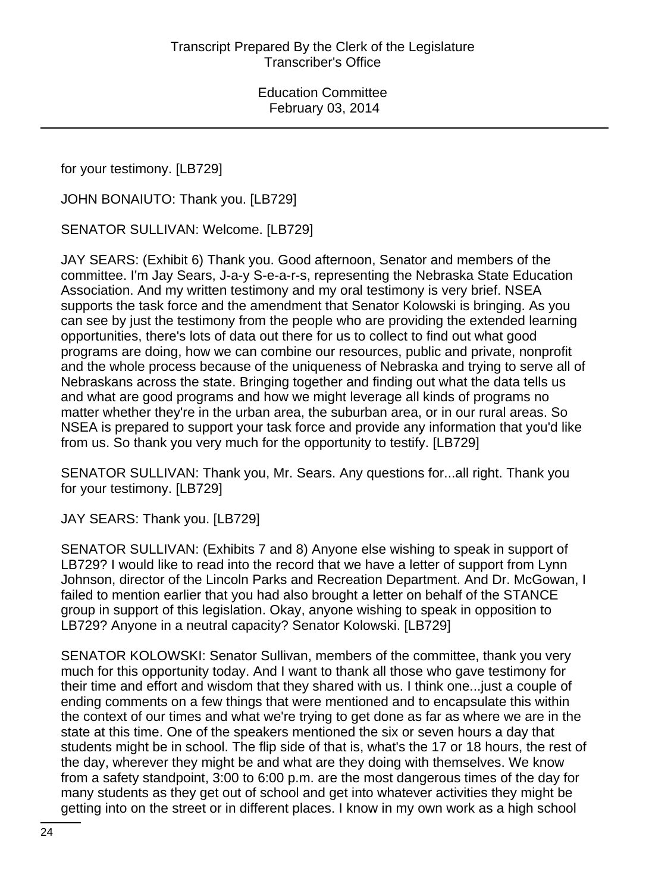for your testimony. [LB729]

JOHN BONAIUTO: Thank you. [LB729]

SENATOR SULLIVAN: Welcome. [LB729]

JAY SEARS: (Exhibit 6) Thank you. Good afternoon, Senator and members of the committee. I'm Jay Sears, J-a-y S-e-a-r-s, representing the Nebraska State Education Association. And my written testimony and my oral testimony is very brief. NSEA supports the task force and the amendment that Senator Kolowski is bringing. As you can see by just the testimony from the people who are providing the extended learning opportunities, there's lots of data out there for us to collect to find out what good programs are doing, how we can combine our resources, public and private, nonprofit and the whole process because of the uniqueness of Nebraska and trying to serve all of Nebraskans across the state. Bringing together and finding out what the data tells us and what are good programs and how we might leverage all kinds of programs no matter whether they're in the urban area, the suburban area, or in our rural areas. So NSEA is prepared to support your task force and provide any information that you'd like from us. So thank you very much for the opportunity to testify. [LB729]

SENATOR SULLIVAN: Thank you, Mr. Sears. Any questions for...all right. Thank you for your testimony. [LB729]

JAY SEARS: Thank you. [LB729]

SENATOR SULLIVAN: (Exhibits 7 and 8) Anyone else wishing to speak in support of LB729? I would like to read into the record that we have a letter of support from Lynn Johnson, director of the Lincoln Parks and Recreation Department. And Dr. McGowan, I failed to mention earlier that you had also brought a letter on behalf of the STANCE group in support of this legislation. Okay, anyone wishing to speak in opposition to LB729? Anyone in a neutral capacity? Senator Kolowski. [LB729]

SENATOR KOLOWSKI: Senator Sullivan, members of the committee, thank you very much for this opportunity today. And I want to thank all those who gave testimony for their time and effort and wisdom that they shared with us. I think one...just a couple of ending comments on a few things that were mentioned and to encapsulate this within the context of our times and what we're trying to get done as far as where we are in the state at this time. One of the speakers mentioned the six or seven hours a day that students might be in school. The flip side of that is, what's the 17 or 18 hours, the rest of the day, wherever they might be and what are they doing with themselves. We know from a safety standpoint, 3:00 to 6:00 p.m. are the most dangerous times of the day for many students as they get out of school and get into whatever activities they might be getting into on the street or in different places. I know in my own work as a high school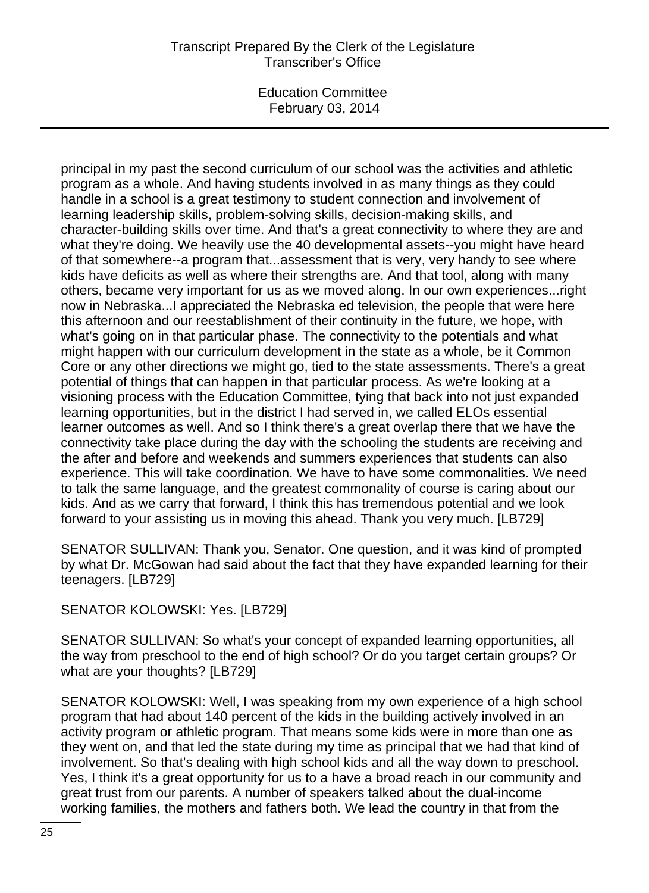Education Committee February 03, 2014

principal in my past the second curriculum of our school was the activities and athletic program as a whole. And having students involved in as many things as they could handle in a school is a great testimony to student connection and involvement of learning leadership skills, problem-solving skills, decision-making skills, and character-building skills over time. And that's a great connectivity to where they are and what they're doing. We heavily use the 40 developmental assets--you might have heard of that somewhere--a program that...assessment that is very, very handy to see where kids have deficits as well as where their strengths are. And that tool, along with many others, became very important for us as we moved along. In our own experiences...right now in Nebraska...I appreciated the Nebraska ed television, the people that were here this afternoon and our reestablishment of their continuity in the future, we hope, with what's going on in that particular phase. The connectivity to the potentials and what might happen with our curriculum development in the state as a whole, be it Common Core or any other directions we might go, tied to the state assessments. There's a great potential of things that can happen in that particular process. As we're looking at a visioning process with the Education Committee, tying that back into not just expanded learning opportunities, but in the district I had served in, we called ELOs essential learner outcomes as well. And so I think there's a great overlap there that we have the connectivity take place during the day with the schooling the students are receiving and the after and before and weekends and summers experiences that students can also experience. This will take coordination. We have to have some commonalities. We need to talk the same language, and the greatest commonality of course is caring about our kids. And as we carry that forward, I think this has tremendous potential and we look forward to your assisting us in moving this ahead. Thank you very much. [LB729]

SENATOR SULLIVAN: Thank you, Senator. One question, and it was kind of prompted by what Dr. McGowan had said about the fact that they have expanded learning for their teenagers. [LB729]

SENATOR KOLOWSKI: Yes. [LB729]

SENATOR SULLIVAN: So what's your concept of expanded learning opportunities, all the way from preschool to the end of high school? Or do you target certain groups? Or what are your thoughts? [LB729]

SENATOR KOLOWSKI: Well, I was speaking from my own experience of a high school program that had about 140 percent of the kids in the building actively involved in an activity program or athletic program. That means some kids were in more than one as they went on, and that led the state during my time as principal that we had that kind of involvement. So that's dealing with high school kids and all the way down to preschool. Yes, I think it's a great opportunity for us to a have a broad reach in our community and great trust from our parents. A number of speakers talked about the dual-income working families, the mothers and fathers both. We lead the country in that from the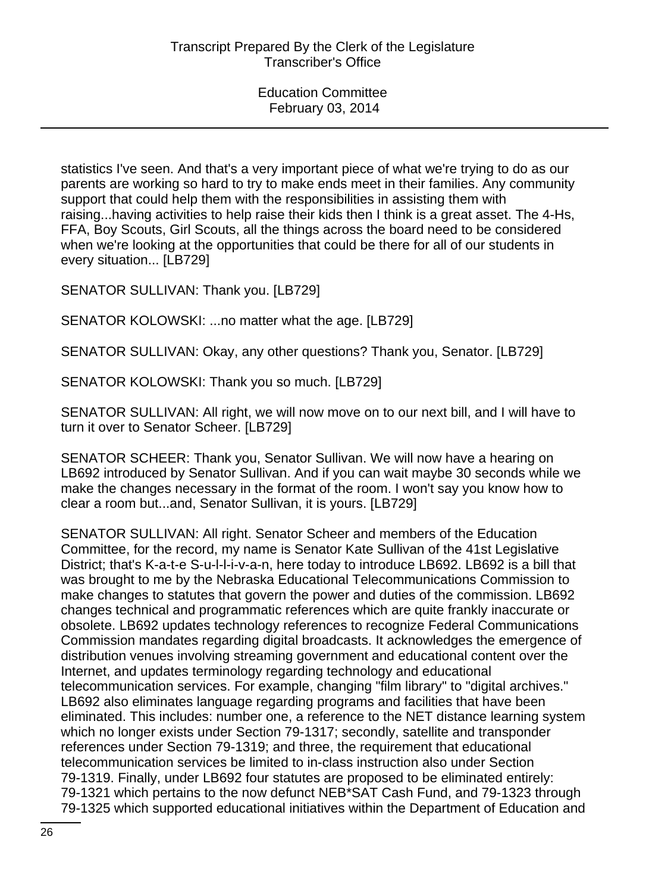statistics I've seen. And that's a very important piece of what we're trying to do as our parents are working so hard to try to make ends meet in their families. Any community support that could help them with the responsibilities in assisting them with raising...having activities to help raise their kids then I think is a great asset. The 4-Hs, FFA, Boy Scouts, Girl Scouts, all the things across the board need to be considered when we're looking at the opportunities that could be there for all of our students in every situation... [LB729]

SENATOR SULLIVAN: Thank you. [LB729]

SENATOR KOLOWSKI: ...no matter what the age. [LB729]

SENATOR SULLIVAN: Okay, any other questions? Thank you, Senator. [LB729]

SENATOR KOLOWSKI: Thank you so much. [LB729]

SENATOR SULLIVAN: All right, we will now move on to our next bill, and I will have to turn it over to Senator Scheer. [LB729]

SENATOR SCHEER: Thank you, Senator Sullivan. We will now have a hearing on LB692 introduced by Senator Sullivan. And if you can wait maybe 30 seconds while we make the changes necessary in the format of the room. I won't say you know how to clear a room but...and, Senator Sullivan, it is yours. [LB729]

SENATOR SULLIVAN: All right. Senator Scheer and members of the Education Committee, for the record, my name is Senator Kate Sullivan of the 41st Legislative District; that's K-a-t-e S-u-l-l-i-v-a-n, here today to introduce LB692. LB692 is a bill that was brought to me by the Nebraska Educational Telecommunications Commission to make changes to statutes that govern the power and duties of the commission. LB692 changes technical and programmatic references which are quite frankly inaccurate or obsolete. LB692 updates technology references to recognize Federal Communications Commission mandates regarding digital broadcasts. It acknowledges the emergence of distribution venues involving streaming government and educational content over the Internet, and updates terminology regarding technology and educational telecommunication services. For example, changing "film library" to "digital archives." LB692 also eliminates language regarding programs and facilities that have been eliminated. This includes: number one, a reference to the NET distance learning system which no longer exists under Section 79-1317; secondly, satellite and transponder references under Section 79-1319; and three, the requirement that educational telecommunication services be limited to in-class instruction also under Section 79-1319. Finally, under LB692 four statutes are proposed to be eliminated entirely: 79-1321 which pertains to the now defunct NEB\*SAT Cash Fund, and 79-1323 through 79-1325 which supported educational initiatives within the Department of Education and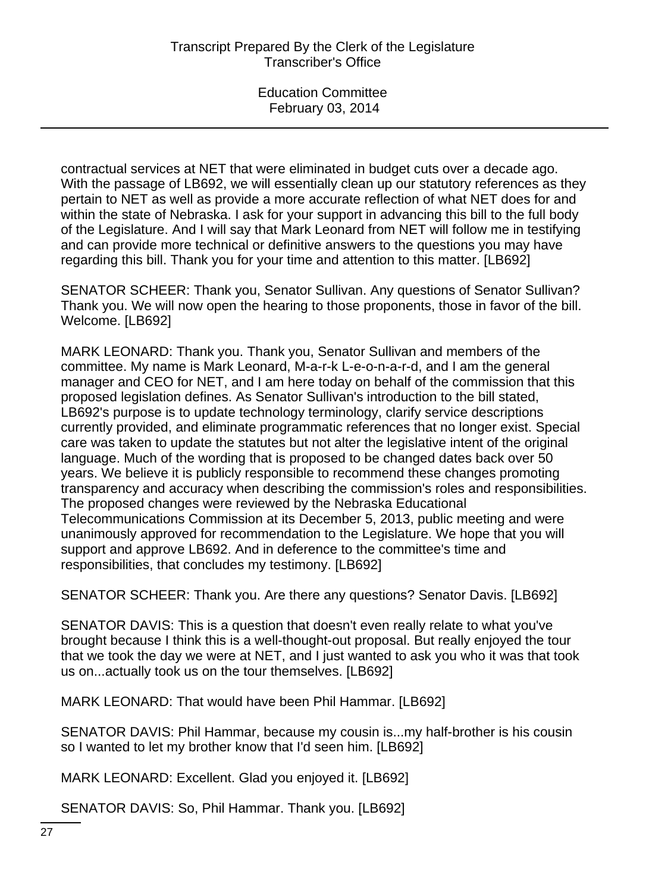contractual services at NET that were eliminated in budget cuts over a decade ago. With the passage of LB692, we will essentially clean up our statutory references as they pertain to NET as well as provide a more accurate reflection of what NET does for and within the state of Nebraska. I ask for your support in advancing this bill to the full body of the Legislature. And I will say that Mark Leonard from NET will follow me in testifying and can provide more technical or definitive answers to the questions you may have regarding this bill. Thank you for your time and attention to this matter. [LB692]

SENATOR SCHEER: Thank you, Senator Sullivan. Any questions of Senator Sullivan? Thank you. We will now open the hearing to those proponents, those in favor of the bill. Welcome. [LB692]

MARK LEONARD: Thank you. Thank you, Senator Sullivan and members of the committee. My name is Mark Leonard, M-a-r-k L-e-o-n-a-r-d, and I am the general manager and CEO for NET, and I am here today on behalf of the commission that this proposed legislation defines. As Senator Sullivan's introduction to the bill stated, LB692's purpose is to update technology terminology, clarify service descriptions currently provided, and eliminate programmatic references that no longer exist. Special care was taken to update the statutes but not alter the legislative intent of the original language. Much of the wording that is proposed to be changed dates back over 50 years. We believe it is publicly responsible to recommend these changes promoting transparency and accuracy when describing the commission's roles and responsibilities. The proposed changes were reviewed by the Nebraska Educational Telecommunications Commission at its December 5, 2013, public meeting and were unanimously approved for recommendation to the Legislature. We hope that you will support and approve LB692. And in deference to the committee's time and responsibilities, that concludes my testimony. [LB692]

SENATOR SCHEER: Thank you. Are there any questions? Senator Davis. [LB692]

SENATOR DAVIS: This is a question that doesn't even really relate to what you've brought because I think this is a well-thought-out proposal. But really enjoyed the tour that we took the day we were at NET, and I just wanted to ask you who it was that took us on...actually took us on the tour themselves. [LB692]

MARK LEONARD: That would have been Phil Hammar. [LB692]

SENATOR DAVIS: Phil Hammar, because my cousin is...my half-brother is his cousin so I wanted to let my brother know that I'd seen him. [LB692]

MARK LEONARD: Excellent. Glad you enjoyed it. [LB692]

SENATOR DAVIS: So, Phil Hammar. Thank you. [LB692]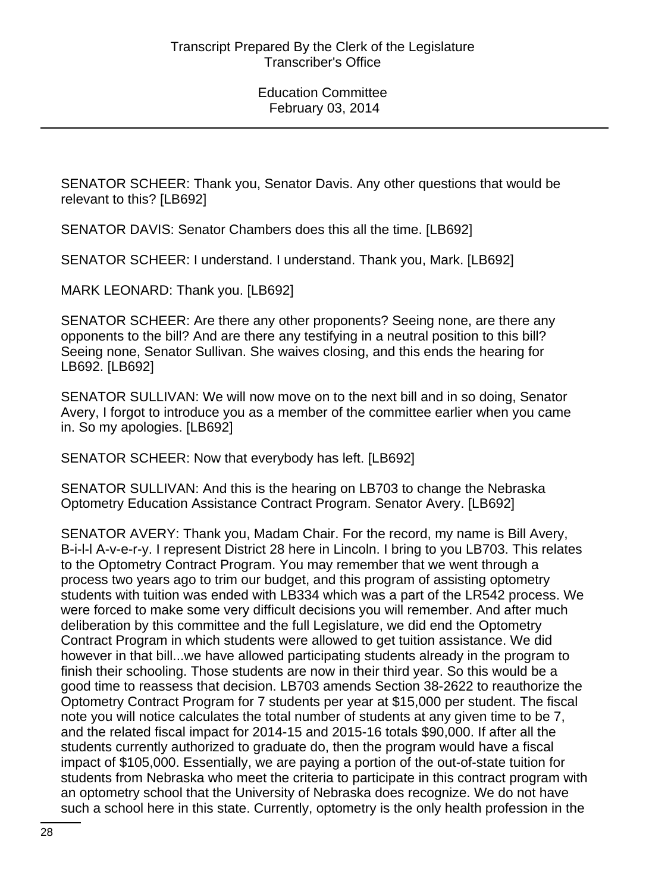SENATOR SCHEER: Thank you, Senator Davis. Any other questions that would be relevant to this? [LB692]

SENATOR DAVIS: Senator Chambers does this all the time. [LB692]

SENATOR SCHEER: I understand. I understand. Thank you, Mark. [LB692]

MARK LEONARD: Thank you. [LB692]

SENATOR SCHEER: Are there any other proponents? Seeing none, are there any opponents to the bill? And are there any testifying in a neutral position to this bill? Seeing none, Senator Sullivan. She waives closing, and this ends the hearing for LB692. [LB692]

SENATOR SULLIVAN: We will now move on to the next bill and in so doing, Senator Avery, I forgot to introduce you as a member of the committee earlier when you came in. So my apologies. [LB692]

SENATOR SCHEER: Now that everybody has left. [LB692]

SENATOR SULLIVAN: And this is the hearing on LB703 to change the Nebraska Optometry Education Assistance Contract Program. Senator Avery. [LB692]

SENATOR AVERY: Thank you, Madam Chair. For the record, my name is Bill Avery, B-i-l-l A-v-e-r-y. I represent District 28 here in Lincoln. I bring to you LB703. This relates to the Optometry Contract Program. You may remember that we went through a process two years ago to trim our budget, and this program of assisting optometry students with tuition was ended with LB334 which was a part of the LR542 process. We were forced to make some very difficult decisions you will remember. And after much deliberation by this committee and the full Legislature, we did end the Optometry Contract Program in which students were allowed to get tuition assistance. We did however in that bill...we have allowed participating students already in the program to finish their schooling. Those students are now in their third year. So this would be a good time to reassess that decision. LB703 amends Section 38-2622 to reauthorize the Optometry Contract Program for 7 students per year at \$15,000 per student. The fiscal note you will notice calculates the total number of students at any given time to be 7, and the related fiscal impact for 2014-15 and 2015-16 totals \$90,000. If after all the students currently authorized to graduate do, then the program would have a fiscal impact of \$105,000. Essentially, we are paying a portion of the out-of-state tuition for students from Nebraska who meet the criteria to participate in this contract program with an optometry school that the University of Nebraska does recognize. We do not have such a school here in this state. Currently, optometry is the only health profession in the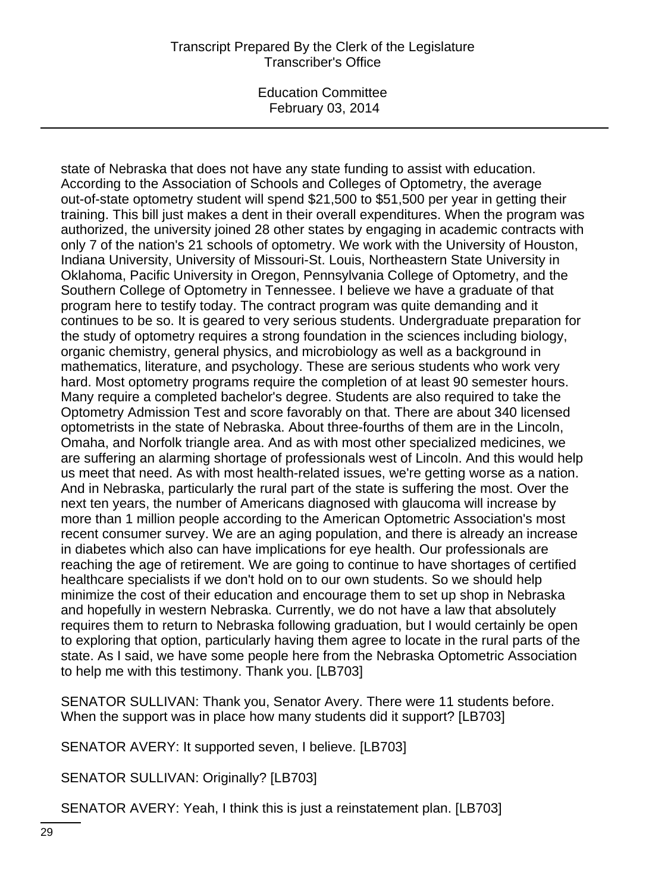Education Committee February 03, 2014

state of Nebraska that does not have any state funding to assist with education. According to the Association of Schools and Colleges of Optometry, the average out-of-state optometry student will spend \$21,500 to \$51,500 per year in getting their training. This bill just makes a dent in their overall expenditures. When the program was authorized, the university joined 28 other states by engaging in academic contracts with only 7 of the nation's 21 schools of optometry. We work with the University of Houston, Indiana University, University of Missouri-St. Louis, Northeastern State University in Oklahoma, Pacific University in Oregon, Pennsylvania College of Optometry, and the Southern College of Optometry in Tennessee. I believe we have a graduate of that program here to testify today. The contract program was quite demanding and it continues to be so. It is geared to very serious students. Undergraduate preparation for the study of optometry requires a strong foundation in the sciences including biology, organic chemistry, general physics, and microbiology as well as a background in mathematics, literature, and psychology. These are serious students who work very hard. Most optometry programs require the completion of at least 90 semester hours. Many require a completed bachelor's degree. Students are also required to take the Optometry Admission Test and score favorably on that. There are about 340 licensed optometrists in the state of Nebraska. About three-fourths of them are in the Lincoln, Omaha, and Norfolk triangle area. And as with most other specialized medicines, we are suffering an alarming shortage of professionals west of Lincoln. And this would help us meet that need. As with most health-related issues, we're getting worse as a nation. And in Nebraska, particularly the rural part of the state is suffering the most. Over the next ten years, the number of Americans diagnosed with glaucoma will increase by more than 1 million people according to the American Optometric Association's most recent consumer survey. We are an aging population, and there is already an increase in diabetes which also can have implications for eye health. Our professionals are reaching the age of retirement. We are going to continue to have shortages of certified healthcare specialists if we don't hold on to our own students. So we should help minimize the cost of their education and encourage them to set up shop in Nebraska and hopefully in western Nebraska. Currently, we do not have a law that absolutely requires them to return to Nebraska following graduation, but I would certainly be open to exploring that option, particularly having them agree to locate in the rural parts of the state. As I said, we have some people here from the Nebraska Optometric Association to help me with this testimony. Thank you. [LB703]

SENATOR SULLIVAN: Thank you, Senator Avery. There were 11 students before. When the support was in place how many students did it support? [LB703]

SENATOR AVERY: It supported seven, I believe. [LB703]

SENATOR SULLIVAN: Originally? [LB703]

SENATOR AVERY: Yeah, I think this is just a reinstatement plan. [LB703]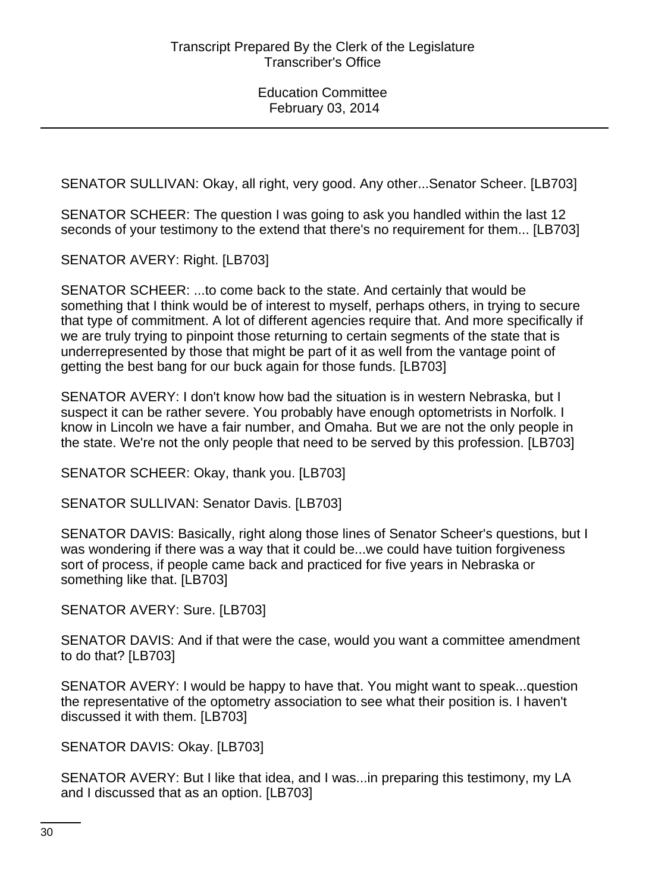SENATOR SULLIVAN: Okay, all right, very good. Any other...Senator Scheer. [LB703]

SENATOR SCHEER: The question I was going to ask you handled within the last 12 seconds of your testimony to the extend that there's no requirement for them... [LB703]

SENATOR AVERY: Right. [LB703]

SENATOR SCHEER: ...to come back to the state. And certainly that would be something that I think would be of interest to myself, perhaps others, in trying to secure that type of commitment. A lot of different agencies require that. And more specifically if we are truly trying to pinpoint those returning to certain segments of the state that is underrepresented by those that might be part of it as well from the vantage point of getting the best bang for our buck again for those funds. [LB703]

SENATOR AVERY: I don't know how bad the situation is in western Nebraska, but I suspect it can be rather severe. You probably have enough optometrists in Norfolk. I know in Lincoln we have a fair number, and Omaha. But we are not the only people in the state. We're not the only people that need to be served by this profession. [LB703]

SENATOR SCHEER: Okay, thank you. [LB703]

SENATOR SULLIVAN: Senator Davis. [LB703]

SENATOR DAVIS: Basically, right along those lines of Senator Scheer's questions, but I was wondering if there was a way that it could be...we could have tuition forgiveness sort of process, if people came back and practiced for five years in Nebraska or something like that. [LB703]

SENATOR AVERY: Sure. [LB703]

SENATOR DAVIS: And if that were the case, would you want a committee amendment to do that? [LB703]

SENATOR AVERY: I would be happy to have that. You might want to speak...question the representative of the optometry association to see what their position is. I haven't discussed it with them. [LB703]

SENATOR DAVIS: Okay. [LB703]

SENATOR AVERY: But I like that idea, and I was...in preparing this testimony, my LA and I discussed that as an option. [LB703]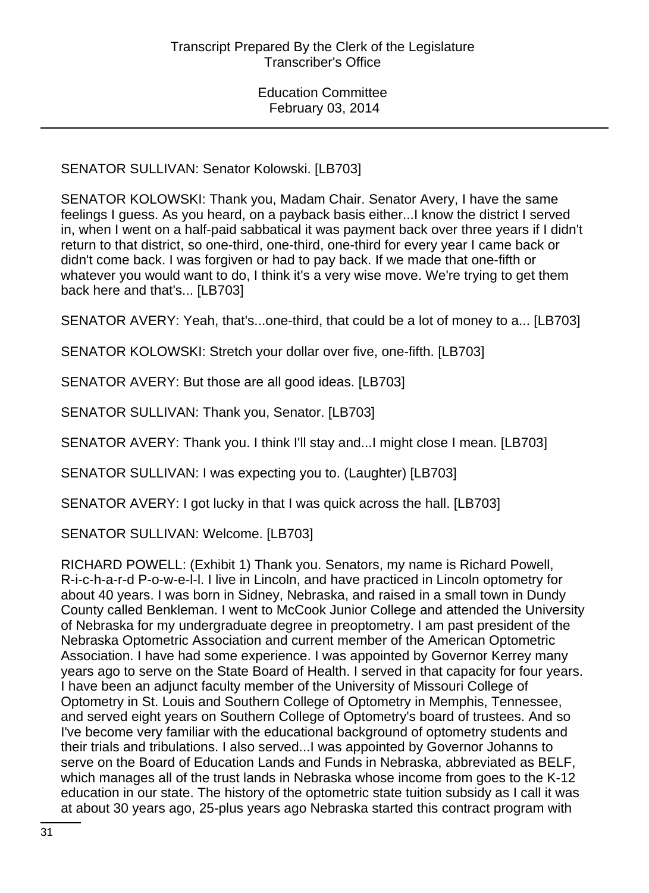SENATOR SULLIVAN: Senator Kolowski. [LB703]

SENATOR KOLOWSKI: Thank you, Madam Chair. Senator Avery, I have the same feelings I guess. As you heard, on a payback basis either...I know the district I served in, when I went on a half-paid sabbatical it was payment back over three years if I didn't return to that district, so one-third, one-third, one-third for every year I came back or didn't come back. I was forgiven or had to pay back. If we made that one-fifth or whatever you would want to do, I think it's a very wise move. We're trying to get them back here and that's... [LB703]

SENATOR AVERY: Yeah, that's...one-third, that could be a lot of money to a... [LB703]

SENATOR KOLOWSKI: Stretch your dollar over five, one-fifth. [LB703]

SENATOR AVERY: But those are all good ideas. [LB703]

SENATOR SULLIVAN: Thank you, Senator. [LB703]

SENATOR AVERY: Thank you. I think I'll stay and...I might close I mean. [LB703]

SENATOR SULLIVAN: I was expecting you to. (Laughter) [LB703]

SENATOR AVERY: I got lucky in that I was quick across the hall. [LB703]

SENATOR SULLIVAN: Welcome. [LB703]

RICHARD POWELL: (Exhibit 1) Thank you. Senators, my name is Richard Powell, R-i-c-h-a-r-d P-o-w-e-l-l. I live in Lincoln, and have practiced in Lincoln optometry for about 40 years. I was born in Sidney, Nebraska, and raised in a small town in Dundy County called Benkleman. I went to McCook Junior College and attended the University of Nebraska for my undergraduate degree in preoptometry. I am past president of the Nebraska Optometric Association and current member of the American Optometric Association. I have had some experience. I was appointed by Governor Kerrey many years ago to serve on the State Board of Health. I served in that capacity for four years. I have been an adjunct faculty member of the University of Missouri College of Optometry in St. Louis and Southern College of Optometry in Memphis, Tennessee, and served eight years on Southern College of Optometry's board of trustees. And so I've become very familiar with the educational background of optometry students and their trials and tribulations. I also served...I was appointed by Governor Johanns to serve on the Board of Education Lands and Funds in Nebraska, abbreviated as BELF, which manages all of the trust lands in Nebraska whose income from goes to the K-12 education in our state. The history of the optometric state tuition subsidy as I call it was at about 30 years ago, 25-plus years ago Nebraska started this contract program with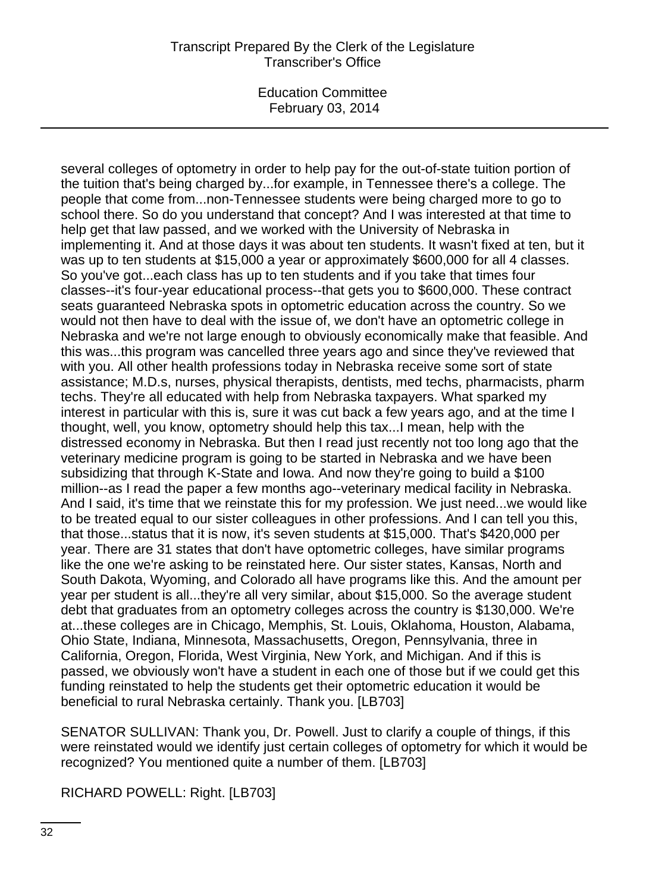Education Committee February 03, 2014

several colleges of optometry in order to help pay for the out-of-state tuition portion of the tuition that's being charged by...for example, in Tennessee there's a college. The people that come from...non-Tennessee students were being charged more to go to school there. So do you understand that concept? And I was interested at that time to help get that law passed, and we worked with the University of Nebraska in implementing it. And at those days it was about ten students. It wasn't fixed at ten, but it was up to ten students at \$15,000 a year or approximately \$600,000 for all 4 classes. So you've got...each class has up to ten students and if you take that times four classes--it's four-year educational process--that gets you to \$600,000. These contract seats guaranteed Nebraska spots in optometric education across the country. So we would not then have to deal with the issue of, we don't have an optometric college in Nebraska and we're not large enough to obviously economically make that feasible. And this was...this program was cancelled three years ago and since they've reviewed that with you. All other health professions today in Nebraska receive some sort of state assistance; M.D.s, nurses, physical therapists, dentists, med techs, pharmacists, pharm techs. They're all educated with help from Nebraska taxpayers. What sparked my interest in particular with this is, sure it was cut back a few years ago, and at the time I thought, well, you know, optometry should help this tax...I mean, help with the distressed economy in Nebraska. But then I read just recently not too long ago that the veterinary medicine program is going to be started in Nebraska and we have been subsidizing that through K-State and Iowa. And now they're going to build a \$100 million--as I read the paper a few months ago--veterinary medical facility in Nebraska. And I said, it's time that we reinstate this for my profession. We just need...we would like to be treated equal to our sister colleagues in other professions. And I can tell you this, that those...status that it is now, it's seven students at \$15,000. That's \$420,000 per year. There are 31 states that don't have optometric colleges, have similar programs like the one we're asking to be reinstated here. Our sister states, Kansas, North and South Dakota, Wyoming, and Colorado all have programs like this. And the amount per year per student is all...they're all very similar, about \$15,000. So the average student debt that graduates from an optometry colleges across the country is \$130,000. We're at...these colleges are in Chicago, Memphis, St. Louis, Oklahoma, Houston, Alabama, Ohio State, Indiana, Minnesota, Massachusetts, Oregon, Pennsylvania, three in California, Oregon, Florida, West Virginia, New York, and Michigan. And if this is passed, we obviously won't have a student in each one of those but if we could get this funding reinstated to help the students get their optometric education it would be beneficial to rural Nebraska certainly. Thank you. [LB703]

SENATOR SULLIVAN: Thank you, Dr. Powell. Just to clarify a couple of things, if this were reinstated would we identify just certain colleges of optometry for which it would be recognized? You mentioned quite a number of them. [LB703]

RICHARD POWELL: Right. [LB703]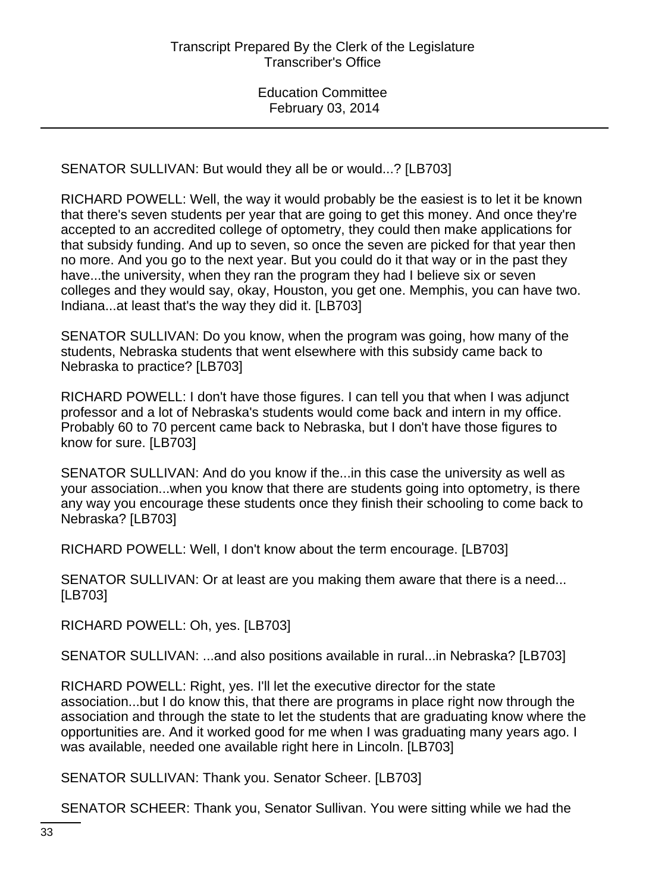SENATOR SULLIVAN: But would they all be or would...? [LB703]

RICHARD POWELL: Well, the way it would probably be the easiest is to let it be known that there's seven students per year that are going to get this money. And once they're accepted to an accredited college of optometry, they could then make applications for that subsidy funding. And up to seven, so once the seven are picked for that year then no more. And you go to the next year. But you could do it that way or in the past they have...the university, when they ran the program they had I believe six or seven colleges and they would say, okay, Houston, you get one. Memphis, you can have two. Indiana...at least that's the way they did it. [LB703]

SENATOR SULLIVAN: Do you know, when the program was going, how many of the students, Nebraska students that went elsewhere with this subsidy came back to Nebraska to practice? [LB703]

RICHARD POWELL: I don't have those figures. I can tell you that when I was adjunct professor and a lot of Nebraska's students would come back and intern in my office. Probably 60 to 70 percent came back to Nebraska, but I don't have those figures to know for sure. [LB703]

SENATOR SULLIVAN: And do you know if the...in this case the university as well as your association...when you know that there are students going into optometry, is there any way you encourage these students once they finish their schooling to come back to Nebraska? [LB703]

RICHARD POWELL: Well, I don't know about the term encourage. [LB703]

SENATOR SULLIVAN: Or at least are you making them aware that there is a need... [LB703]

RICHARD POWELL: Oh, yes. [LB703]

SENATOR SULLIVAN: ...and also positions available in rural...in Nebraska? [LB703]

RICHARD POWELL: Right, yes. I'll let the executive director for the state association...but I do know this, that there are programs in place right now through the association and through the state to let the students that are graduating know where the opportunities are. And it worked good for me when I was graduating many years ago. I was available, needed one available right here in Lincoln. [LB703]

SENATOR SULLIVAN: Thank you. Senator Scheer. [LB703]

SENATOR SCHEER: Thank you, Senator Sullivan. You were sitting while we had the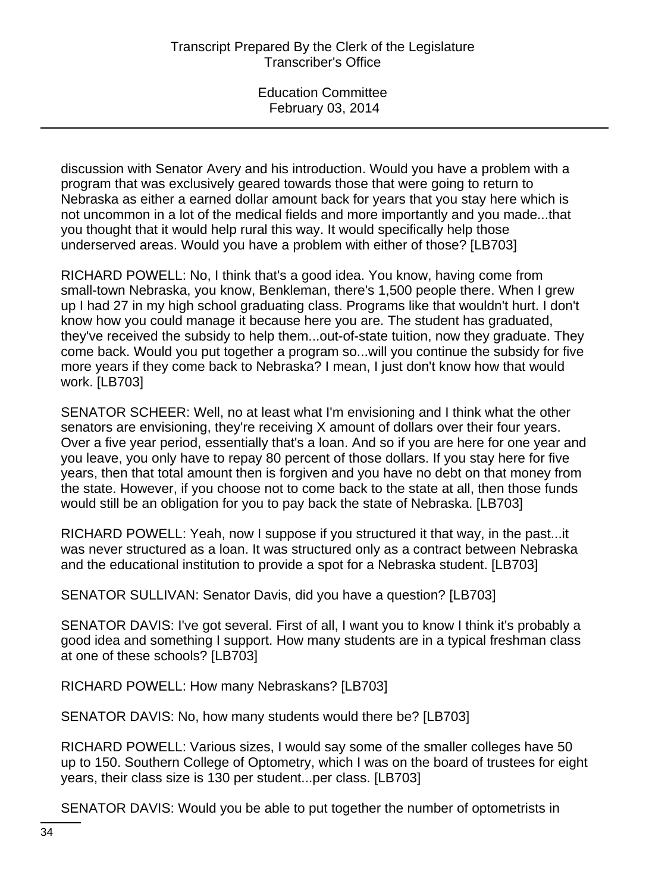discussion with Senator Avery and his introduction. Would you have a problem with a program that was exclusively geared towards those that were going to return to Nebraska as either a earned dollar amount back for years that you stay here which is not uncommon in a lot of the medical fields and more importantly and you made...that you thought that it would help rural this way. It would specifically help those underserved areas. Would you have a problem with either of those? [LB703]

RICHARD POWELL: No, I think that's a good idea. You know, having come from small-town Nebraska, you know, Benkleman, there's 1,500 people there. When I grew up I had 27 in my high school graduating class. Programs like that wouldn't hurt. I don't know how you could manage it because here you are. The student has graduated, they've received the subsidy to help them...out-of-state tuition, now they graduate. They come back. Would you put together a program so...will you continue the subsidy for five more years if they come back to Nebraska? I mean, I just don't know how that would work. [LB703]

SENATOR SCHEER: Well, no at least what I'm envisioning and I think what the other senators are envisioning, they're receiving X amount of dollars over their four years. Over a five year period, essentially that's a loan. And so if you are here for one year and you leave, you only have to repay 80 percent of those dollars. If you stay here for five years, then that total amount then is forgiven and you have no debt on that money from the state. However, if you choose not to come back to the state at all, then those funds would still be an obligation for you to pay back the state of Nebraska. [LB703]

RICHARD POWELL: Yeah, now I suppose if you structured it that way, in the past...it was never structured as a loan. It was structured only as a contract between Nebraska and the educational institution to provide a spot for a Nebraska student. [LB703]

SENATOR SULLIVAN: Senator Davis, did you have a question? [LB703]

SENATOR DAVIS: I've got several. First of all, I want you to know I think it's probably a good idea and something I support. How many students are in a typical freshman class at one of these schools? [LB703]

RICHARD POWELL: How many Nebraskans? [LB703]

SENATOR DAVIS: No, how many students would there be? [LB703]

RICHARD POWELL: Various sizes, I would say some of the smaller colleges have 50 up to 150. Southern College of Optometry, which I was on the board of trustees for eight years, their class size is 130 per student...per class. [LB703]

SENATOR DAVIS: Would you be able to put together the number of optometrists in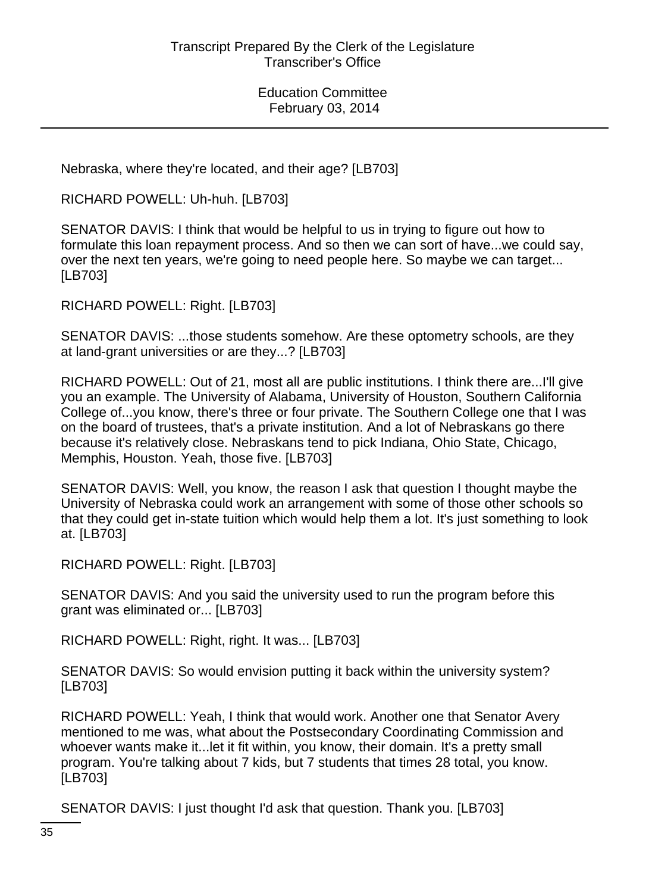Nebraska, where they're located, and their age? [LB703]

RICHARD POWELL: Uh-huh. [LB703]

SENATOR DAVIS: I think that would be helpful to us in trying to figure out how to formulate this loan repayment process. And so then we can sort of have...we could say, over the next ten years, we're going to need people here. So maybe we can target... [LB703]

RICHARD POWELL: Right. [LB703]

SENATOR DAVIS: ...those students somehow. Are these optometry schools, are they at land-grant universities or are they...? [LB703]

RICHARD POWELL: Out of 21, most all are public institutions. I think there are...I'll give you an example. The University of Alabama, University of Houston, Southern California College of...you know, there's three or four private. The Southern College one that I was on the board of trustees, that's a private institution. And a lot of Nebraskans go there because it's relatively close. Nebraskans tend to pick Indiana, Ohio State, Chicago, Memphis, Houston. Yeah, those five. [LB703]

SENATOR DAVIS: Well, you know, the reason I ask that question I thought maybe the University of Nebraska could work an arrangement with some of those other schools so that they could get in-state tuition which would help them a lot. It's just something to look at. [LB703]

RICHARD POWELL: Right. [LB703]

SENATOR DAVIS: And you said the university used to run the program before this grant was eliminated or... [LB703]

RICHARD POWELL: Right, right. It was... [LB703]

SENATOR DAVIS: So would envision putting it back within the university system? [LB703]

RICHARD POWELL: Yeah, I think that would work. Another one that Senator Avery mentioned to me was, what about the Postsecondary Coordinating Commission and whoever wants make it...let it fit within, you know, their domain. It's a pretty small program. You're talking about 7 kids, but 7 students that times 28 total, you know. [LB703]

SENATOR DAVIS: I just thought I'd ask that question. Thank you. [LB703]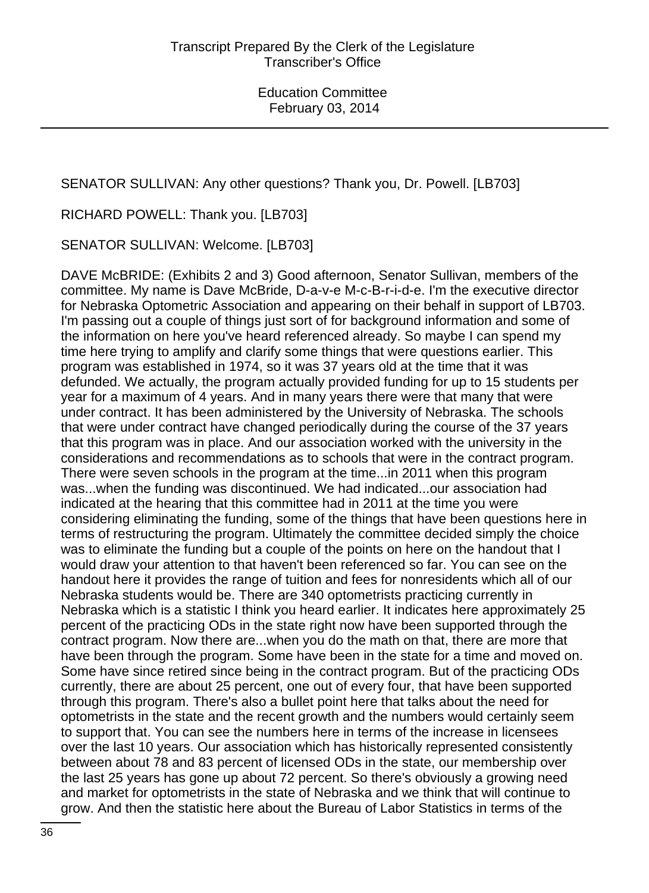SENATOR SULLIVAN: Any other questions? Thank you, Dr. Powell. [LB703]

RICHARD POWELL: Thank you. [LB703]

SENATOR SULLIVAN: Welcome. [LB703]

DAVE McBRIDE: (Exhibits 2 and 3) Good afternoon, Senator Sullivan, members of the committee. My name is Dave McBride, D-a-v-e M-c-B-r-i-d-e. I'm the executive director for Nebraska Optometric Association and appearing on their behalf in support of LB703. I'm passing out a couple of things just sort of for background information and some of the information on here you've heard referenced already. So maybe I can spend my time here trying to amplify and clarify some things that were questions earlier. This program was established in 1974, so it was 37 years old at the time that it was defunded. We actually, the program actually provided funding for up to 15 students per year for a maximum of 4 years. And in many years there were that many that were under contract. It has been administered by the University of Nebraska. The schools that were under contract have changed periodically during the course of the 37 years that this program was in place. And our association worked with the university in the considerations and recommendations as to schools that were in the contract program. There were seven schools in the program at the time...in 2011 when this program was...when the funding was discontinued. We had indicated...our association had indicated at the hearing that this committee had in 2011 at the time you were considering eliminating the funding, some of the things that have been questions here in terms of restructuring the program. Ultimately the committee decided simply the choice was to eliminate the funding but a couple of the points on here on the handout that I would draw your attention to that haven't been referenced so far. You can see on the handout here it provides the range of tuition and fees for nonresidents which all of our Nebraska students would be. There are 340 optometrists practicing currently in Nebraska which is a statistic I think you heard earlier. It indicates here approximately 25 percent of the practicing ODs in the state right now have been supported through the contract program. Now there are...when you do the math on that, there are more that have been through the program. Some have been in the state for a time and moved on. Some have since retired since being in the contract program. But of the practicing ODs currently, there are about 25 percent, one out of every four, that have been supported through this program. There's also a bullet point here that talks about the need for optometrists in the state and the recent growth and the numbers would certainly seem to support that. You can see the numbers here in terms of the increase in licensees over the last 10 years. Our association which has historically represented consistently between about 78 and 83 percent of licensed ODs in the state, our membership over the last 25 years has gone up about 72 percent. So there's obviously a growing need and market for optometrists in the state of Nebraska and we think that will continue to grow. And then the statistic here about the Bureau of Labor Statistics in terms of the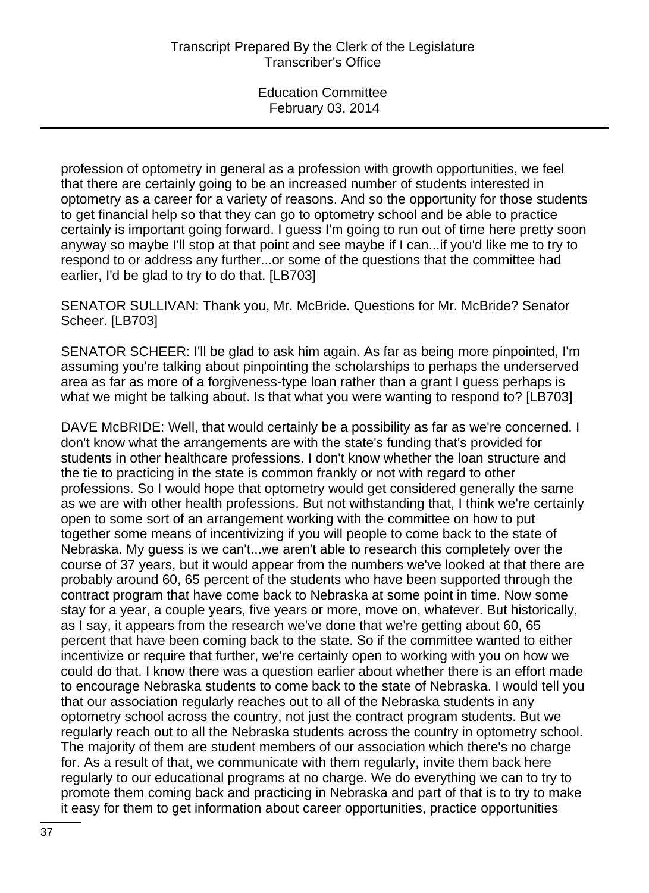profession of optometry in general as a profession with growth opportunities, we feel that there are certainly going to be an increased number of students interested in optometry as a career for a variety of reasons. And so the opportunity for those students to get financial help so that they can go to optometry school and be able to practice certainly is important going forward. I guess I'm going to run out of time here pretty soon anyway so maybe I'll stop at that point and see maybe if I can...if you'd like me to try to respond to or address any further...or some of the questions that the committee had earlier, I'd be glad to try to do that. [LB703]

SENATOR SULLIVAN: Thank you, Mr. McBride. Questions for Mr. McBride? Senator Scheer. [LB703]

SENATOR SCHEER: I'll be glad to ask him again. As far as being more pinpointed, I'm assuming you're talking about pinpointing the scholarships to perhaps the underserved area as far as more of a forgiveness-type loan rather than a grant I guess perhaps is what we might be talking about. Is that what you were wanting to respond to? [LB703]

DAVE McBRIDE: Well, that would certainly be a possibility as far as we're concerned. I don't know what the arrangements are with the state's funding that's provided for students in other healthcare professions. I don't know whether the loan structure and the tie to practicing in the state is common frankly or not with regard to other professions. So I would hope that optometry would get considered generally the same as we are with other health professions. But not withstanding that, I think we're certainly open to some sort of an arrangement working with the committee on how to put together some means of incentivizing if you will people to come back to the state of Nebraska. My guess is we can't...we aren't able to research this completely over the course of 37 years, but it would appear from the numbers we've looked at that there are probably around 60, 65 percent of the students who have been supported through the contract program that have come back to Nebraska at some point in time. Now some stay for a year, a couple years, five years or more, move on, whatever. But historically, as I say, it appears from the research we've done that we're getting about 60, 65 percent that have been coming back to the state. So if the committee wanted to either incentivize or require that further, we're certainly open to working with you on how we could do that. I know there was a question earlier about whether there is an effort made to encourage Nebraska students to come back to the state of Nebraska. I would tell you that our association regularly reaches out to all of the Nebraska students in any optometry school across the country, not just the contract program students. But we regularly reach out to all the Nebraska students across the country in optometry school. The majority of them are student members of our association which there's no charge for. As a result of that, we communicate with them regularly, invite them back here regularly to our educational programs at no charge. We do everything we can to try to promote them coming back and practicing in Nebraska and part of that is to try to make it easy for them to get information about career opportunities, practice opportunities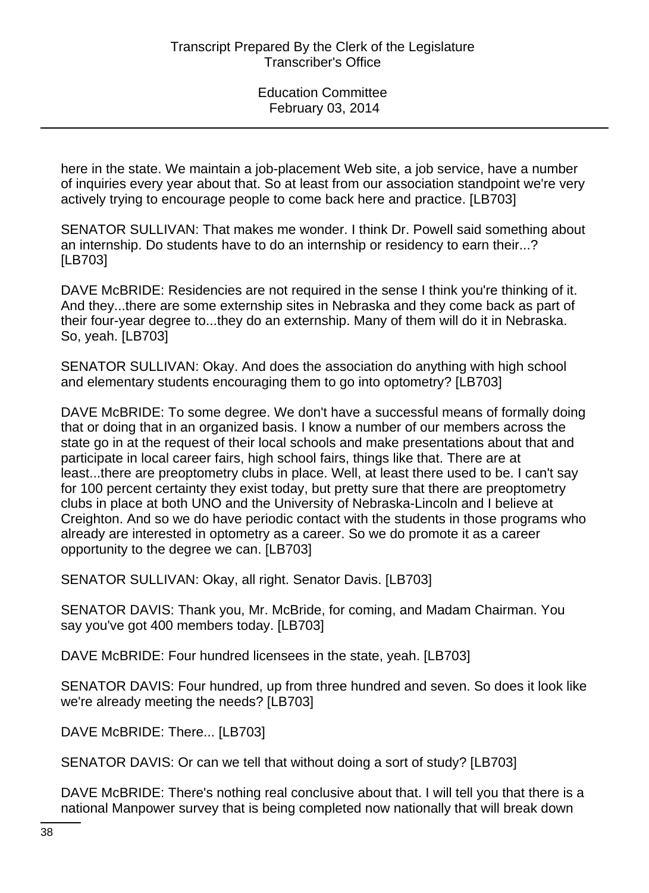here in the state. We maintain a job-placement Web site, a job service, have a number of inquiries every year about that. So at least from our association standpoint we're very actively trying to encourage people to come back here and practice. [LB703]

SENATOR SULLIVAN: That makes me wonder. I think Dr. Powell said something about an internship. Do students have to do an internship or residency to earn their...? [LB703]

DAVE McBRIDE: Residencies are not required in the sense I think you're thinking of it. And they...there are some externship sites in Nebraska and they come back as part of their four-year degree to...they do an externship. Many of them will do it in Nebraska. So, yeah. [LB703]

SENATOR SULLIVAN: Okay. And does the association do anything with high school and elementary students encouraging them to go into optometry? [LB703]

DAVE McBRIDE: To some degree. We don't have a successful means of formally doing that or doing that in an organized basis. I know a number of our members across the state go in at the request of their local schools and make presentations about that and participate in local career fairs, high school fairs, things like that. There are at least...there are preoptometry clubs in place. Well, at least there used to be. I can't say for 100 percent certainty they exist today, but pretty sure that there are preoptometry clubs in place at both UNO and the University of Nebraska-Lincoln and I believe at Creighton. And so we do have periodic contact with the students in those programs who already are interested in optometry as a career. So we do promote it as a career opportunity to the degree we can. [LB703]

SENATOR SULLIVAN: Okay, all right. Senator Davis. [LB703]

SENATOR DAVIS: Thank you, Mr. McBride, for coming, and Madam Chairman. You say you've got 400 members today. [LB703]

DAVE McBRIDE: Four hundred licensees in the state, yeah. [LB703]

SENATOR DAVIS: Four hundred, up from three hundred and seven. So does it look like we're already meeting the needs? [LB703]

DAVE McBRIDE: There... [LB703]

SENATOR DAVIS: Or can we tell that without doing a sort of study? [LB703]

DAVE McBRIDE: There's nothing real conclusive about that. I will tell you that there is a national Manpower survey that is being completed now nationally that will break down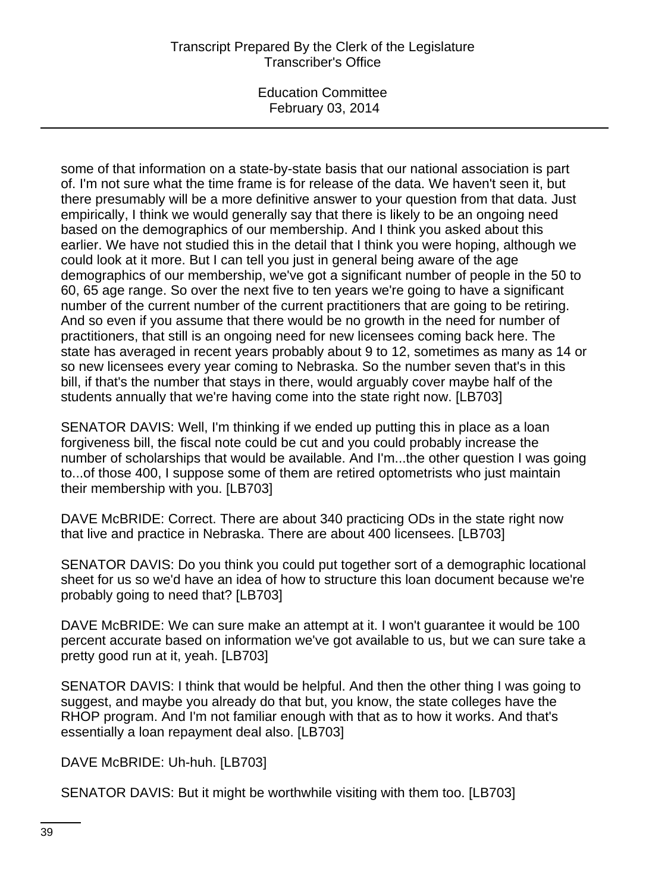some of that information on a state-by-state basis that our national association is part of. I'm not sure what the time frame is for release of the data. We haven't seen it, but there presumably will be a more definitive answer to your question from that data. Just empirically, I think we would generally say that there is likely to be an ongoing need based on the demographics of our membership. And I think you asked about this earlier. We have not studied this in the detail that I think you were hoping, although we could look at it more. But I can tell you just in general being aware of the age demographics of our membership, we've got a significant number of people in the 50 to 60, 65 age range. So over the next five to ten years we're going to have a significant number of the current number of the current practitioners that are going to be retiring. And so even if you assume that there would be no growth in the need for number of practitioners, that still is an ongoing need for new licensees coming back here. The state has averaged in recent years probably about 9 to 12, sometimes as many as 14 or so new licensees every year coming to Nebraska. So the number seven that's in this bill, if that's the number that stays in there, would arguably cover maybe half of the students annually that we're having come into the state right now. [LB703]

SENATOR DAVIS: Well, I'm thinking if we ended up putting this in place as a loan forgiveness bill, the fiscal note could be cut and you could probably increase the number of scholarships that would be available. And I'm...the other question I was going to...of those 400, I suppose some of them are retired optometrists who just maintain their membership with you. [LB703]

DAVE McBRIDE: Correct. There are about 340 practicing ODs in the state right now that live and practice in Nebraska. There are about 400 licensees. [LB703]

SENATOR DAVIS: Do you think you could put together sort of a demographic locational sheet for us so we'd have an idea of how to structure this loan document because we're probably going to need that? [LB703]

DAVE McBRIDE: We can sure make an attempt at it. I won't guarantee it would be 100 percent accurate based on information we've got available to us, but we can sure take a pretty good run at it, yeah. [LB703]

SENATOR DAVIS: I think that would be helpful. And then the other thing I was going to suggest, and maybe you already do that but, you know, the state colleges have the RHOP program. And I'm not familiar enough with that as to how it works. And that's essentially a loan repayment deal also. [LB703]

DAVE McBRIDE: Uh-huh. [LB703]

SENATOR DAVIS: But it might be worthwhile visiting with them too. [LB703]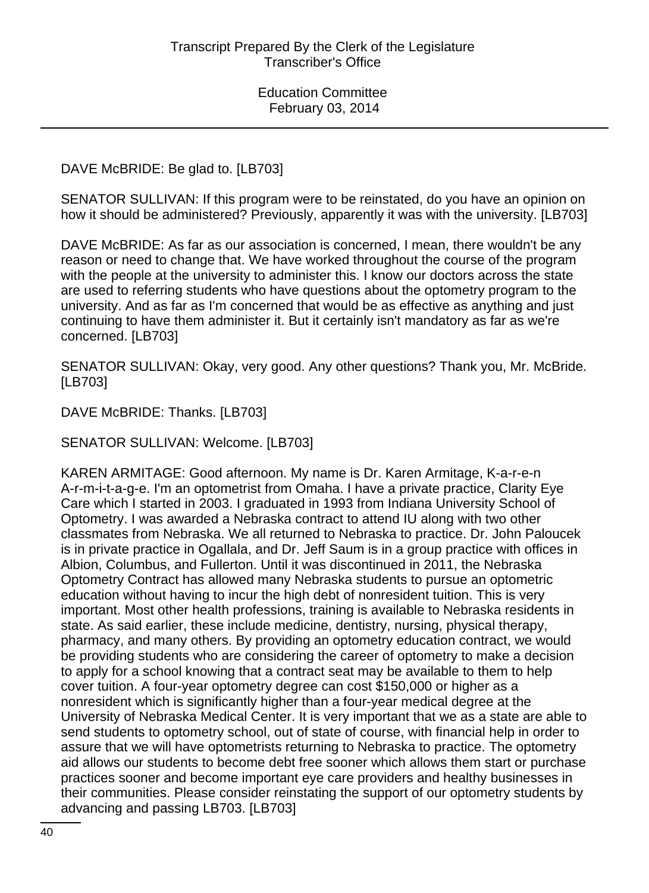DAVE McBRIDE: Be glad to. [LB703]

SENATOR SULLIVAN: If this program were to be reinstated, do you have an opinion on how it should be administered? Previously, apparently it was with the university. [LB703]

DAVE McBRIDE: As far as our association is concerned, I mean, there wouldn't be any reason or need to change that. We have worked throughout the course of the program with the people at the university to administer this. I know our doctors across the state are used to referring students who have questions about the optometry program to the university. And as far as I'm concerned that would be as effective as anything and just continuing to have them administer it. But it certainly isn't mandatory as far as we're concerned. [LB703]

SENATOR SULLIVAN: Okay, very good. Any other questions? Thank you, Mr. McBride. [LB703]

DAVE McBRIDE: Thanks. [LB703]

SENATOR SULLIVAN: Welcome. [LB703]

KAREN ARMITAGE: Good afternoon. My name is Dr. Karen Armitage, K-a-r-e-n A-r-m-i-t-a-g-e. I'm an optometrist from Omaha. I have a private practice, Clarity Eye Care which I started in 2003. I graduated in 1993 from Indiana University School of Optometry. I was awarded a Nebraska contract to attend IU along with two other classmates from Nebraska. We all returned to Nebraska to practice. Dr. John Paloucek is in private practice in Ogallala, and Dr. Jeff Saum is in a group practice with offices in Albion, Columbus, and Fullerton. Until it was discontinued in 2011, the Nebraska Optometry Contract has allowed many Nebraska students to pursue an optometric education without having to incur the high debt of nonresident tuition. This is very important. Most other health professions, training is available to Nebraska residents in state. As said earlier, these include medicine, dentistry, nursing, physical therapy, pharmacy, and many others. By providing an optometry education contract, we would be providing students who are considering the career of optometry to make a decision to apply for a school knowing that a contract seat may be available to them to help cover tuition. A four-year optometry degree can cost \$150,000 or higher as a nonresident which is significantly higher than a four-year medical degree at the University of Nebraska Medical Center. It is very important that we as a state are able to send students to optometry school, out of state of course, with financial help in order to assure that we will have optometrists returning to Nebraska to practice. The optometry aid allows our students to become debt free sooner which allows them start or purchase practices sooner and become important eye care providers and healthy businesses in their communities. Please consider reinstating the support of our optometry students by advancing and passing LB703. [LB703]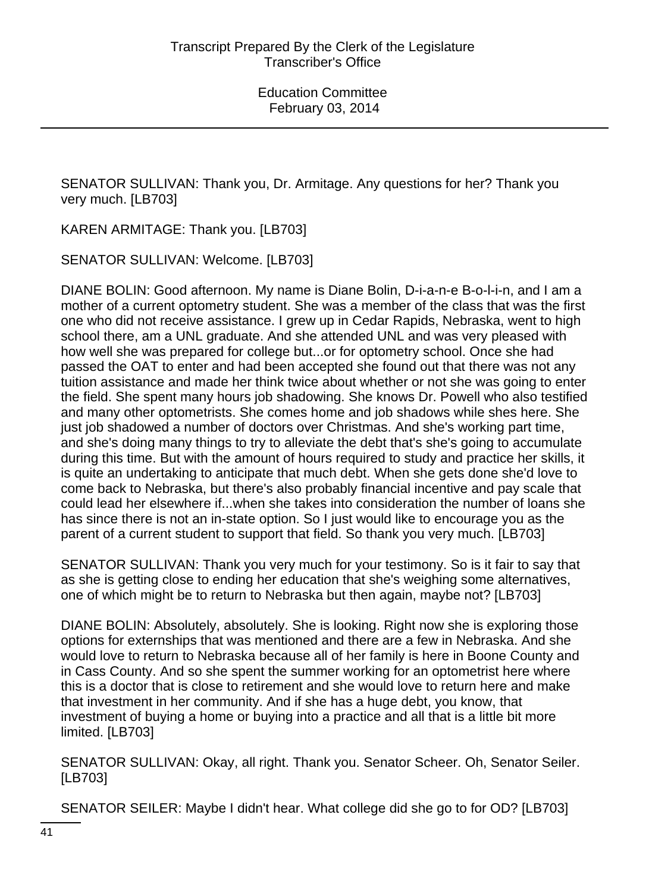SENATOR SULLIVAN: Thank you, Dr. Armitage. Any questions for her? Thank you very much. [LB703]

KAREN ARMITAGE: Thank you. [LB703]

SENATOR SULLIVAN: Welcome. [LB703]

DIANE BOLIN: Good afternoon. My name is Diane Bolin, D-i-a-n-e B-o-l-i-n, and I am a mother of a current optometry student. She was a member of the class that was the first one who did not receive assistance. I grew up in Cedar Rapids, Nebraska, went to high school there, am a UNL graduate. And she attended UNL and was very pleased with how well she was prepared for college but...or for optometry school. Once she had passed the OAT to enter and had been accepted she found out that there was not any tuition assistance and made her think twice about whether or not she was going to enter the field. She spent many hours job shadowing. She knows Dr. Powell who also testified and many other optometrists. She comes home and job shadows while shes here. She just job shadowed a number of doctors over Christmas. And she's working part time, and she's doing many things to try to alleviate the debt that's she's going to accumulate during this time. But with the amount of hours required to study and practice her skills, it is quite an undertaking to anticipate that much debt. When she gets done she'd love to come back to Nebraska, but there's also probably financial incentive and pay scale that could lead her elsewhere if...when she takes into consideration the number of loans she has since there is not an in-state option. So I just would like to encourage you as the parent of a current student to support that field. So thank you very much. [LB703]

SENATOR SULLIVAN: Thank you very much for your testimony. So is it fair to say that as she is getting close to ending her education that she's weighing some alternatives, one of which might be to return to Nebraska but then again, maybe not? [LB703]

DIANE BOLIN: Absolutely, absolutely. She is looking. Right now she is exploring those options for externships that was mentioned and there are a few in Nebraska. And she would love to return to Nebraska because all of her family is here in Boone County and in Cass County. And so she spent the summer working for an optometrist here where this is a doctor that is close to retirement and she would love to return here and make that investment in her community. And if she has a huge debt, you know, that investment of buying a home or buying into a practice and all that is a little bit more limited. [LB703]

SENATOR SULLIVAN: Okay, all right. Thank you. Senator Scheer. Oh, Senator Seiler. [LB703]

SENATOR SEILER: Maybe I didn't hear. What college did she go to for OD? [LB703]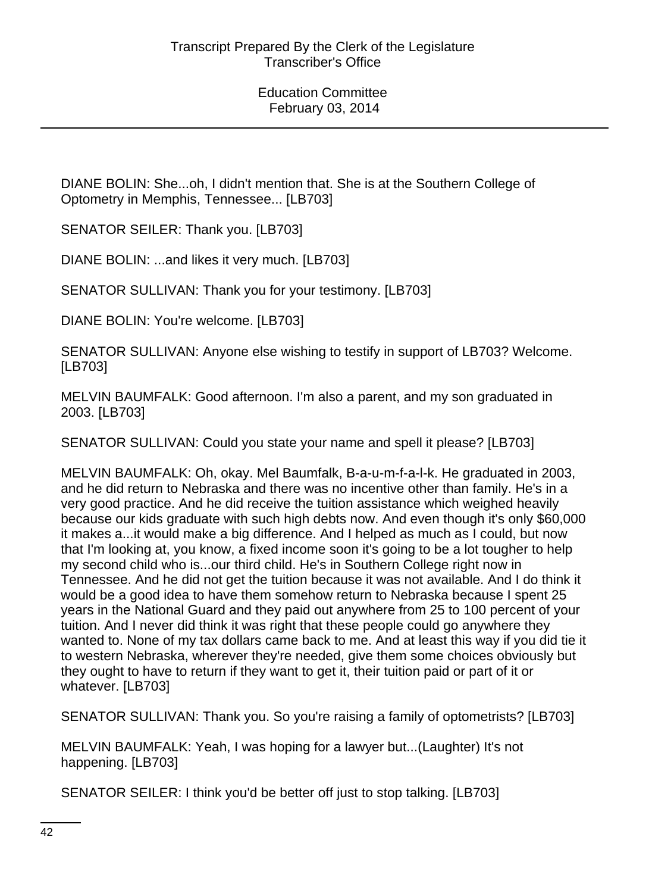DIANE BOLIN: She...oh, I didn't mention that. She is at the Southern College of Optometry in Memphis, Tennessee... [LB703]

SENATOR SEILER: Thank you. [LB703]

DIANE BOLIN: ...and likes it very much. [LB703]

SENATOR SULLIVAN: Thank you for your testimony. [LB703]

DIANE BOLIN: You're welcome. [LB703]

SENATOR SULLIVAN: Anyone else wishing to testify in support of LB703? Welcome. [LB703]

MELVIN BAUMFALK: Good afternoon. I'm also a parent, and my son graduated in 2003. [LB703]

SENATOR SULLIVAN: Could you state your name and spell it please? [LB703]

MELVIN BAUMFALK: Oh, okay. Mel Baumfalk, B-a-u-m-f-a-l-k. He graduated in 2003, and he did return to Nebraska and there was no incentive other than family. He's in a very good practice. And he did receive the tuition assistance which weighed heavily because our kids graduate with such high debts now. And even though it's only \$60,000 it makes a...it would make a big difference. And I helped as much as I could, but now that I'm looking at, you know, a fixed income soon it's going to be a lot tougher to help my second child who is...our third child. He's in Southern College right now in Tennessee. And he did not get the tuition because it was not available. And I do think it would be a good idea to have them somehow return to Nebraska because I spent 25 years in the National Guard and they paid out anywhere from 25 to 100 percent of your tuition. And I never did think it was right that these people could go anywhere they wanted to. None of my tax dollars came back to me. And at least this way if you did tie it to western Nebraska, wherever they're needed, give them some choices obviously but they ought to have to return if they want to get it, their tuition paid or part of it or whatever. [LB703]

SENATOR SULLIVAN: Thank you. So you're raising a family of optometrists? [LB703]

MELVIN BAUMFALK: Yeah, I was hoping for a lawyer but...(Laughter) It's not happening. [LB703]

SENATOR SEILER: I think you'd be better off just to stop talking. [LB703]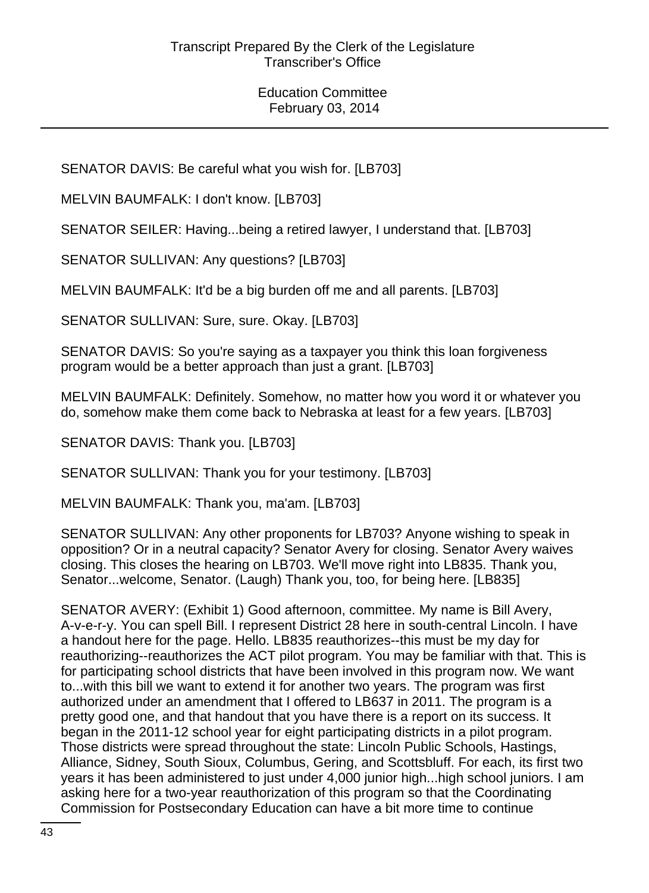SENATOR DAVIS: Be careful what you wish for. [LB703]

MELVIN BAUMFALK: I don't know. [LB703]

SENATOR SEILER: Having...being a retired lawyer, I understand that. [LB703]

SENATOR SULLIVAN: Any questions? [LB703]

MELVIN BAUMFALK: It'd be a big burden off me and all parents. [LB703]

SENATOR SULLIVAN: Sure, sure. Okay. [LB703]

SENATOR DAVIS: So you're saying as a taxpayer you think this loan forgiveness program would be a better approach than just a grant. [LB703]

MELVIN BAUMFALK: Definitely. Somehow, no matter how you word it or whatever you do, somehow make them come back to Nebraska at least for a few years. [LB703]

SENATOR DAVIS: Thank you. [LB703]

SENATOR SULLIVAN: Thank you for your testimony. [LB703]

MELVIN BAUMFALK: Thank you, ma'am. [LB703]

SENATOR SULLIVAN: Any other proponents for LB703? Anyone wishing to speak in opposition? Or in a neutral capacity? Senator Avery for closing. Senator Avery waives closing. This closes the hearing on LB703. We'll move right into LB835. Thank you, Senator...welcome, Senator. (Laugh) Thank you, too, for being here. [LB835]

SENATOR AVERY: (Exhibit 1) Good afternoon, committee. My name is Bill Avery, A-v-e-r-y. You can spell Bill. I represent District 28 here in south-central Lincoln. I have a handout here for the page. Hello. LB835 reauthorizes--this must be my day for reauthorizing--reauthorizes the ACT pilot program. You may be familiar with that. This is for participating school districts that have been involved in this program now. We want to...with this bill we want to extend it for another two years. The program was first authorized under an amendment that I offered to LB637 in 2011. The program is a pretty good one, and that handout that you have there is a report on its success. It began in the 2011-12 school year for eight participating districts in a pilot program. Those districts were spread throughout the state: Lincoln Public Schools, Hastings, Alliance, Sidney, South Sioux, Columbus, Gering, and Scottsbluff. For each, its first two years it has been administered to just under 4,000 junior high...high school juniors. I am asking here for a two-year reauthorization of this program so that the Coordinating Commission for Postsecondary Education can have a bit more time to continue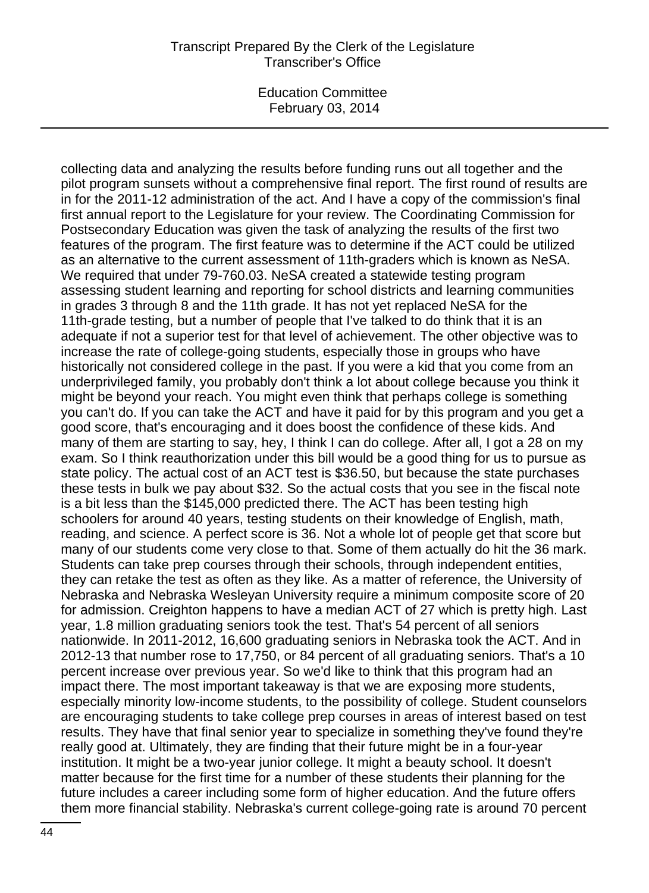Education Committee February 03, 2014

collecting data and analyzing the results before funding runs out all together and the pilot program sunsets without a comprehensive final report. The first round of results are in for the 2011-12 administration of the act. And I have a copy of the commission's final first annual report to the Legislature for your review. The Coordinating Commission for Postsecondary Education was given the task of analyzing the results of the first two features of the program. The first feature was to determine if the ACT could be utilized as an alternative to the current assessment of 11th-graders which is known as NeSA. We required that under 79-760.03. NeSA created a statewide testing program assessing student learning and reporting for school districts and learning communities in grades 3 through 8 and the 11th grade. It has not yet replaced NeSA for the 11th-grade testing, but a number of people that I've talked to do think that it is an adequate if not a superior test for that level of achievement. The other objective was to increase the rate of college-going students, especially those in groups who have historically not considered college in the past. If you were a kid that you come from an underprivileged family, you probably don't think a lot about college because you think it might be beyond your reach. You might even think that perhaps college is something you can't do. If you can take the ACT and have it paid for by this program and you get a good score, that's encouraging and it does boost the confidence of these kids. And many of them are starting to say, hey, I think I can do college. After all, I got a 28 on my exam. So I think reauthorization under this bill would be a good thing for us to pursue as state policy. The actual cost of an ACT test is \$36.50, but because the state purchases these tests in bulk we pay about \$32. So the actual costs that you see in the fiscal note is a bit less than the \$145,000 predicted there. The ACT has been testing high schoolers for around 40 years, testing students on their knowledge of English, math, reading, and science. A perfect score is 36. Not a whole lot of people get that score but many of our students come very close to that. Some of them actually do hit the 36 mark. Students can take prep courses through their schools, through independent entities, they can retake the test as often as they like. As a matter of reference, the University of Nebraska and Nebraska Wesleyan University require a minimum composite score of 20 for admission. Creighton happens to have a median ACT of 27 which is pretty high. Last year, 1.8 million graduating seniors took the test. That's 54 percent of all seniors nationwide. In 2011-2012, 16,600 graduating seniors in Nebraska took the ACT. And in 2012-13 that number rose to 17,750, or 84 percent of all graduating seniors. That's a 10 percent increase over previous year. So we'd like to think that this program had an impact there. The most important takeaway is that we are exposing more students, especially minority low-income students, to the possibility of college. Student counselors are encouraging students to take college prep courses in areas of interest based on test results. They have that final senior year to specialize in something they've found they're really good at. Ultimately, they are finding that their future might be in a four-year institution. It might be a two-year junior college. It might a beauty school. It doesn't matter because for the first time for a number of these students their planning for the future includes a career including some form of higher education. And the future offers them more financial stability. Nebraska's current college-going rate is around 70 percent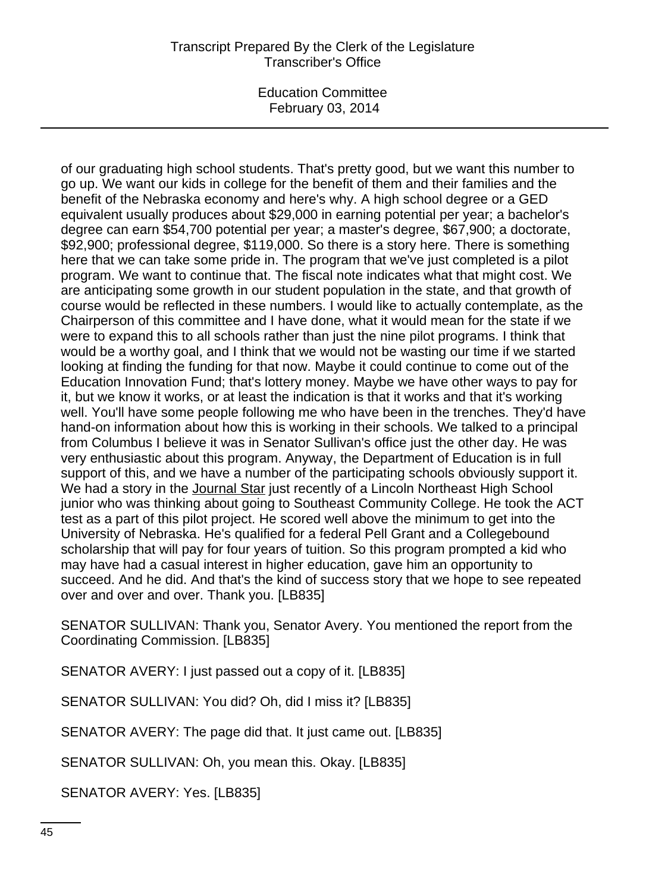Education Committee February 03, 2014

of our graduating high school students. That's pretty good, but we want this number to go up. We want our kids in college for the benefit of them and their families and the benefit of the Nebraska economy and here's why. A high school degree or a GED equivalent usually produces about \$29,000 in earning potential per year; a bachelor's degree can earn \$54,700 potential per year; a master's degree, \$67,900; a doctorate, \$92,900; professional degree, \$119,000. So there is a story here. There is something here that we can take some pride in. The program that we've just completed is a pilot program. We want to continue that. The fiscal note indicates what that might cost. We are anticipating some growth in our student population in the state, and that growth of course would be reflected in these numbers. I would like to actually contemplate, as the Chairperson of this committee and I have done, what it would mean for the state if we were to expand this to all schools rather than just the nine pilot programs. I think that would be a worthy goal, and I think that we would not be wasting our time if we started looking at finding the funding for that now. Maybe it could continue to come out of the Education Innovation Fund; that's lottery money. Maybe we have other ways to pay for it, but we know it works, or at least the indication is that it works and that it's working well. You'll have some people following me who have been in the trenches. They'd have hand-on information about how this is working in their schools. We talked to a principal from Columbus I believe it was in Senator Sullivan's office just the other day. He was very enthusiastic about this program. Anyway, the Department of Education is in full support of this, and we have a number of the participating schools obviously support it. We had a story in the Journal Star just recently of a Lincoln Northeast High School junior who was thinking about going to Southeast Community College. He took the ACT test as a part of this pilot project. He scored well above the minimum to get into the University of Nebraska. He's qualified for a federal Pell Grant and a Collegebound scholarship that will pay for four years of tuition. So this program prompted a kid who may have had a casual interest in higher education, gave him an opportunity to succeed. And he did. And that's the kind of success story that we hope to see repeated over and over and over. Thank you. [LB835]

SENATOR SULLIVAN: Thank you, Senator Avery. You mentioned the report from the Coordinating Commission. [LB835]

SENATOR AVERY: I just passed out a copy of it. [LB835]

SENATOR SULLIVAN: You did? Oh, did I miss it? [LB835]

SENATOR AVERY: The page did that. It just came out. [LB835]

SENATOR SULLIVAN: Oh, you mean this. Okay. [LB835]

SENATOR AVERY: Yes. [LB835]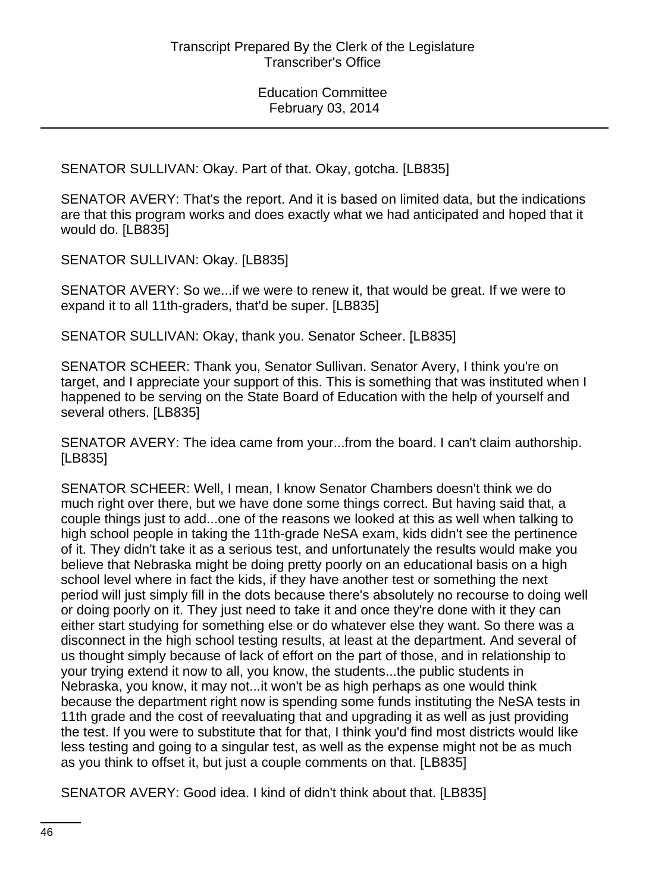SENATOR SULLIVAN: Okay. Part of that. Okay, gotcha. [LB835]

SENATOR AVERY: That's the report. And it is based on limited data, but the indications are that this program works and does exactly what we had anticipated and hoped that it would do. [LB835]

SENATOR SULLIVAN: Okay. [LB835]

SENATOR AVERY: So we...if we were to renew it, that would be great. If we were to expand it to all 11th-graders, that'd be super. [LB835]

SENATOR SULLIVAN: Okay, thank you. Senator Scheer. [LB835]

SENATOR SCHEER: Thank you, Senator Sullivan. Senator Avery, I think you're on target, and I appreciate your support of this. This is something that was instituted when I happened to be serving on the State Board of Education with the help of yourself and several others. [LB835]

SENATOR AVERY: The idea came from your...from the board. I can't claim authorship. [LB835]

SENATOR SCHEER: Well, I mean, I know Senator Chambers doesn't think we do much right over there, but we have done some things correct. But having said that, a couple things just to add...one of the reasons we looked at this as well when talking to high school people in taking the 11th-grade NeSA exam, kids didn't see the pertinence of it. They didn't take it as a serious test, and unfortunately the results would make you believe that Nebraska might be doing pretty poorly on an educational basis on a high school level where in fact the kids, if they have another test or something the next period will just simply fill in the dots because there's absolutely no recourse to doing well or doing poorly on it. They just need to take it and once they're done with it they can either start studying for something else or do whatever else they want. So there was a disconnect in the high school testing results, at least at the department. And several of us thought simply because of lack of effort on the part of those, and in relationship to your trying extend it now to all, you know, the students...the public students in Nebraska, you know, it may not...it won't be as high perhaps as one would think because the department right now is spending some funds instituting the NeSA tests in 11th grade and the cost of reevaluating that and upgrading it as well as just providing the test. If you were to substitute that for that, I think you'd find most districts would like less testing and going to a singular test, as well as the expense might not be as much as you think to offset it, but just a couple comments on that. [LB835]

SENATOR AVERY: Good idea. I kind of didn't think about that. [LB835]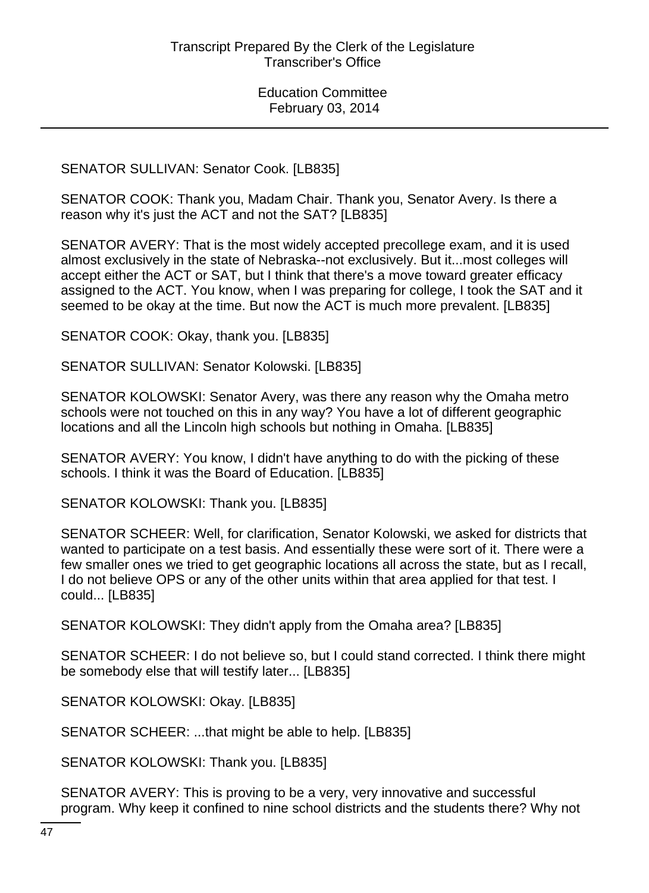SENATOR SULLIVAN: Senator Cook. [LB835]

SENATOR COOK: Thank you, Madam Chair. Thank you, Senator Avery. Is there a reason why it's just the ACT and not the SAT? [LB835]

SENATOR AVERY: That is the most widely accepted precollege exam, and it is used almost exclusively in the state of Nebraska--not exclusively. But it...most colleges will accept either the ACT or SAT, but I think that there's a move toward greater efficacy assigned to the ACT. You know, when I was preparing for college, I took the SAT and it seemed to be okay at the time. But now the ACT is much more prevalent. [LB835]

SENATOR COOK: Okay, thank you. [LB835]

SENATOR SULLIVAN: Senator Kolowski. [LB835]

SENATOR KOLOWSKI: Senator Avery, was there any reason why the Omaha metro schools were not touched on this in any way? You have a lot of different geographic locations and all the Lincoln high schools but nothing in Omaha. [LB835]

SENATOR AVERY: You know, I didn't have anything to do with the picking of these schools. I think it was the Board of Education. [LB835]

SENATOR KOLOWSKI: Thank you. [LB835]

SENATOR SCHEER: Well, for clarification, Senator Kolowski, we asked for districts that wanted to participate on a test basis. And essentially these were sort of it. There were a few smaller ones we tried to get geographic locations all across the state, but as I recall, I do not believe OPS or any of the other units within that area applied for that test. I could... [LB835]

SENATOR KOLOWSKI: They didn't apply from the Omaha area? [LB835]

SENATOR SCHEER: I do not believe so, but I could stand corrected. I think there might be somebody else that will testify later... [LB835]

SENATOR KOLOWSKI: Okay. [LB835]

SENATOR SCHEER: ...that might be able to help. [LB835]

SENATOR KOLOWSKI: Thank you. [LB835]

SENATOR AVERY: This is proving to be a very, very innovative and successful program. Why keep it confined to nine school districts and the students there? Why not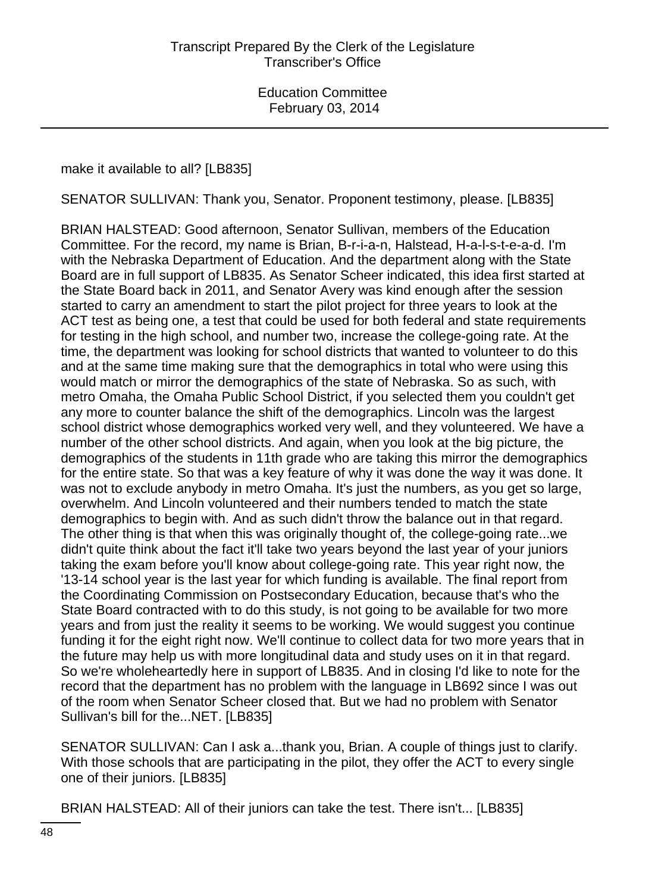#### make it available to all? [LB835]

SENATOR SULLIVAN: Thank you, Senator. Proponent testimony, please. [LB835]

BRIAN HALSTEAD: Good afternoon, Senator Sullivan, members of the Education Committee. For the record, my name is Brian, B-r-i-a-n, Halstead, H-a-l-s-t-e-a-d. I'm with the Nebraska Department of Education. And the department along with the State Board are in full support of LB835. As Senator Scheer indicated, this idea first started at the State Board back in 2011, and Senator Avery was kind enough after the session started to carry an amendment to start the pilot project for three years to look at the ACT test as being one, a test that could be used for both federal and state requirements for testing in the high school, and number two, increase the college-going rate. At the time, the department was looking for school districts that wanted to volunteer to do this and at the same time making sure that the demographics in total who were using this would match or mirror the demographics of the state of Nebraska. So as such, with metro Omaha, the Omaha Public School District, if you selected them you couldn't get any more to counter balance the shift of the demographics. Lincoln was the largest school district whose demographics worked very well, and they volunteered. We have a number of the other school districts. And again, when you look at the big picture, the demographics of the students in 11th grade who are taking this mirror the demographics for the entire state. So that was a key feature of why it was done the way it was done. It was not to exclude anybody in metro Omaha. It's just the numbers, as you get so large, overwhelm. And Lincoln volunteered and their numbers tended to match the state demographics to begin with. And as such didn't throw the balance out in that regard. The other thing is that when this was originally thought of, the college-going rate...we didn't quite think about the fact it'll take two years beyond the last year of your juniors taking the exam before you'll know about college-going rate. This year right now, the '13-14 school year is the last year for which funding is available. The final report from the Coordinating Commission on Postsecondary Education, because that's who the State Board contracted with to do this study, is not going to be available for two more years and from just the reality it seems to be working. We would suggest you continue funding it for the eight right now. We'll continue to collect data for two more years that in the future may help us with more longitudinal data and study uses on it in that regard. So we're wholeheartedly here in support of LB835. And in closing I'd like to note for the record that the department has no problem with the language in LB692 since I was out of the room when Senator Scheer closed that. But we had no problem with Senator Sullivan's bill for the...NET. [LB835]

SENATOR SULLIVAN: Can I ask a...thank you, Brian. A couple of things just to clarify. With those schools that are participating in the pilot, they offer the ACT to every single one of their juniors. [LB835]

BRIAN HALSTEAD: All of their juniors can take the test. There isn't... [LB835]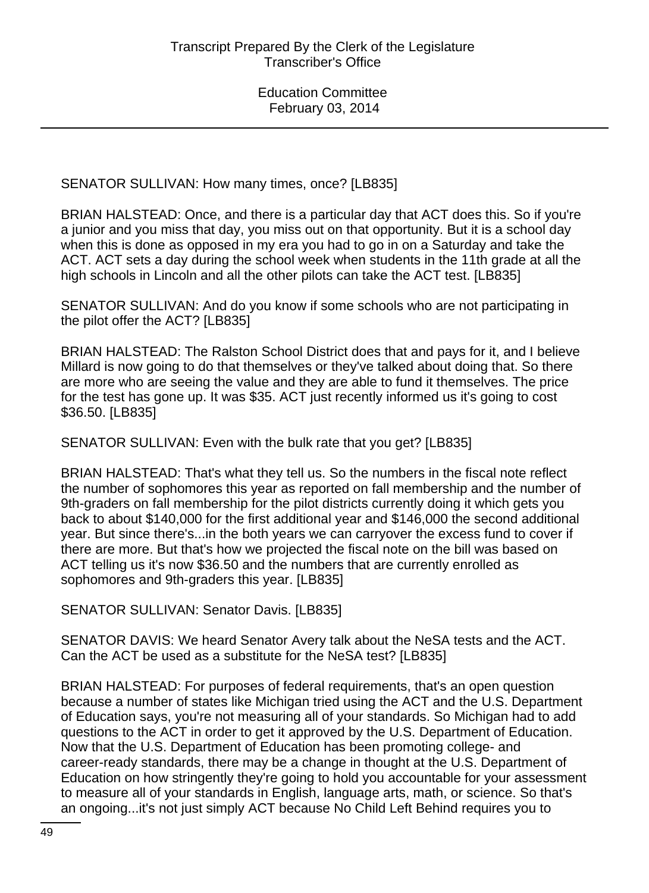SENATOR SULLIVAN: How many times, once? [LB835]

BRIAN HALSTEAD: Once, and there is a particular day that ACT does this. So if you're a junior and you miss that day, you miss out on that opportunity. But it is a school day when this is done as opposed in my era you had to go in on a Saturday and take the ACT. ACT sets a day during the school week when students in the 11th grade at all the high schools in Lincoln and all the other pilots can take the ACT test. [LB835]

SENATOR SULLIVAN: And do you know if some schools who are not participating in the pilot offer the ACT? [LB835]

BRIAN HALSTEAD: The Ralston School District does that and pays for it, and I believe Millard is now going to do that themselves or they've talked about doing that. So there are more who are seeing the value and they are able to fund it themselves. The price for the test has gone up. It was \$35. ACT just recently informed us it's going to cost \$36.50. [LB835]

SENATOR SULLIVAN: Even with the bulk rate that you get? [LB835]

BRIAN HALSTEAD: That's what they tell us. So the numbers in the fiscal note reflect the number of sophomores this year as reported on fall membership and the number of 9th-graders on fall membership for the pilot districts currently doing it which gets you back to about \$140,000 for the first additional year and \$146,000 the second additional year. But since there's...in the both years we can carryover the excess fund to cover if there are more. But that's how we projected the fiscal note on the bill was based on ACT telling us it's now \$36.50 and the numbers that are currently enrolled as sophomores and 9th-graders this year. [LB835]

SENATOR SULLIVAN: Senator Davis. [LB835]

SENATOR DAVIS: We heard Senator Avery talk about the NeSA tests and the ACT. Can the ACT be used as a substitute for the NeSA test? [LB835]

BRIAN HALSTEAD: For purposes of federal requirements, that's an open question because a number of states like Michigan tried using the ACT and the U.S. Department of Education says, you're not measuring all of your standards. So Michigan had to add questions to the ACT in order to get it approved by the U.S. Department of Education. Now that the U.S. Department of Education has been promoting college- and career-ready standards, there may be a change in thought at the U.S. Department of Education on how stringently they're going to hold you accountable for your assessment to measure all of your standards in English, language arts, math, or science. So that's an ongoing...it's not just simply ACT because No Child Left Behind requires you to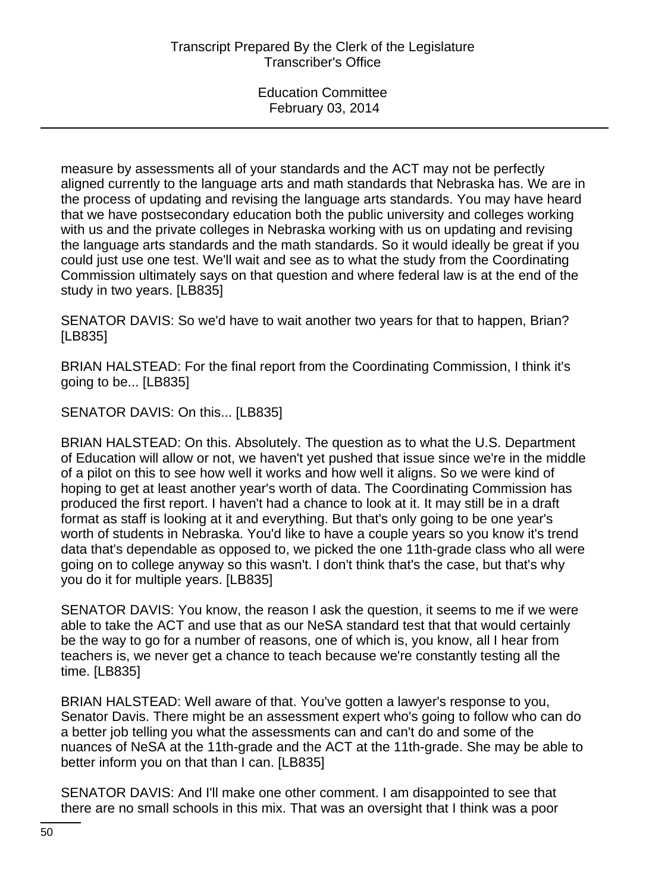measure by assessments all of your standards and the ACT may not be perfectly aligned currently to the language arts and math standards that Nebraska has. We are in the process of updating and revising the language arts standards. You may have heard that we have postsecondary education both the public university and colleges working with us and the private colleges in Nebraska working with us on updating and revising the language arts standards and the math standards. So it would ideally be great if you could just use one test. We'll wait and see as to what the study from the Coordinating Commission ultimately says on that question and where federal law is at the end of the study in two years. [LB835]

SENATOR DAVIS: So we'd have to wait another two years for that to happen, Brian? [LB835]

BRIAN HALSTEAD: For the final report from the Coordinating Commission, I think it's going to be... [LB835]

SENATOR DAVIS: On this... [LB835]

BRIAN HALSTEAD: On this. Absolutely. The question as to what the U.S. Department of Education will allow or not, we haven't yet pushed that issue since we're in the middle of a pilot on this to see how well it works and how well it aligns. So we were kind of hoping to get at least another year's worth of data. The Coordinating Commission has produced the first report. I haven't had a chance to look at it. It may still be in a draft format as staff is looking at it and everything. But that's only going to be one year's worth of students in Nebraska. You'd like to have a couple years so you know it's trend data that's dependable as opposed to, we picked the one 11th-grade class who all were going on to college anyway so this wasn't. I don't think that's the case, but that's why you do it for multiple years. [LB835]

SENATOR DAVIS: You know, the reason I ask the question, it seems to me if we were able to take the ACT and use that as our NeSA standard test that that would certainly be the way to go for a number of reasons, one of which is, you know, all I hear from teachers is, we never get a chance to teach because we're constantly testing all the time. [LB835]

BRIAN HALSTEAD: Well aware of that. You've gotten a lawyer's response to you, Senator Davis. There might be an assessment expert who's going to follow who can do a better job telling you what the assessments can and can't do and some of the nuances of NeSA at the 11th-grade and the ACT at the 11th-grade. She may be able to better inform you on that than I can. [LB835]

SENATOR DAVIS: And I'll make one other comment. I am disappointed to see that there are no small schools in this mix. That was an oversight that I think was a poor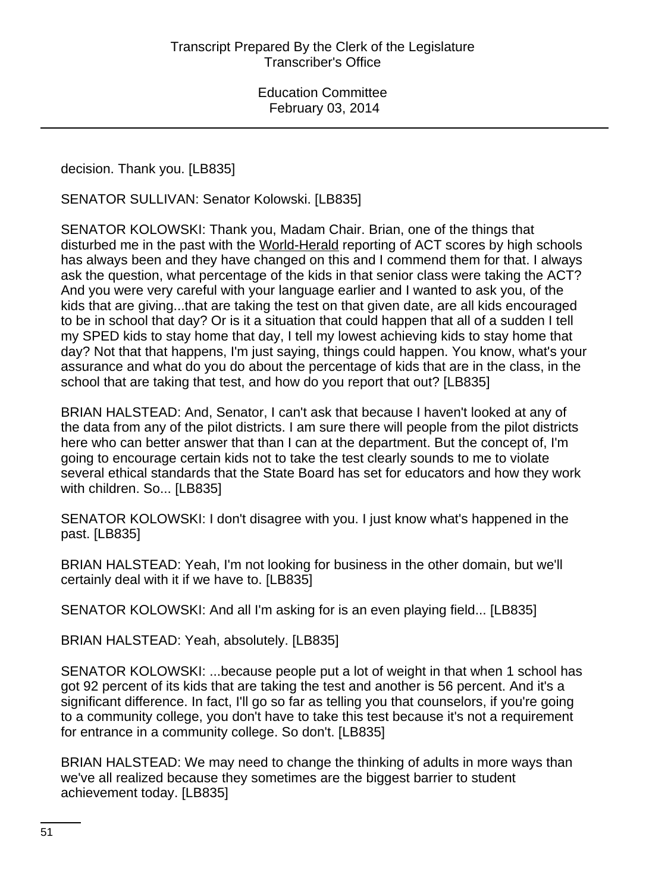decision. Thank you. [LB835]

SENATOR SULLIVAN: Senator Kolowski. [LB835]

SENATOR KOLOWSKI: Thank you, Madam Chair. Brian, one of the things that disturbed me in the past with the World-Herald reporting of ACT scores by high schools has always been and they have changed on this and I commend them for that. I always ask the question, what percentage of the kids in that senior class were taking the ACT? And you were very careful with your language earlier and I wanted to ask you, of the kids that are giving...that are taking the test on that given date, are all kids encouraged to be in school that day? Or is it a situation that could happen that all of a sudden I tell my SPED kids to stay home that day, I tell my lowest achieving kids to stay home that day? Not that that happens, I'm just saying, things could happen. You know, what's your assurance and what do you do about the percentage of kids that are in the class, in the school that are taking that test, and how do you report that out? [LB835]

BRIAN HALSTEAD: And, Senator, I can't ask that because I haven't looked at any of the data from any of the pilot districts. I am sure there will people from the pilot districts here who can better answer that than I can at the department. But the concept of, I'm going to encourage certain kids not to take the test clearly sounds to me to violate several ethical standards that the State Board has set for educators and how they work with children. So... [LB835]

SENATOR KOLOWSKI: I don't disagree with you. I just know what's happened in the past. [LB835]

BRIAN HALSTEAD: Yeah, I'm not looking for business in the other domain, but we'll certainly deal with it if we have to. [LB835]

SENATOR KOLOWSKI: And all I'm asking for is an even playing field... [LB835]

BRIAN HALSTEAD: Yeah, absolutely. [LB835]

SENATOR KOLOWSKI: ...because people put a lot of weight in that when 1 school has got 92 percent of its kids that are taking the test and another is 56 percent. And it's a significant difference. In fact, I'll go so far as telling you that counselors, if you're going to a community college, you don't have to take this test because it's not a requirement for entrance in a community college. So don't. [LB835]

BRIAN HALSTEAD: We may need to change the thinking of adults in more ways than we've all realized because they sometimes are the biggest barrier to student achievement today. [LB835]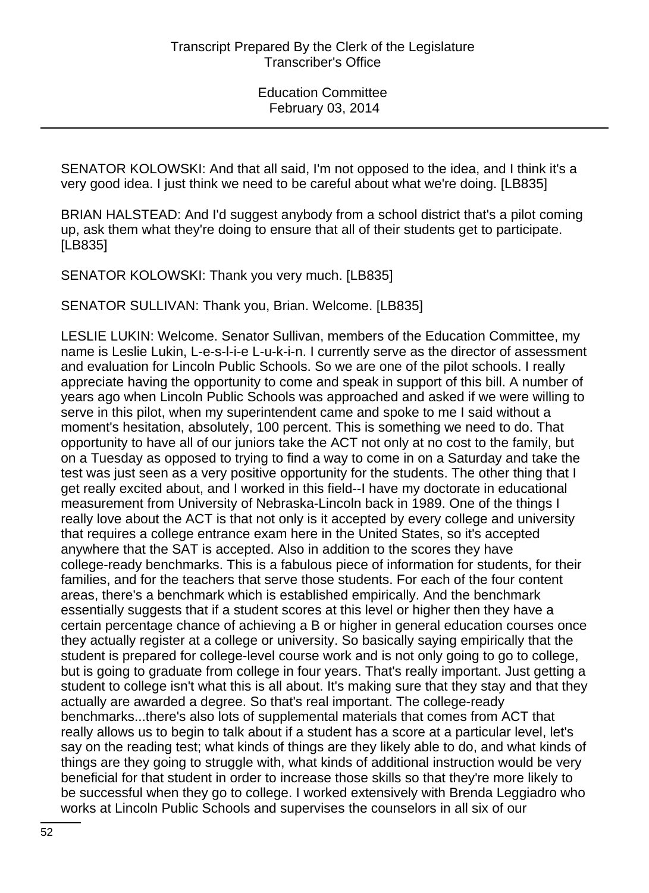SENATOR KOLOWSKI: And that all said, I'm not opposed to the idea, and I think it's a very good idea. I just think we need to be careful about what we're doing. [LB835]

BRIAN HALSTEAD: And I'd suggest anybody from a school district that's a pilot coming up, ask them what they're doing to ensure that all of their students get to participate. [LB835]

SENATOR KOLOWSKI: Thank you very much. [LB835]

SENATOR SULLIVAN: Thank you, Brian. Welcome. [LB835]

LESLIE LUKIN: Welcome. Senator Sullivan, members of the Education Committee, my name is Leslie Lukin, L-e-s-l-i-e L-u-k-i-n. I currently serve as the director of assessment and evaluation for Lincoln Public Schools. So we are one of the pilot schools. I really appreciate having the opportunity to come and speak in support of this bill. A number of years ago when Lincoln Public Schools was approached and asked if we were willing to serve in this pilot, when my superintendent came and spoke to me I said without a moment's hesitation, absolutely, 100 percent. This is something we need to do. That opportunity to have all of our juniors take the ACT not only at no cost to the family, but on a Tuesday as opposed to trying to find a way to come in on a Saturday and take the test was just seen as a very positive opportunity for the students. The other thing that I get really excited about, and I worked in this field--I have my doctorate in educational measurement from University of Nebraska-Lincoln back in 1989. One of the things I really love about the ACT is that not only is it accepted by every college and university that requires a college entrance exam here in the United States, so it's accepted anywhere that the SAT is accepted. Also in addition to the scores they have college-ready benchmarks. This is a fabulous piece of information for students, for their families, and for the teachers that serve those students. For each of the four content areas, there's a benchmark which is established empirically. And the benchmark essentially suggests that if a student scores at this level or higher then they have a certain percentage chance of achieving a B or higher in general education courses once they actually register at a college or university. So basically saying empirically that the student is prepared for college-level course work and is not only going to go to college, but is going to graduate from college in four years. That's really important. Just getting a student to college isn't what this is all about. It's making sure that they stay and that they actually are awarded a degree. So that's real important. The college-ready benchmarks...there's also lots of supplemental materials that comes from ACT that really allows us to begin to talk about if a student has a score at a particular level, let's say on the reading test; what kinds of things are they likely able to do, and what kinds of things are they going to struggle with, what kinds of additional instruction would be very beneficial for that student in order to increase those skills so that they're more likely to be successful when they go to college. I worked extensively with Brenda Leggiadro who works at Lincoln Public Schools and supervises the counselors in all six of our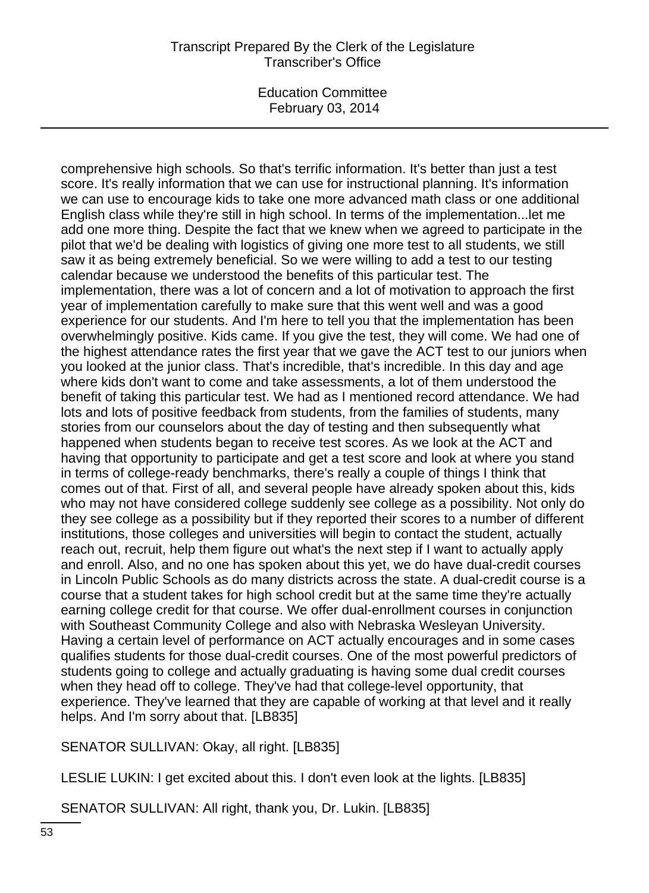Education Committee February 03, 2014

comprehensive high schools. So that's terrific information. It's better than just a test score. It's really information that we can use for instructional planning. It's information we can use to encourage kids to take one more advanced math class or one additional English class while they're still in high school. In terms of the implementation...let me add one more thing. Despite the fact that we knew when we agreed to participate in the pilot that we'd be dealing with logistics of giving one more test to all students, we still saw it as being extremely beneficial. So we were willing to add a test to our testing calendar because we understood the benefits of this particular test. The implementation, there was a lot of concern and a lot of motivation to approach the first year of implementation carefully to make sure that this went well and was a good experience for our students. And I'm here to tell you that the implementation has been overwhelmingly positive. Kids came. If you give the test, they will come. We had one of the highest attendance rates the first year that we gave the ACT test to our juniors when you looked at the junior class. That's incredible, that's incredible. In this day and age where kids don't want to come and take assessments, a lot of them understood the benefit of taking this particular test. We had as I mentioned record attendance. We had lots and lots of positive feedback from students, from the families of students, many stories from our counselors about the day of testing and then subsequently what happened when students began to receive test scores. As we look at the ACT and having that opportunity to participate and get a test score and look at where you stand in terms of college-ready benchmarks, there's really a couple of things I think that comes out of that. First of all, and several people have already spoken about this, kids who may not have considered college suddenly see college as a possibility. Not only do they see college as a possibility but if they reported their scores to a number of different institutions, those colleges and universities will begin to contact the student, actually reach out, recruit, help them figure out what's the next step if I want to actually apply and enroll. Also, and no one has spoken about this yet, we do have dual-credit courses in Lincoln Public Schools as do many districts across the state. A dual-credit course is a course that a student takes for high school credit but at the same time they're actually earning college credit for that course. We offer dual-enrollment courses in conjunction with Southeast Community College and also with Nebraska Wesleyan University. Having a certain level of performance on ACT actually encourages and in some cases qualifies students for those dual-credit courses. One of the most powerful predictors of students going to college and actually graduating is having some dual credit courses when they head off to college. They've had that college-level opportunity, that experience. They've learned that they are capable of working at that level and it really helps. And I'm sorry about that. [LB835]

SENATOR SULLIVAN: Okay, all right. [LB835]

LESLIE LUKIN: I get excited about this. I don't even look at the lights. [LB835]

SENATOR SULLIVAN: All right, thank you, Dr. Lukin. [LB835]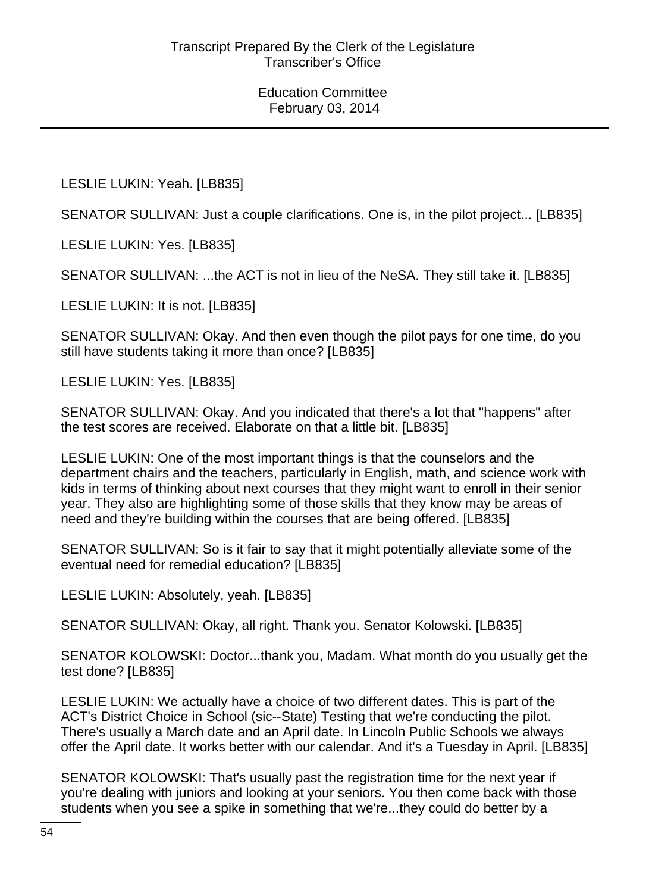LESLIE LUKIN: Yeah. [LB835]

SENATOR SULLIVAN: Just a couple clarifications. One is, in the pilot project... [LB835]

LESLIE LUKIN: Yes. [LB835]

SENATOR SULLIVAN: ...the ACT is not in lieu of the NeSA. They still take it. [LB835]

LESLIE LUKIN: It is not. [LB835]

SENATOR SULLIVAN: Okay. And then even though the pilot pays for one time, do you still have students taking it more than once? [LB835]

LESLIE LUKIN: Yes. [LB835]

SENATOR SULLIVAN: Okay. And you indicated that there's a lot that "happens" after the test scores are received. Elaborate on that a little bit. [LB835]

LESLIE LUKIN: One of the most important things is that the counselors and the department chairs and the teachers, particularly in English, math, and science work with kids in terms of thinking about next courses that they might want to enroll in their senior year. They also are highlighting some of those skills that they know may be areas of need and they're building within the courses that are being offered. [LB835]

SENATOR SULLIVAN: So is it fair to say that it might potentially alleviate some of the eventual need for remedial education? [LB835]

LESLIE LUKIN: Absolutely, yeah. [LB835]

SENATOR SULLIVAN: Okay, all right. Thank you. Senator Kolowski. [LB835]

SENATOR KOLOWSKI: Doctor...thank you, Madam. What month do you usually get the test done? [LB835]

LESLIE LUKIN: We actually have a choice of two different dates. This is part of the ACT's District Choice in School (sic--State) Testing that we're conducting the pilot. There's usually a March date and an April date. In Lincoln Public Schools we always offer the April date. It works better with our calendar. And it's a Tuesday in April. [LB835]

SENATOR KOLOWSKI: That's usually past the registration time for the next year if you're dealing with juniors and looking at your seniors. You then come back with those students when you see a spike in something that we're...they could do better by a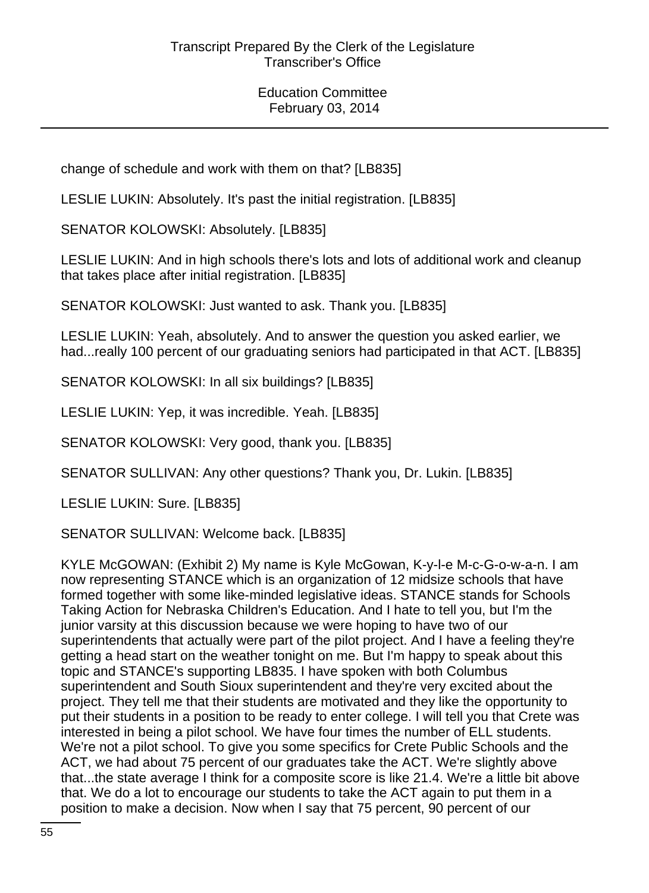change of schedule and work with them on that? [LB835]

LESLIE LUKIN: Absolutely. It's past the initial registration. [LB835]

SENATOR KOLOWSKI: Absolutely. [LB835]

LESLIE LUKIN: And in high schools there's lots and lots of additional work and cleanup that takes place after initial registration. [LB835]

SENATOR KOLOWSKI: Just wanted to ask. Thank you. [LB835]

LESLIE LUKIN: Yeah, absolutely. And to answer the question you asked earlier, we had...really 100 percent of our graduating seniors had participated in that ACT. [LB835]

SENATOR KOLOWSKI: In all six buildings? [LB835]

LESLIE LUKIN: Yep, it was incredible. Yeah. [LB835]

SENATOR KOLOWSKI: Very good, thank you. [LB835]

SENATOR SULLIVAN: Any other questions? Thank you, Dr. Lukin. [LB835]

LESLIE LUKIN: Sure. [LB835]

SENATOR SULLIVAN: Welcome back. [LB835]

KYLE McGOWAN: (Exhibit 2) My name is Kyle McGowan, K-y-l-e M-c-G-o-w-a-n. I am now representing STANCE which is an organization of 12 midsize schools that have formed together with some like-minded legislative ideas. STANCE stands for Schools Taking Action for Nebraska Children's Education. And I hate to tell you, but I'm the junior varsity at this discussion because we were hoping to have two of our superintendents that actually were part of the pilot project. And I have a feeling they're getting a head start on the weather tonight on me. But I'm happy to speak about this topic and STANCE's supporting LB835. I have spoken with both Columbus superintendent and South Sioux superintendent and they're very excited about the project. They tell me that their students are motivated and they like the opportunity to put their students in a position to be ready to enter college. I will tell you that Crete was interested in being a pilot school. We have four times the number of ELL students. We're not a pilot school. To give you some specifics for Crete Public Schools and the ACT, we had about 75 percent of our graduates take the ACT. We're slightly above that...the state average I think for a composite score is like 21.4. We're a little bit above that. We do a lot to encourage our students to take the ACT again to put them in a position to make a decision. Now when I say that 75 percent, 90 percent of our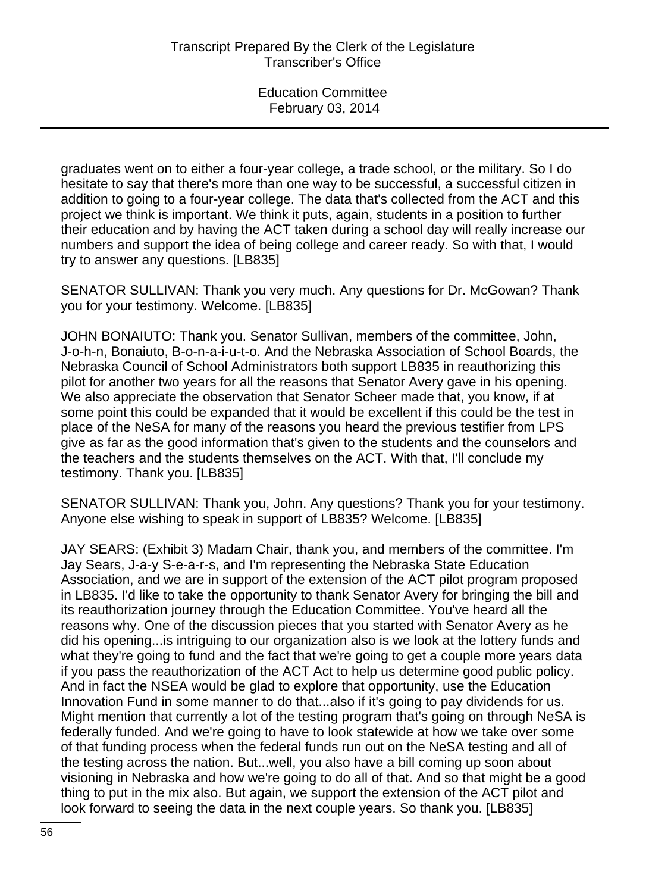graduates went on to either a four-year college, a trade school, or the military. So I do hesitate to say that there's more than one way to be successful, a successful citizen in addition to going to a four-year college. The data that's collected from the ACT and this project we think is important. We think it puts, again, students in a position to further their education and by having the ACT taken during a school day will really increase our numbers and support the idea of being college and career ready. So with that, I would try to answer any questions. [LB835]

SENATOR SULLIVAN: Thank you very much. Any questions for Dr. McGowan? Thank you for your testimony. Welcome. [LB835]

JOHN BONAIUTO: Thank you. Senator Sullivan, members of the committee, John, J-o-h-n, Bonaiuto, B-o-n-a-i-u-t-o. And the Nebraska Association of School Boards, the Nebraska Council of School Administrators both support LB835 in reauthorizing this pilot for another two years for all the reasons that Senator Avery gave in his opening. We also appreciate the observation that Senator Scheer made that, you know, if at some point this could be expanded that it would be excellent if this could be the test in place of the NeSA for many of the reasons you heard the previous testifier from LPS give as far as the good information that's given to the students and the counselors and the teachers and the students themselves on the ACT. With that, I'll conclude my testimony. Thank you. [LB835]

SENATOR SULLIVAN: Thank you, John. Any questions? Thank you for your testimony. Anyone else wishing to speak in support of LB835? Welcome. [LB835]

JAY SEARS: (Exhibit 3) Madam Chair, thank you, and members of the committee. I'm Jay Sears, J-a-y S-e-a-r-s, and I'm representing the Nebraska State Education Association, and we are in support of the extension of the ACT pilot program proposed in LB835. I'd like to take the opportunity to thank Senator Avery for bringing the bill and its reauthorization journey through the Education Committee. You've heard all the reasons why. One of the discussion pieces that you started with Senator Avery as he did his opening...is intriguing to our organization also is we look at the lottery funds and what they're going to fund and the fact that we're going to get a couple more years data if you pass the reauthorization of the ACT Act to help us determine good public policy. And in fact the NSEA would be glad to explore that opportunity, use the Education Innovation Fund in some manner to do that...also if it's going to pay dividends for us. Might mention that currently a lot of the testing program that's going on through NeSA is federally funded. And we're going to have to look statewide at how we take over some of that funding process when the federal funds run out on the NeSA testing and all of the testing across the nation. But...well, you also have a bill coming up soon about visioning in Nebraska and how we're going to do all of that. And so that might be a good thing to put in the mix also. But again, we support the extension of the ACT pilot and look forward to seeing the data in the next couple years. So thank you. [LB835]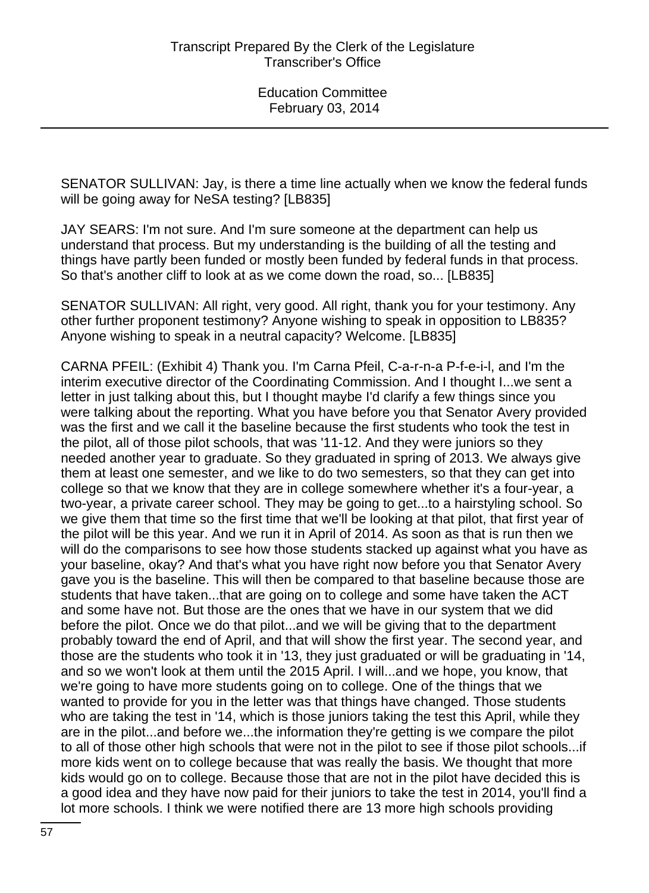SENATOR SULLIVAN: Jay, is there a time line actually when we know the federal funds will be going away for NeSA testing? [LB835]

JAY SEARS: I'm not sure. And I'm sure someone at the department can help us understand that process. But my understanding is the building of all the testing and things have partly been funded or mostly been funded by federal funds in that process. So that's another cliff to look at as we come down the road, so... [LB835]

SENATOR SULLIVAN: All right, very good. All right, thank you for your testimony. Any other further proponent testimony? Anyone wishing to speak in opposition to LB835? Anyone wishing to speak in a neutral capacity? Welcome. [LB835]

CARNA PFEIL: (Exhibit 4) Thank you. I'm Carna Pfeil, C-a-r-n-a P-f-e-i-l, and I'm the interim executive director of the Coordinating Commission. And I thought I...we sent a letter in just talking about this, but I thought maybe I'd clarify a few things since you were talking about the reporting. What you have before you that Senator Avery provided was the first and we call it the baseline because the first students who took the test in the pilot, all of those pilot schools, that was '11-12. And they were juniors so they needed another year to graduate. So they graduated in spring of 2013. We always give them at least one semester, and we like to do two semesters, so that they can get into college so that we know that they are in college somewhere whether it's a four-year, a two-year, a private career school. They may be going to get...to a hairstyling school. So we give them that time so the first time that we'll be looking at that pilot, that first year of the pilot will be this year. And we run it in April of 2014. As soon as that is run then we will do the comparisons to see how those students stacked up against what you have as your baseline, okay? And that's what you have right now before you that Senator Avery gave you is the baseline. This will then be compared to that baseline because those are students that have taken...that are going on to college and some have taken the ACT and some have not. But those are the ones that we have in our system that we did before the pilot. Once we do that pilot...and we will be giving that to the department probably toward the end of April, and that will show the first year. The second year, and those are the students who took it in '13, they just graduated or will be graduating in '14, and so we won't look at them until the 2015 April. I will...and we hope, you know, that we're going to have more students going on to college. One of the things that we wanted to provide for you in the letter was that things have changed. Those students who are taking the test in '14, which is those juniors taking the test this April, while they are in the pilot...and before we...the information they're getting is we compare the pilot to all of those other high schools that were not in the pilot to see if those pilot schools...if more kids went on to college because that was really the basis. We thought that more kids would go on to college. Because those that are not in the pilot have decided this is a good idea and they have now paid for their juniors to take the test in 2014, you'll find a lot more schools. I think we were notified there are 13 more high schools providing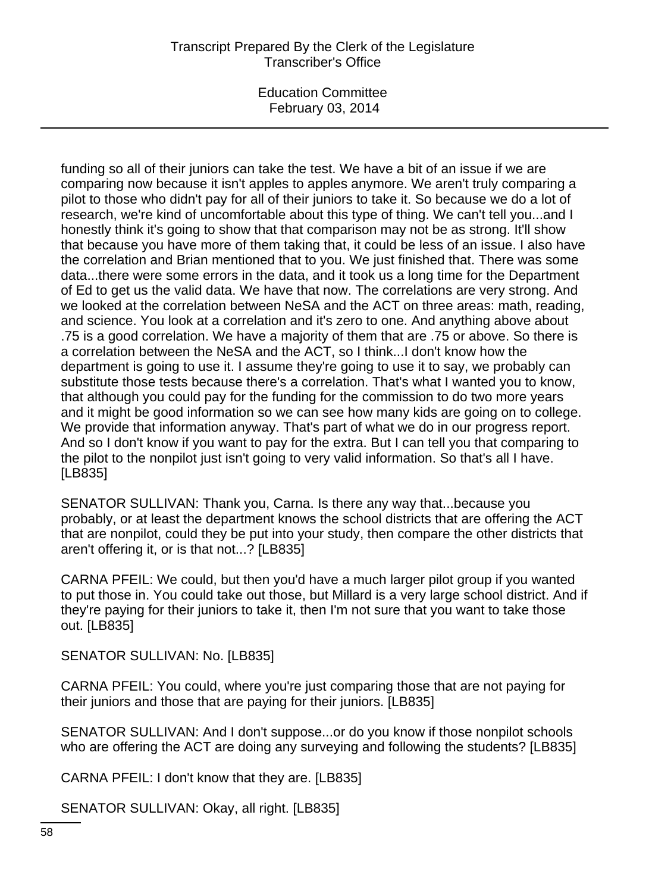Education Committee February 03, 2014

funding so all of their juniors can take the test. We have a bit of an issue if we are comparing now because it isn't apples to apples anymore. We aren't truly comparing a pilot to those who didn't pay for all of their juniors to take it. So because we do a lot of research, we're kind of uncomfortable about this type of thing. We can't tell you...and I honestly think it's going to show that that comparison may not be as strong. It'll show that because you have more of them taking that, it could be less of an issue. I also have the correlation and Brian mentioned that to you. We just finished that. There was some data...there were some errors in the data, and it took us a long time for the Department of Ed to get us the valid data. We have that now. The correlations are very strong. And we looked at the correlation between NeSA and the ACT on three areas: math, reading, and science. You look at a correlation and it's zero to one. And anything above about .75 is a good correlation. We have a majority of them that are .75 or above. So there is a correlation between the NeSA and the ACT, so I think...I don't know how the department is going to use it. I assume they're going to use it to say, we probably can substitute those tests because there's a correlation. That's what I wanted you to know, that although you could pay for the funding for the commission to do two more years and it might be good information so we can see how many kids are going on to college. We provide that information anyway. That's part of what we do in our progress report. And so I don't know if you want to pay for the extra. But I can tell you that comparing to the pilot to the nonpilot just isn't going to very valid information. So that's all I have. [LB835]

SENATOR SULLIVAN: Thank you, Carna. Is there any way that...because you probably, or at least the department knows the school districts that are offering the ACT that are nonpilot, could they be put into your study, then compare the other districts that aren't offering it, or is that not...? [LB835]

CARNA PFEIL: We could, but then you'd have a much larger pilot group if you wanted to put those in. You could take out those, but Millard is a very large school district. And if they're paying for their juniors to take it, then I'm not sure that you want to take those out. [LB835]

SENATOR SULLIVAN: No. [LB835]

CARNA PFEIL: You could, where you're just comparing those that are not paying for their juniors and those that are paying for their juniors. [LB835]

SENATOR SULLIVAN: And I don't suppose...or do you know if those nonpilot schools who are offering the ACT are doing any surveying and following the students? [LB835]

CARNA PFEIL: I don't know that they are. [LB835]

SENATOR SULLIVAN: Okay, all right. [LB835]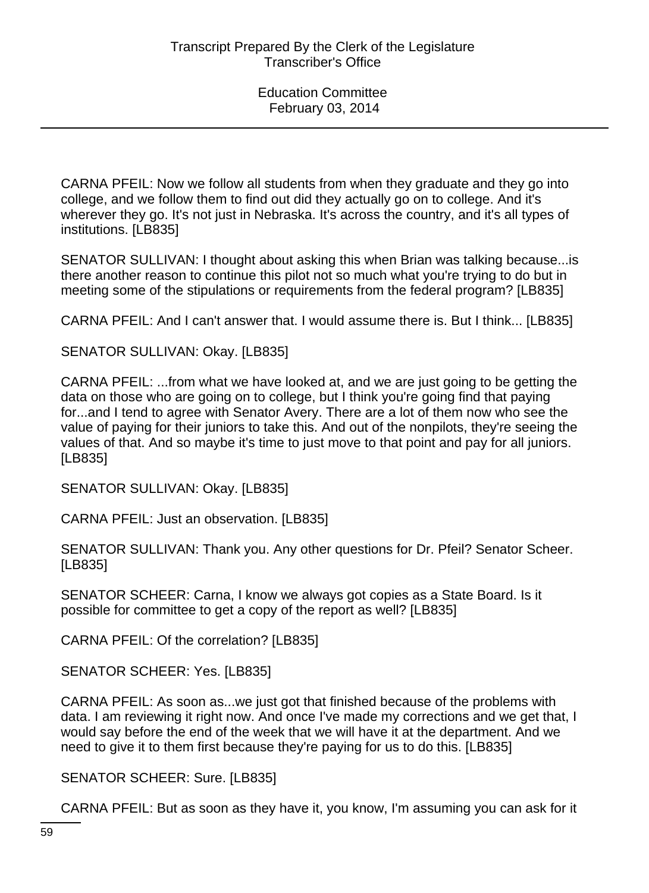CARNA PFEIL: Now we follow all students from when they graduate and they go into college, and we follow them to find out did they actually go on to college. And it's wherever they go. It's not just in Nebraska. It's across the country, and it's all types of institutions. [LB835]

SENATOR SULLIVAN: I thought about asking this when Brian was talking because...is there another reason to continue this pilot not so much what you're trying to do but in meeting some of the stipulations or requirements from the federal program? [LB835]

CARNA PFEIL: And I can't answer that. I would assume there is. But I think... [LB835]

SENATOR SULLIVAN: Okay. [LB835]

CARNA PFEIL: ...from what we have looked at, and we are just going to be getting the data on those who are going on to college, but I think you're going find that paying for...and I tend to agree with Senator Avery. There are a lot of them now who see the value of paying for their juniors to take this. And out of the nonpilots, they're seeing the values of that. And so maybe it's time to just move to that point and pay for all juniors. [LB835]

SENATOR SULLIVAN: Okay. [LB835]

CARNA PFEIL: Just an observation. [LB835]

SENATOR SULLIVAN: Thank you. Any other questions for Dr. Pfeil? Senator Scheer. [LB835]

SENATOR SCHEER: Carna, I know we always got copies as a State Board. Is it possible for committee to get a copy of the report as well? [LB835]

CARNA PFEIL: Of the correlation? [LB835]

SENATOR SCHEER: Yes. [LB835]

CARNA PFEIL: As soon as...we just got that finished because of the problems with data. I am reviewing it right now. And once I've made my corrections and we get that, I would say before the end of the week that we will have it at the department. And we need to give it to them first because they're paying for us to do this. [LB835]

SENATOR SCHEER: Sure. [LB835]

CARNA PFEIL: But as soon as they have it, you know, I'm assuming you can ask for it